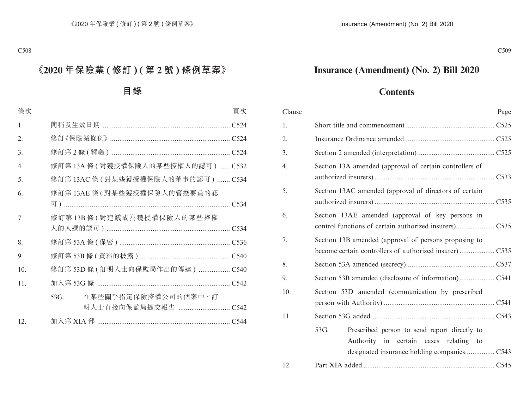# **Insurance (Amendment) (No. 2) Bill 2020**

# **Contents**

| Clause | Page                                                                                                 |
|--------|------------------------------------------------------------------------------------------------------|
| 1.     |                                                                                                      |
| 2.     |                                                                                                      |
| 3.     |                                                                                                      |
| 4.     | Section 13A amended (approval of certain controllers of                                              |
| 5.     | Section 13AC amended (approval of directors of certain                                               |
| 6.     | Section 13AE amended (approval of key persons in                                                     |
| 7.     | Section 13B amended (approval of persons proposing to                                                |
| 8.     |                                                                                                      |
| 9.     |                                                                                                      |
| 10.    | Section 53D amended (communication by prescribed                                                     |
| 11.    |                                                                                                      |
|        | 53G.<br>Prescribed person to send report directly to<br>Authority<br>in certain cases relating<br>to |
| 12.    |                                                                                                      |
|        |                                                                                                      |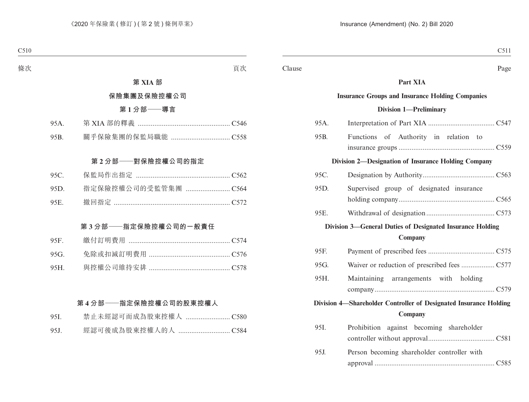## **Part XIA**

# **Insurance Groups and Insurance Holding Companies**

#### **Division 1—Preliminary**

| 95A. |                                                                   |
|------|-------------------------------------------------------------------|
| 95B. | Functions of Authority in relation to                             |
|      |                                                                   |
|      | Division 2-Designation of Insurance Holding Company               |
| 95C. |                                                                   |
| 95D. | Supervised group of designated insurance                          |
|      |                                                                   |
| 95E. |                                                                   |
|      | Division 3-General Duties of Designated Insurance Holding         |
|      | Company                                                           |
| 95F. |                                                                   |
| 95G. |                                                                   |
| 95H. | Maintaining arrangements with holding                             |
|      |                                                                   |
|      | Division 4-Shareholder Controller of Designated Insurance Holding |
|      | Company                                                           |
| 95I. | Prohibition against becoming shareholder                          |
|      |                                                                   |
| 95J. | Person becoming shareholder controller with                       |
|      |                                                                   |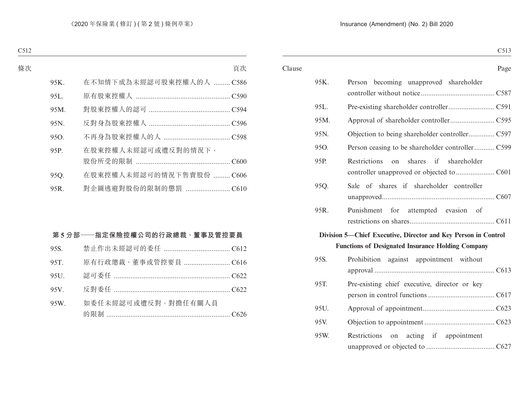#### Clause Page

C512 C513

| 95K. | becoming unapproved shareholder<br>Person                      |
|------|----------------------------------------------------------------|
| 95L. |                                                                |
| 95M. |                                                                |
| 95N. |                                                                |
| 95Q. | Person ceasing to be shareholder controller C599               |
| 95P. | shares if shareholder<br>Restrictions<br>$\alpha$              |
| 95Q. | Sale of shares if shareholder controller                       |
| 95R. | Punishment for attempted evasion of                            |
|      | Division 5-Chief Executive, Director and Key Person in Control |
|      | <b>Functions of Designated Insurance Holding Company</b>       |
| 95S. | Prohibition against appointment without                        |
|      |                                                                |
| 95T. | Pre-existing chief executive, director or key                  |
| 95U. |                                                                |
| 95V. |                                                                |
| 95W. | Restrictions on acting if appointment                          |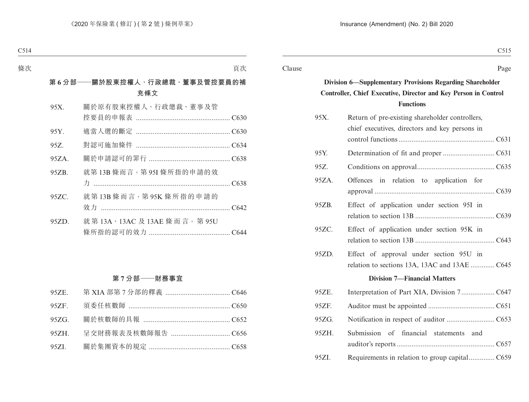Clause Page

C515

# **Division 6—Supplementary Provisions Regarding Shareholder Controller, Chief Executive, Director and Key Person in Control Functions**

| 95X.     | Return of pre-existing shareholder controllers,<br>chief executives, directors and key persons in |
|----------|---------------------------------------------------------------------------------------------------|
| 95Y.     |                                                                                                   |
| 95Z.     |                                                                                                   |
| 95ZA.    | Offences in relation to application for                                                           |
| 95ZB.    | Effect of application under section 95I in                                                        |
| 95ZC.    | Effect of application under section 95K in                                                        |
| 95ZD.    | Effect of approval under section 95U in<br>relation to sections 13A, 13AC and 13AE  C645          |
|          | <b>Division 7-Financial Matters</b>                                                               |
| 95ZE.    |                                                                                                   |
| 95ZF.    |                                                                                                   |
| $95ZG$ . |                                                                                                   |
| 95ZH.    | Submission of<br>financial statements<br>and                                                      |
| 95ZI.    | Requirements in relation to group capitalC659                                                     |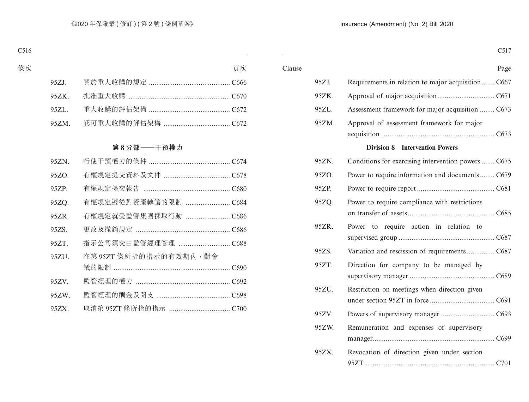| C <sub>517</sub>                                    |       |        |
|-----------------------------------------------------|-------|--------|
| Page                                                |       | Clause |
| Requirements in relation to major acquisition  C667 | 95ZJ. |        |
|                                                     | 95ZK. |        |
| Assessment framework for major acquisition  C673    | 95ZL. |        |
| Approval of assessment framework for major          | 95ZM. |        |
| <b>Division 8-Intervention Powers</b>               |       |        |
| Conditions for exercising intervention powers  C675 | 95ZN. |        |
| Power to require information and documents C679     | 95ZO. |        |
|                                                     | 95ZP. |        |
| Power to require compliance with restrictions       | 95ZQ. |        |
| Power to require action in relation to              | 95ZR. |        |
| Variation and rescission of requirements  C687      | 95ZS. |        |
| Direction for company to be managed by              | 95ZT. |        |
| Restriction on meetings when direction given        | 95ZU. |        |
|                                                     | 95ZV. |        |
| Remuneration and expenses of supervisory            | 95ZW. |        |
| Revocation of direction given under section         | 95ZX. |        |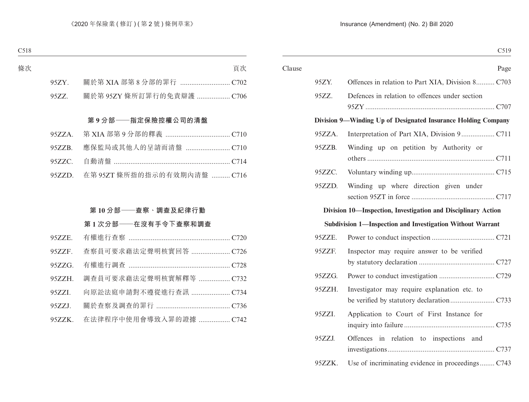| C <sub>5</sub> 19                                             |        |        |
|---------------------------------------------------------------|--------|--------|
| Page                                                          |        | Clause |
| Offences in relation to Part XIA, Division 8 C703             | 95ZY.  |        |
| Defences in relation to offences under section                | 95ZZ.  |        |
| Division 9—Winding Up of Designated Insurance Holding Company |        |        |
|                                                               | 95ZZA. |        |
| Winding up on petition by Authority or                        | 95ZZB. |        |
|                                                               | 95ZZC. |        |
| Winding up where direction given under                        | 95ZZD. |        |
| Division 10—Inspection, Investigation and Disciplinary Action |        |        |
| Subdivision 1—Inspection and Investigation Without Warrant    |        |        |
|                                                               | 95ZZE. |        |
| Inspector may require answer to be verified                   | 95ZZF. |        |
|                                                               | 95ZZG. |        |
| Investigator may require explanation etc. to                  | 95ZZH. |        |
| Application to Court of First Instance for                    | 95ZZI. |        |
| Offences in relation to inspections and                       | 95ZZJ. |        |
| Use of incriminating evidence in proceedings C743             | 95ZZK. |        |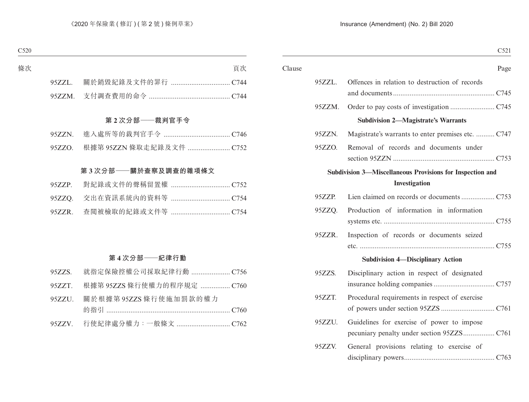| C <sub>521</sub>                                                                         |        |        |
|------------------------------------------------------------------------------------------|--------|--------|
| Page                                                                                     |        | Clause |
| Offences in relation to destruction of records                                           | 95ZZL. |        |
|                                                                                          | 95ZZM. |        |
| <b>Subdivision 2-Magistrate's Warrants</b>                                               |        |        |
| Magistrate's warrants to enter premises etc.  C747                                       | 95ZZN. |        |
| Removal of records and documents under                                                   | 95ZZO. |        |
| Subdivision 3-Miscellaneous Provisions for Inspection and<br>Investigation               |        |        |
|                                                                                          | 95ZZP. |        |
| Production of information in information                                                 | 95ZZQ. |        |
| Inspection of records or documents seized                                                | 95ZZR. |        |
| <b>Subdivision 4-Disciplinary Action</b>                                                 |        |        |
| Disciplinary action in respect of designated                                             | 95ZZS. |        |
| Procedural requirements in respect of exercise                                           | 95ZZT. |        |
| Guidelines for exercise of power to impose<br>pecuniary penalty under section 95ZZS C761 | 95ZZU. |        |
| General provisions relating to exercise of                                               | 95ZZV. |        |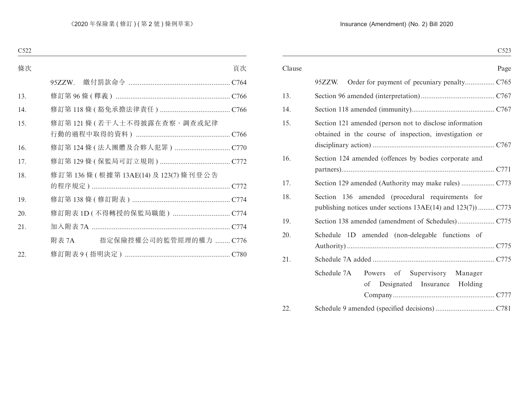|                                                                                                                   | Clause |
|-------------------------------------------------------------------------------------------------------------------|--------|
| 95ZZW.                                                                                                            |        |
|                                                                                                                   | 13.    |
|                                                                                                                   | 14.    |
| Section 121 amended (person not to disclose information<br>obtained in the course of inspection, investigation or | 15.    |
| Section 124 amended (offences by bodies corporate and                                                             | 16.    |
|                                                                                                                   | 17.    |
| Section 136 amended (procedural requirements for<br>publishing notices under sections 13AE(14) and 123(7))  C773  | 18.    |
|                                                                                                                   | 19.    |
| Schedule 1D amended (non-delegable functions of                                                                   | 20.    |
|                                                                                                                   | 21.    |
| Supervisory<br>Schedule 7A<br>Powers of<br>Manager<br>Designated Insurance Holding<br>of                          |        |
|                                                                                                                   | 22.    |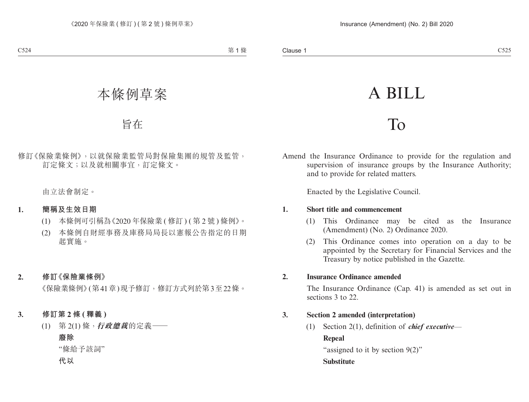# A BILL

# To

Amend the Insurance Ordinance to provide for the regulation and supervision of insurance groups by the Insurance Authority; and to provide for related matters.

Enacted by the Legislative Council.

#### **1. Short title and commencement**

- (1) This Ordinance may be cited as the Insurance (Amendment) (No. 2) Ordinance 2020.
- (2) This Ordinance comes into operation on a day to be appointed by the Secretary for Financial Services and the Treasury by notice published in the Gazette.

#### **2. Insurance Ordinance amended**

The Insurance Ordinance (Cap. 41) is amended as set out in sections 3 to 22.

## **3. Section 2 amended (interpretation)**

(1) Section 2(1), definition of *chief executive*— **Repeal** "assigned to it by section 9(2)"

#### **Substitute**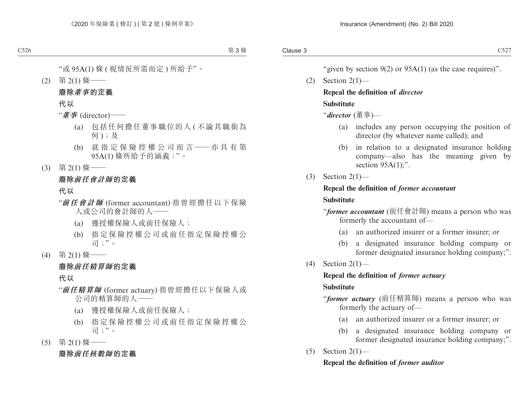"given by section  $9(2)$  or  $95A(1)$  (as the case requires)".

 $(2)$  Section  $2(1)$ —

# **Repeal the definition of** *director*

# **Substitute**

"*director* (董事)—

- (a) includes any person occupying the position of director (by whatever name called); and
- (b) in relation to a designated insurance holding company—also has the meaning given by section  $95A(1)$ ;".
- $(3)$  Section 2(1)—

# **Repeal the definition of** *former accountant* **Substitute**

"*former accountant* (前任會計師) means a person who was formerly the accountant of—

- (a) an authorized insurer or a former insurer; or
- (b) a designated insurance holding company or former designated insurance holding company;".
- $(4)$  Section 2(1)—

# **Repeal the definition of** *former actuary*

## **Substitute**

- "*former actuary* (前任精算師) means a person who was formerly the actuary of—
	- (a) an authorized insurer or a former insurer; or
	- (b) a designated insurance holding company or former designated insurance holding company;".
- $(5)$  Section 2(1)—

## **Repeal the definition of** *former auditor*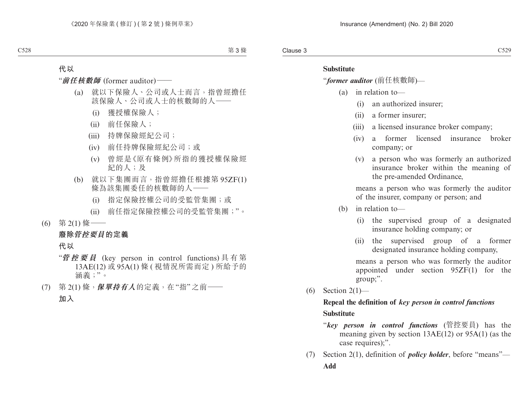#### **Substitute**

"*former auditor* (前任核數師)—

- (a) in relation to—
	- (i) an authorized insurer;
	- (ii) a former insurer;
	- (iii) a licensed insurance broker company;
	- (iv) a former licensed insurance broker company; or
	- (v) a person who was formerly an authorized insurance broker within the meaning of the pre-amended Ordinance,

means a person who was formerly the auditor of the insurer, company or person; and

- (b) in relation to—
	- (i) the supervised group of a designated insurance holding company; or
	- (ii) the supervised group of a former designated insurance holding company,

means a person who was formerly the auditor appointed under section 95ZF(1) for the group;".

 $(6)$  Section 2(1)—

# **Repeal the definition of** *key person in control functions* **Substitute**

- "*key person in control functions* (管控要員) has the meaning given by section 13AE(12) or 95A(1) (as the case requires);".
- (7) Section 2(1), definition of *policy holder*, before "means"— **Add**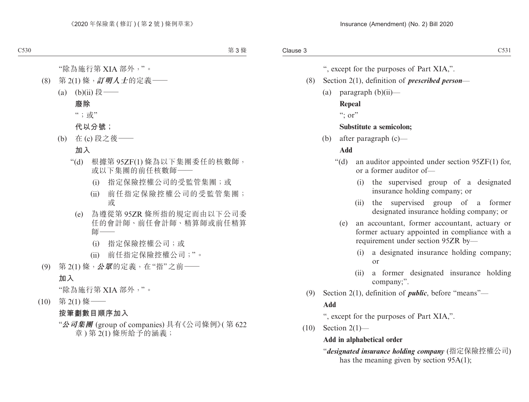", except for the purposes of Part XIA,".

- (8) Section 2(1), definition of *prescribed person*
	- $(a)$  paragraph  $(b)(ii)$ —

## **Repeal**

 $\lq\lq$  : or"

# **Substitute a semicolon;**

(b) after paragraph (c)—

# **Add**

- "(d) an auditor appointed under section 95ZF(1) for, or a former auditor of—
	- (i) the supervised group of a designated insurance holding company; or
	- (ii) the supervised group of a former designated insurance holding company; or
	- (e) an accountant, former accountant, actuary or former actuary appointed in compliance with a requirement under section 95ZR by—
		- (i) a designated insurance holding company; or
		- (ii) a former designated insurance holding company;".
- (9) Section 2(1), definition of *public*, before "means"— **Add**

", except for the purposes of Part XIA,".

(10) Section 2(1)—

# **Add in alphabetical order**

"*designated insurance holding company* (指定保險控權公司) has the meaning given by section 95A(1);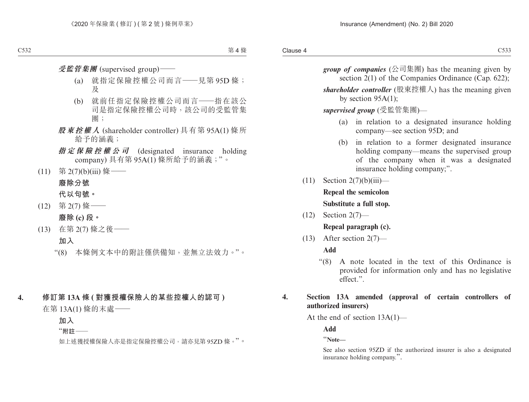- *group of companies* (公司集團) has the meaning given by section 2(1) of the Companies Ordinance (Cap. 622);
- *shareholder controller* (股東控權人) has the meaning given by section 95A(1);

*supervised group* (受監管集團)—

- (a) in relation to a designated insurance holding company—see section 95D; and
- (b) in relation to a former designated insurance holding company—means the supervised group of the company when it was a designated insurance holding company;".
- $(11)$  Section  $2(7)(b)(iii)$  **Repeal the semicolon Substitute a full stop.**
- (12) Section 2(7)— **Repeal paragraph (c).**
- $(13)$  After section  $2(7)$ —

#### **Add**

"(8) A note located in the text of this Ordinance is provided for information only and has no legislative effect.".

#### **4. Section 13A amended (approval of certain controllers of authorized insurers)**

At the end of section 13A(1)—

**Add**

"**Note—**

See also section 95ZD if the authorized insurer is also a designated insurance holding company.".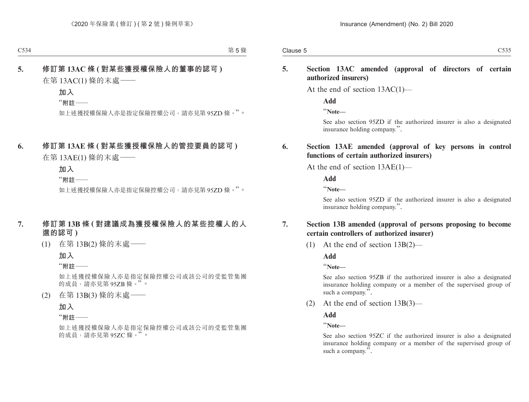#### **5. Section 13AC amended (approval of directors of certain authorized insurers)**

At the end of section 13AC(1)—

**Add**

"**Note—**

See also section 95ZD if the authorized insurer is also a designated insurance holding company.".

#### **6. Section 13AE amended (approval of key persons in control functions of certain authorized insurers)**

At the end of section 13AE(1)—

**Add**

"**Note—**

See also section 95ZD if the authorized insurer is also a designated insurance holding company.".

## **7. Section 13B amended (approval of persons proposing to become certain controllers of authorized insurer)**

(1) At the end of section 13B(2)—

**Add**

"**Note—**

See also section 95ZB if the authorized insurer is also a designated insurance holding company or a member of the supervised group of such a company.".

(2) At the end of section 13B(3)—

**Add**

"**Note—**

See also section 95ZC if the authorized insurer is also a designated insurance holding company or a member of the supervised group of such a company.".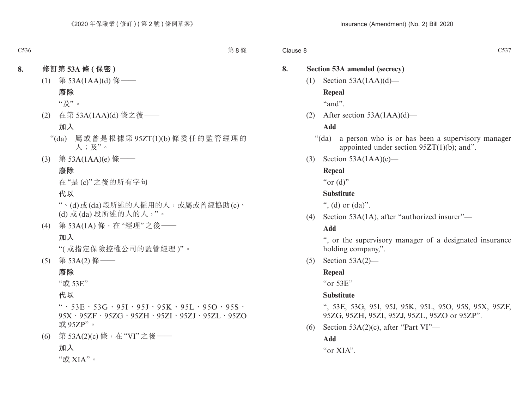# **8. Section 53A amended (secrecy)**  $(1)$  Section 53A(1AA)(d)— **Repeal** "and". (2) After section 53A(1AA)(d)— **Add** "(da) a person who is or has been a supervisory manager appointed under section  $95ZT(1)(b)$ ; and". (3) Section  $53A(1AA)(e)$ — **Repeal** " $or$  (d)" **Substitute** ", (d) or  $(da)$ ". (4) Section 53A(1A), after "authorized insurer"— **Add** ", or the supervisory manager of a designated insurance holding company,". (5) Section 53A(2)— **Repeal** "or 53E" **Substitute** ", 53E, 53G, 95I, 95J, 95K, 95L, 95O, 95S, 95X, 95ZF, 95ZG, 95ZH, 95ZI, 95ZJ, 95ZL, 95ZO or 95ZP". (6) Section  $53A(2)(c)$ , after "Part VI"— **Add**

"or XIA".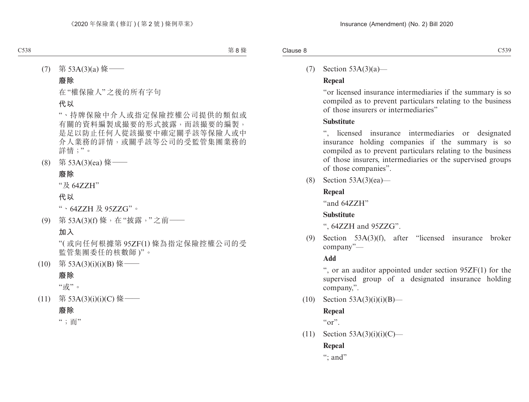## (7) Section 53A(3)(a)—

# **Repeal**

"or licensed insurance intermediaries if the summary is so compiled as to prevent particulars relating to the business of those insurers or intermediaries"

# **Substitute**

licensed insurance intermediaries or designated insurance holding companies if the summary is so compiled as to prevent particulars relating to the business of those insurers, intermediaries or the supervised groups of those companies".

(8) Section 53A(3)(ea)—

# **Repeal**

"and 64ZZH"

# **Substitute**

", 64ZZH and 95ZZG".

(9) Section 53A(3)(f), after "licensed insurance broker company"—

## **Add**

", or an auditor appointed under section 95ZF(1) for the supervised group of a designated insurance holding company,".

 $(10)$  Section 53A(3)(i)(i)(B)—

# **Repeal**

 $``or"$ .

 $(11)$  Section 53A(3)(i)(i)(C)—

**Repeal**

"; and"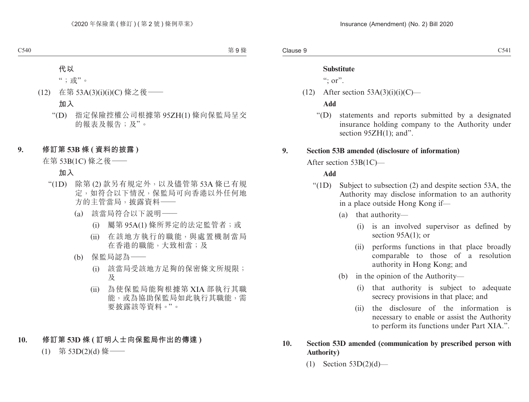#### **Substitute**

 $\degree$ ; or".

 $(12)$  After section 53A(3)(i)(i)(C)—

#### **Add**

"(D) statements and reports submitted by a designated insurance holding company to the Authority under section 95ZH(1); and".

## **9. Section 53B amended (disclosure of information)**

After section 53B(1C)—

# **Add**

- "(1D) Subject to subsection (2) and despite section 53A, the Authority may disclose information to an authority in a place outside Hong Kong if—
	- (a) that authority—
		- (i) is an involved supervisor as defined by section 95A(1); or
		- (ii) performs functions in that place broadly comparable to those of a resolution authority in Hong Kong; and
	- (b) in the opinion of the Authority—
		- (i) that authority is subject to adequate secrecy provisions in that place; and
		- (ii) the disclosure of the information is necessary to enable or assist the Authority to perform its functions under Part XIA.".

#### **10. Section 53D amended (communication by prescribed person with Authority)**

 $(1)$  Section 53D $(2)(d)$ —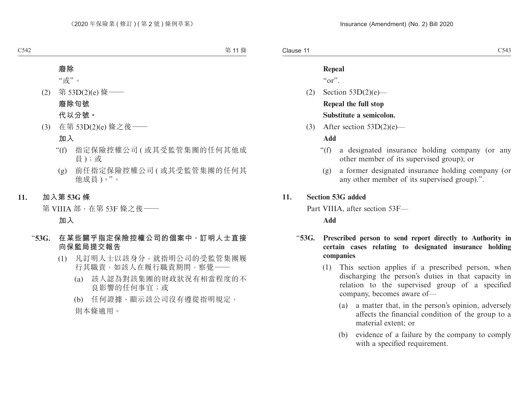#### **Repeal**

 $\alpha$ "

- (2) Section 53D(2)(e)— **Repeal the full stop Substitute a semicolon.**
- (3) After section  $53D(2)(e)$ —

#### **Add**

- "(f) a designated insurance holding company (or any other member of its supervised group); or
	- (g) a former designated insurance holding company (or any other member of its supervised group).".

#### **11. Section 53G added**

Part VIIIA, after section 53F—

**Add**

- "**53G. Prescribed person to send report directly to Authority in certain cases relating to designated insurance holding companies**
	- (1) This section applies if a prescribed person, when discharging the person's duties in that capacity in relation to the supervised group of a specified company, becomes aware of—
		- (a) a matter that, in the person's opinion, adversely affects the financial condition of the group to a material extent; or
		- (b) evidence of a failure by the company to comply with a specified requirement.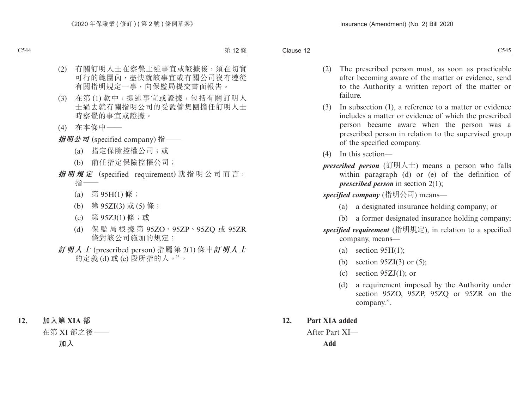- (2) The prescribed person must, as soon as practicable after becoming aware of the matter or evidence, send to the Authority a written report of the matter or failure.
- (3) In subsection (1), a reference to a matter or evidence includes a matter or evidence of which the prescribed person became aware when the person was a prescribed person in relation to the supervised group of the specified company.
- (4) In this section—
- *prescribed person* (訂明人士) means a person who falls within paragraph (d) or (e) of the definition of *prescribed person* in section 2(1);

*specified company* (指明公司) means—

- (a) a designated insurance holding company; or
- (b) a former designated insurance holding company;

*specified requirement* (指明規定), in relation to a specified company, means—

- (a) section  $95H(1)$ ;
- (b) section  $95ZI(3)$  or  $(5)$ ;
- (c) section  $95ZJ(1)$ ; or
- (d) a requirement imposed by the Authority under section 95ZO, 95ZP, 95ZQ or 95ZR on the company.".

## **12. Part XIA added**

After Part XI—

**Add**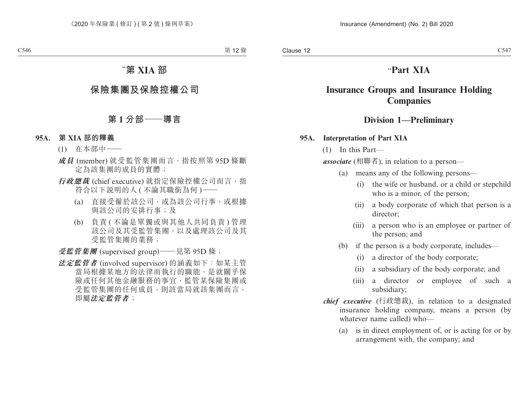# "**Part XIA**

# **Insurance Groups and Insurance Holding Companies**

## **Division 1—Preliminary**

#### **95A. Interpretation of Part XIA**

(1) In this Part—

*associate* (相聯者), in relation to a person—

- (a) means any of the following persons—
	- (i) the wife or husband, or a child or stepchild who is a minor, of the person;
	- (ii) a body corporate of which that person is a director;
	- (iii) a person who is an employee or partner of the person; and
- (b) if the person is a body corporate, includes—
	- (i) a director of the body corporate;
	- (ii) a subsidiary of the body corporate; and
	- (iii) a director or employee of such a subsidiary;
- *chief executive* (行政總裁), in relation to a designated insurance holding company, means a person (by whatever name called) who—
	- (a) is in direct employment of, or is acting for or by arrangement with, the company; and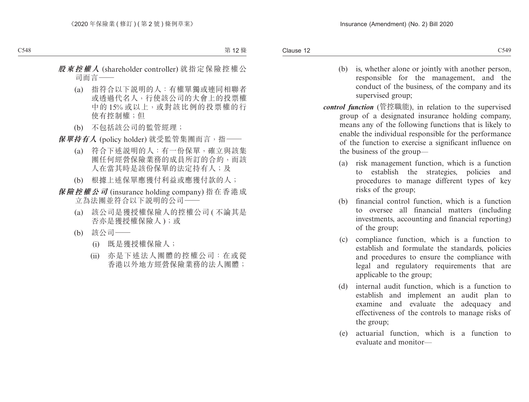- (b) is, whether alone or jointly with another person, responsible for the management, and the conduct of the business, of the company and its supervised group;
- *control function* (管控職能), in relation to the supervised group of a designated insurance holding company, means any of the following functions that is likely to enable the individual responsible for the performance of the function to exercise a significant influence on the business of the group—
	- (a) risk management function, which is a function to establish the strategies, policies and procedures to manage different types of key risks of the group;
	- (b) financial control function, which is a function to oversee all financial matters (including investments, accounting and financial reporting) of the group;
	- (c) compliance function, which is a function to establish and formulate the standards, policies and procedures to ensure the compliance with legal and regulatory requirements that are applicable to the group;
	- (d) internal audit function, which is a function to establish and implement an audit plan to examine and evaluate the adequacy and effectiveness of the controls to manage risks of the group;
	- (e) actuarial function, which is a function to evaluate and monitor—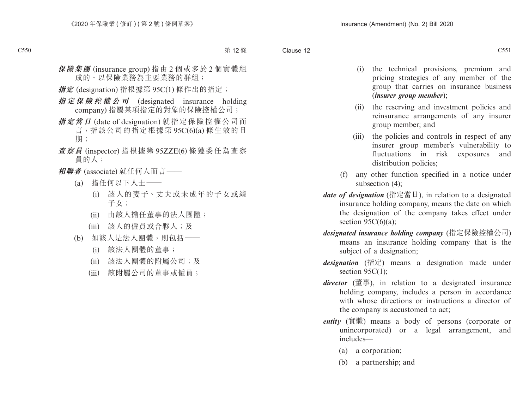- (i) the technical provisions, premium and pricing strategies of any member of the group that carries on insurance business (*insurer group member*);
- (ii) the reserving and investment policies and reinsurance arrangements of any insurer group member; and
- (iii) the policies and controls in respect of any insurer group member's vulnerability to fluctuations in risk exposures and distribution policies;
- (f) any other function specified in a notice under subsection (4);
- *date of designation* (指定當日), in relation to a designated insurance holding company, means the date on which the designation of the company takes effect under section  $95C(6)(a)$ ;
- *designated insurance holding company* (指定保險控權公司) means an insurance holding company that is the subject of a designation;
- *designation* (指定) means a designation made under section 95C(1):
- *director* (董事), in relation to a designated insurance holding company, includes a person in accordance with whose directions or instructions a director of the company is accustomed to act;
- *entity* (實體) means a body of persons (corporate or unincorporated) or a legal arrangement, and includes—
	- (a) a corporation;
	- (b) a partnership; and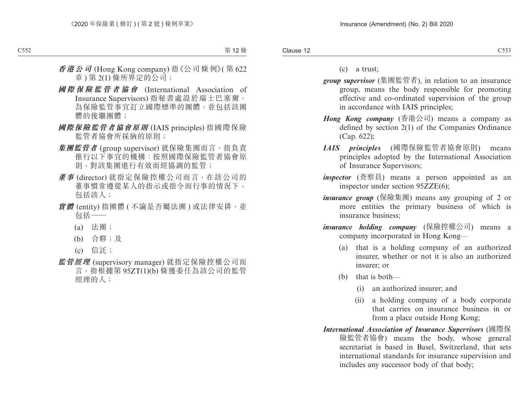(c) a trust;

- *group supervisor* (集團監管者), in relation to an insurance group, means the body responsible for promoting effective and co-ordinated supervision of the group in accordance with IAIS principles;
- *Hong Kong company* (香港公司) means a company as defined by section 2(1) of the Companies Ordinance (Cap. 622);
- *IAIS principles* (國際保險監管者協會原則) means principles adopted by the International Association of Insurance Supervisors;
- *inspector* (查察員) means a person appointed as an inspector under section 95ZZE(6);
- *insurance group* (保險集團) means any grouping of 2 or more entities the primary business of which is insurance business;
- *insurance holding company* (保險控權公司) means a company incorporated in Hong Kong—
	- (a) that is a holding company of an authorized insurer, whether or not it is also an authorized insurer; or
	- (b) that is both—
		- (i) an authorized insurer; and
		- (ii) a holding company of a body corporate that carries on insurance business in or from a place outside Hong Kong;
- *International Association of Insurance Supervisors* (國際保 險監管者協會) means the body, whose general secretariat is based in Basel, Switzerland, that sets international standards for insurance supervision and includes any successor body of that body;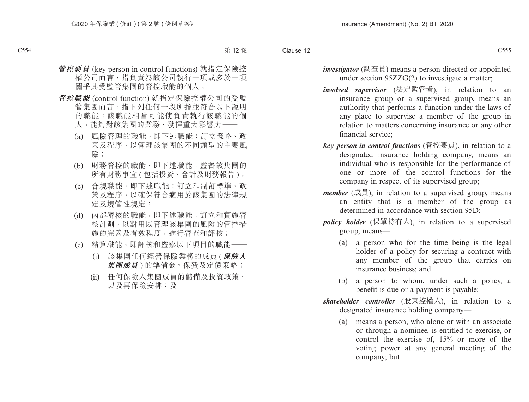- *investigator* (調查員) means a person directed or appointed under section 95ZZG(2) to investigate a matter;
- *involved supervisor* (法定監管者), in relation to an insurance group or a supervised group, means an authority that performs a function under the laws of any place to supervise a member of the group in relation to matters concerning insurance or any other financial service;
- *key person in control functions* (管控要員), in relation to a designated insurance holding company, means an individual who is responsible for the performance of one or more of the control functions for the company in respect of its supervised group;
- *member* (成員), in relation to a supervised group, means an entity that is a member of the group as determined in accordance with section 95D:
- *policy holder* (保單持有人), in relation to a supervised group, means—
	- (a) a person who for the time being is the legal holder of a policy for securing a contract with any member of the group that carries on insurance business; and
	- (b) a person to whom, under such a policy, a benefit is due or a payment is payable;
- *shareholder controller* (股東控權人), in relation to a designated insurance holding company—
	- (a) means a person, who alone or with an associate or through a nominee, is entitled to exercise, or control the exercise of, 15% or more of the voting power at any general meeting of the company; but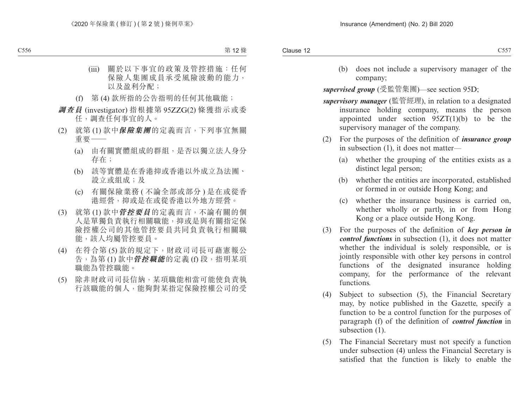(b) does not include a supervisory manager of the company;

*supervised group* (受監管集團)—see section 95D;

- *supervisory manager* (監管經理), in relation to a designated insurance holding company, means the person appointed under section 95ZT(1)(b) to be the supervisory manager of the company.
- (2) For the purposes of the definition of *insurance group*  in subsection (1), it does not matter—
	- (a) whether the grouping of the entities exists as a distinct legal person;
	- (b) whether the entities are incorporated, established or formed in or outside Hong Kong; and
	- (c) whether the insurance business is carried on, whether wholly or partly, in or from Hong Kong or a place outside Hong Kong.
- (3) For the purposes of the definition of *key person in control functions* in subsection (1), it does not matter whether the individual is solely responsible, or is jointly responsible with other key persons in control functions of the designated insurance holding company, for the performance of the relevant functions.
- (4) Subject to subsection (5), the Financial Secretary may, by notice published in the Gazette, specify a function to be a control function for the purposes of paragraph (f) of the definition of *control function* in subsection  $(1)$ .
- (5) The Financial Secretary must not specify a function under subsection (4) unless the Financial Secretary is satisfied that the function is likely to enable the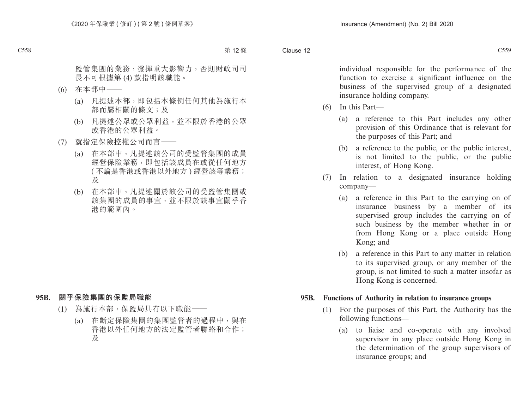Clause 12 Clause 12  $C559$ 

> individual responsible for the performance of the function to exercise a significant influence on the business of the supervised group of a designated insurance holding company.

- (6) In this Part—
	- (a) a reference to this Part includes any other provision of this Ordinance that is relevant for the purposes of this Part; and
	- (b) a reference to the public, or the public interest, is not limited to the public, or the public interest, of Hong Kong.
- (7) In relation to a designated insurance holding company—
	- (a) a reference in this Part to the carrying on of insurance business by a member of its supervised group includes the carrying on of such business by the member whether in or from Hong Kong or a place outside Hong Kong; and
	- (b) a reference in this Part to any matter in relation to its supervised group, or any member of the group, is not limited to such a matter insofar as Hong Kong is concerned.

#### **95B. Functions of Authority in relation to insurance groups**

- (1) For the purposes of this Part, the Authority has the following functions—
	- (a) to liaise and co-operate with any involved supervisor in any place outside Hong Kong in the determination of the group supervisors of insurance groups; and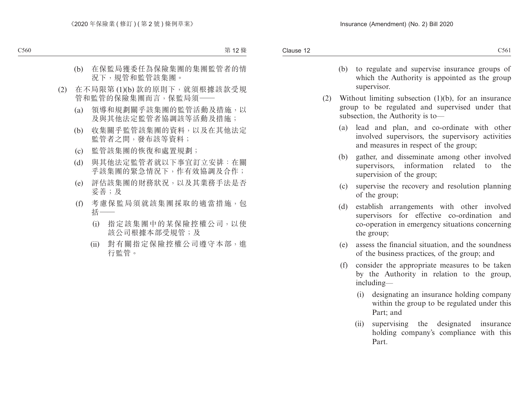- (b) to regulate and supervise insurance groups of which the Authority is appointed as the group supervisor.
- (2) Without limiting subsection (1)(b), for an insurance group to be regulated and supervised under that subsection, the Authority is to—
	- (a) lead and plan, and co-ordinate with other involved supervisors, the supervisory activities and measures in respect of the group;
	- (b) gather, and disseminate among other involved supervisors, information related to the supervision of the group;
	- (c) supervise the recovery and resolution planning of the group;
	- (d) establish arrangements with other involved supervisors for effective co-ordination and co-operation in emergency situations concerning the group;
	- (e) assess the financial situation, and the soundness of the business practices, of the group; and
	- (f) consider the appropriate measures to be taken by the Authority in relation to the group, including—
		- (i) designating an insurance holding company within the group to be regulated under this Part; and
		- (ii) supervising the designated insurance holding company's compliance with this Part.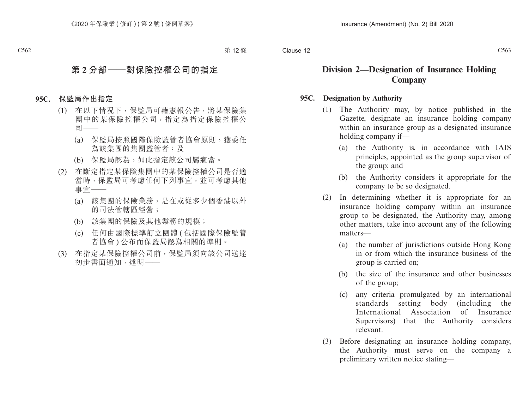# **Division 2—Designation of Insurance Holding Company**

#### **95C. Designation by Authority**

- (1) The Authority may, by notice published in the Gazette, designate an insurance holding company within an insurance group as a designated insurance holding company if—
	- (a) the Authority is, in accordance with IAIS principles, appointed as the group supervisor of the group; and
	- (b) the Authority considers it appropriate for the company to be so designated.
- (2) In determining whether it is appropriate for an insurance holding company within an insurance group to be designated, the Authority may, among other matters, take into account any of the following matters—
	- (a) the number of jurisdictions outside Hong Kong in or from which the insurance business of the group is carried on;
	- (b) the size of the insurance and other businesses of the group;
	- (c) any criteria promulgated by an international standards setting body (including the International Association of Insurance Supervisors) that the Authority considers relevant.
- (3) Before designating an insurance holding company, the Authority must serve on the company a preliminary written notice stating—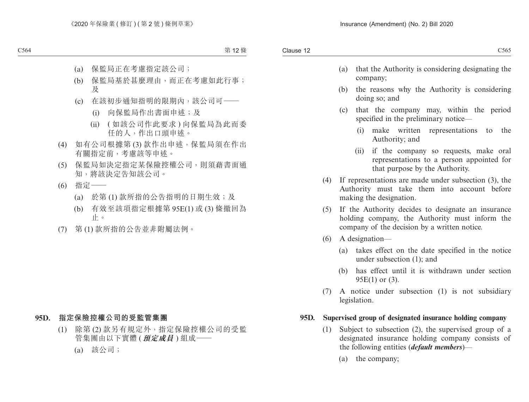- (a) that the Authority is considering designating the company;
- (b) the reasons why the Authority is considering doing so; and
- (c) that the company may, within the period specified in the preliminary notice—
	- (i) make written representations to the Authority; and
	- (ii) if the company so requests, make oral representations to a person appointed for that purpose by the Authority.
- (4) If representations are made under subsection (3), the Authority must take them into account before making the designation.
- (5) If the Authority decides to designate an insurance holding company, the Authority must inform the company of the decision by a written notice.
- (6) A designation—
	- (a) takes effect on the date specified in the notice under subsection (1); and
	- (b) has effect until it is withdrawn under section 95E(1) or (3).
- (7) A notice under subsection (1) is not subsidiary legislation.

#### **95D. Supervised group of designated insurance holding company**

- (1) Subject to subsection (2), the supervised group of a designated insurance holding company consists of the following entities (*default members*)—
	- (a) the company;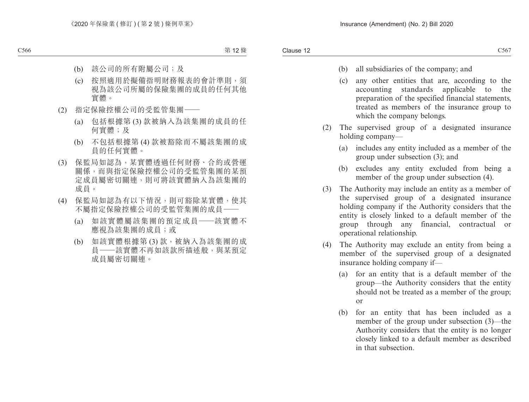- (b) all subsidiaries of the company; and
- (c) any other entities that are, according to the accounting standards applicable to the preparation of the specified financial statements, treated as members of the insurance group to which the company belongs.
- (2) The supervised group of a designated insurance holding company—
	- (a) includes any entity included as a member of the group under subsection (3); and
	- (b) excludes any entity excluded from being a member of the group under subsection (4).
- (3) The Authority may include an entity as a member of the supervised group of a designated insurance holding company if the Authority considers that the entity is closely linked to a default member of the group through any financial, contractual or operational relationship.
- (4) The Authority may exclude an entity from being a member of the supervised group of a designated insurance holding company if—
	- (a) for an entity that is a default member of the group—the Authority considers that the entity should not be treated as a member of the group; or
	- (b) for an entity that has been included as a member of the group under subsection (3)—the Authority considers that the entity is no longer closely linked to a default member as described in that subsection.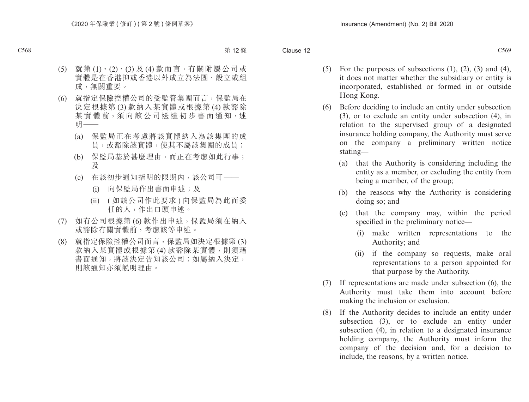- (5) For the purposes of subsections  $(1)$ ,  $(2)$ ,  $(3)$  and  $(4)$ , it does not matter whether the subsidiary or entity is incorporated, established or formed in or outside Hong Kong.
- (6) Before deciding to include an entity under subsection (3), or to exclude an entity under subsection (4), in relation to the supervised group of a designated insurance holding company, the Authority must serve on the company a preliminary written notice stating—
	- (a) that the Authority is considering including the entity as a member, or excluding the entity from being a member, of the group;
	- (b) the reasons why the Authority is considering doing so; and
	- (c) that the company may, within the period specified in the preliminary notice—
		- (i) make written representations to the Authority; and
		- (ii) if the company so requests, make oral representations to a person appointed for that purpose by the Authority.
- (7) If representations are made under subsection (6), the Authority must take them into account before making the inclusion or exclusion.
- (8) If the Authority decides to include an entity under subsection (3), or to exclude an entity under subsection (4), in relation to a designated insurance holding company, the Authority must inform the company of the decision and, for a decision to include, the reasons, by a written notice.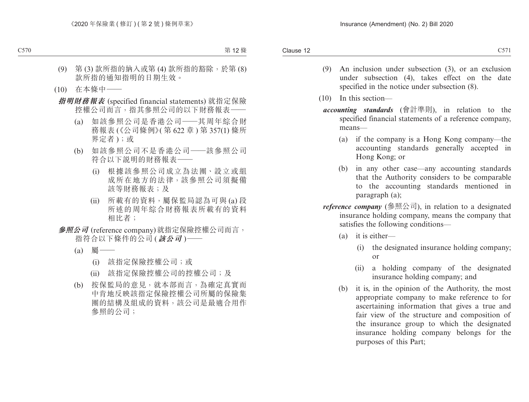- (9) An inclusion under subsection (3), or an exclusion under subsection (4), takes effect on the date specified in the notice under subsection (8).
- (10) In this section
	- *accounting standards* (會計準則), in relation to the specified financial statements of a reference company, means—
		- (a) if the company is a Hong Kong company—the accounting standards generally accepted in Hong Kong; or
		- (b) in any other case—any accounting standards that the Authority considers to be comparable to the accounting standards mentioned in paragraph (a);
	- *reference company* (參照公司), in relation to a designated insurance holding company, means the company that satisfies the following conditions—
		- (a) it is either—
			- (i) the designated insurance holding company; or
			- (ii) a holding company of the designated insurance holding company; and
		- (b) it is, in the opinion of the Authority, the most appropriate company to make reference to for ascertaining information that gives a true and fair view of the structure and composition of the insurance group to which the designated insurance holding company belongs for the purposes of this Part;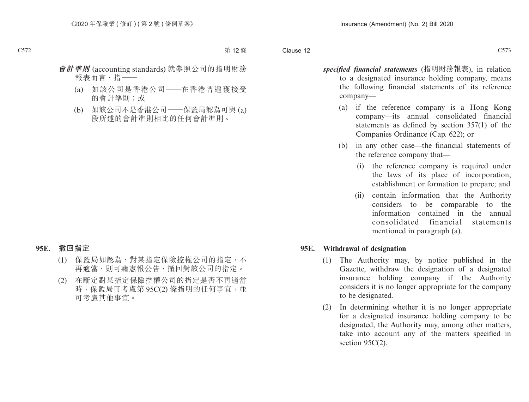- *specified financial statements* (指明財務報表), in relation to a designated insurance holding company, means the following financial statements of its reference company—
	- (a) if the reference company is a Hong Kong company—its annual consolidated financial statements as defined by section 357(1) of the Companies Ordinance (Cap. 622); or
	- (b) in any other case—the financial statements of the reference company that—
		- (i) the reference company is required under the laws of its place of incorporation, establishment or formation to prepare; and
		- (ii) contain information that the Authority considers to be comparable to the information contained in the annual consolidated financial statements mentioned in paragraph (a).

#### **95E. Withdrawal of designation**

- (1) The Authority may, by notice published in the Gazette, withdraw the designation of a designated insurance holding company if the Authority considers it is no longer appropriate for the company to be designated.
- (2) In determining whether it is no longer appropriate for a designated insurance holding company to be designated, the Authority may, among other matters, take into account any of the matters specified in section  $95C(2)$ .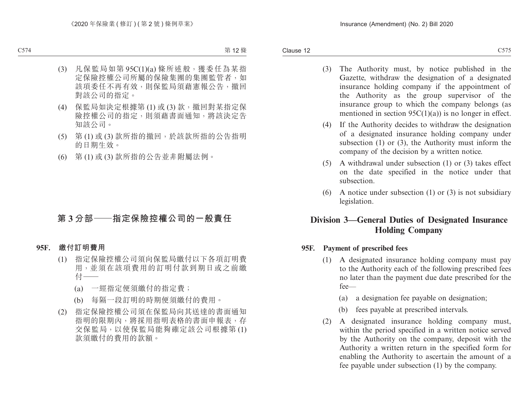- (3) The Authority must, by notice published in the Gazette, withdraw the designation of a designated insurance holding company if the appointment of the Authority as the group supervisor of the insurance group to which the company belongs (as mentioned in section  $95C(1)(a)$  is no longer in effect.
- (4) If the Authority decides to withdraw the designation of a designated insurance holding company under subsection (1) or (3), the Authority must inform the company of the decision by a written notice.
- (5) A withdrawal under subsection (1) or (3) takes effect on the date specified in the notice under that subsection.
- (6) A notice under subsection (1) or (3) is not subsidiary legislation.

# **Division 3—General Duties of Designated Insurance Holding Company**

#### **95F. Payment of prescribed fees**

- (1) A designated insurance holding company must pay to the Authority each of the following prescribed fees no later than the payment due date prescribed for the fee—
	- (a) a designation fee payable on designation;
	- (b) fees payable at prescribed intervals.
- (2) A designated insurance holding company must, within the period specified in a written notice served by the Authority on the company, deposit with the Authority a written return in the specified form for enabling the Authority to ascertain the amount of a fee payable under subsection (1) by the company.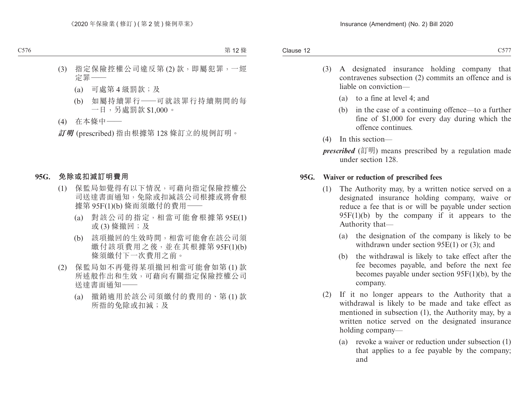- (3) A designated insurance holding company that contravenes subsection (2) commits an offence and is liable on conviction—
	- (a) to a fine at level 4; and
	- (b) in the case of a continuing offence—to a further fine of \$1,000 for every day during which the offence continues.
- (4) In this section—
- *prescribed* (訂明) means prescribed by a regulation made under section 128.

#### **95G. Waiver or reduction of prescribed fees**

- (1) The Authority may, by a written notice served on a designated insurance holding company, waive or reduce a fee that is or will be payable under section  $95F(1)(b)$  by the company if it appears to the Authority that—
	- (a) the designation of the company is likely to be withdrawn under section 95E(1) or (3); and
	- (b) the withdrawal is likely to take effect after the fee becomes payable, and before the next fee becomes payable under section 95F(1)(b), by the company.
- (2) If it no longer appears to the Authority that a withdrawal is likely to be made and take effect as mentioned in subsection (1), the Authority may, by a written notice served on the designated insurance holding company—
	- (a) revoke a waiver or reduction under subsection (1) that applies to a fee payable by the company; and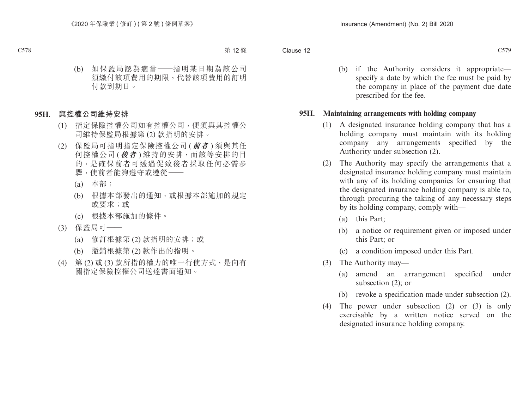(b) if the Authority considers it appropriate specify a date by which the fee must be paid by the company in place of the payment due date prescribed for the fee.

#### **95H. Maintaining arrangements with holding company**

- (1) A designated insurance holding company that has a holding company must maintain with its holding company any arrangements specified by the Authority under subsection (2).
- (2) The Authority may specify the arrangements that a designated insurance holding company must maintain with any of its holding companies for ensuring that the designated insurance holding company is able to, through procuring the taking of any necessary steps by its holding company, comply with—
	- (a) this Part;
	- (b) a notice or requirement given or imposed under this Part; or
	- (c) a condition imposed under this Part.
- (3) The Authority may—
	- (a) amend an arrangement specified under subsection (2); or
	- (b) revoke a specification made under subsection (2).
- (4) The power under subsection (2) or (3) is only exercisable by a written notice served on the designated insurance holding company.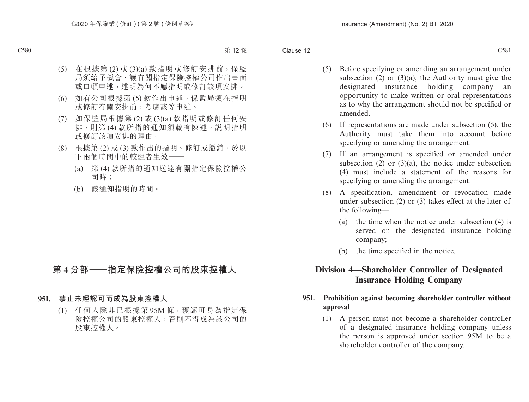- (5) Before specifying or amending an arrangement under subsection  $(2)$  or  $(3)(a)$ , the Authority must give the designated insurance holding company an opportunity to make written or oral representations as to why the arrangement should not be specified or amended.
- (6) If representations are made under subsection (5), the Authority must take them into account before specifying or amending the arrangement.
- (7) If an arrangement is specified or amended under subsection  $(2)$  or  $(3)(a)$ , the notice under subsection (4) must include a statement of the reasons for specifying or amending the arrangement.
- (8) A specification, amendment or revocation made under subsection (2) or (3) takes effect at the later of the following—
	- (a) the time when the notice under subsection (4) is served on the designated insurance holding company;
	- (b) the time specified in the notice.

# **Division 4—Shareholder Controller of Designated Insurance Holding Company**

# **95I. Prohibition against becoming shareholder controller without approval**

(1) A person must not become a shareholder controller of a designated insurance holding company unless the person is approved under section 95M to be a shareholder controller of the company.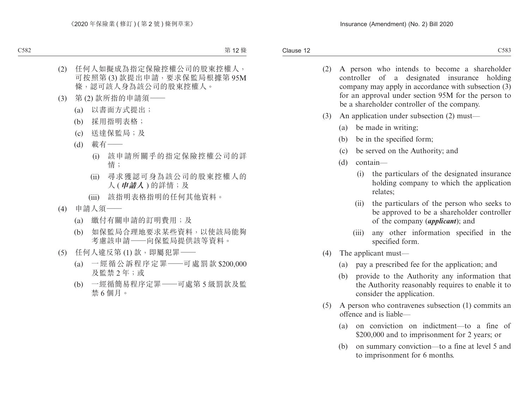- (2) A person who intends to become a shareholder controller of a designated insurance holding company may apply in accordance with subsection (3) for an approval under section 95M for the person to be a shareholder controller of the company.
- (3) An application under subsection (2) must—
	- (a) be made in writing;
	- (b) be in the specified form;
	- (c) be served on the Authority; and
	- (d) contain—
		- (i) the particulars of the designated insurance holding company to which the application relates;
		- (ii) the particulars of the person who seeks to be approved to be a shareholder controller of the company (*applicant*); and
		- (iii) any other information specified in the specified form.
- (4) The applicant must—
	- (a) pay a prescribed fee for the application; and
	- (b) provide to the Authority any information that the Authority reasonably requires to enable it to consider the application.
- (5) A person who contravenes subsection (1) commits an offence and is liable—
	- (a) on conviction on indictment—to a fine of \$200,000 and to imprisonment for 2 years; or
	- (b) on summary conviction—to a fine at level 5 and to imprisonment for 6 months.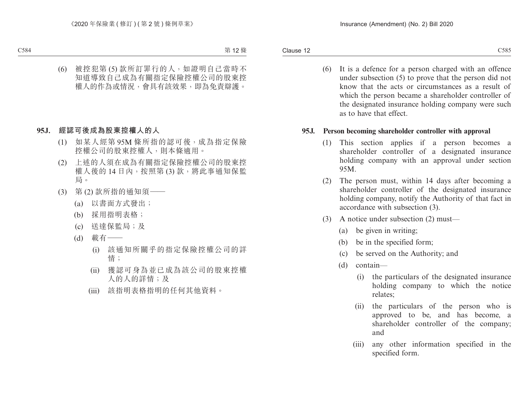(6) It is a defence for a person charged with an offence under subsection (5) to prove that the person did not know that the acts or circumstances as a result of which the person became a shareholder controller of the designated insurance holding company were such as to have that effect.

### **95J. Person becoming shareholder controller with approval**

- (1) This section applies if a person becomes a shareholder controller of a designated insurance holding company with an approval under section 95M.
- (2) The person must, within 14 days after becoming a shareholder controller of the designated insurance holding company, notify the Authority of that fact in accordance with subsection (3).
- (3) A notice under subsection (2) must—
	- (a) be given in writing;
	- (b) be in the specified form;
	- (c) be served on the Authority; and
	- (d) contain—
		- (i) the particulars of the designated insurance holding company to which the notice relates;
		- (ii) the particulars of the person who is approved to be, and has become, a shareholder controller of the company; and
		- (iii) any other information specified in the specified form.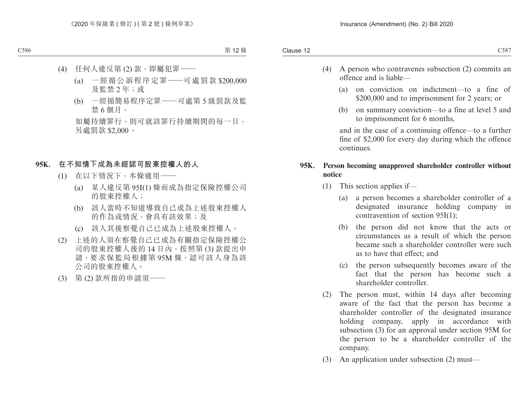- (4) A person who contravenes subsection (2) commits an offence and is liable—
	- (a) on conviction on indictment—to a fine of \$200,000 and to imprisonment for 2 years; or
	- (b) on summary conviction—to a fine at level 5 and to imprisonment for 6 months,

and in the case of a continuing offence—to a further fine of \$2,000 for every day during which the offence continues.

### **95K. Person becoming unapproved shareholder controller without notice**

- (1) This section applies if—
	- (a) a person becomes a shareholder controller of a designated insurance holding company in contravention of section 95I(1);
	- (b) the person did not know that the acts or circumstances as a result of which the person became such a shareholder controller were such as to have that effect; and
	- (c) the person subsequently becomes aware of the fact that the person has become such a shareholder controller.
- (2) The person must, within 14 days after becoming aware of the fact that the person has become a shareholder controller of the designated insurance holding company, apply in accordance with subsection (3) for an approval under section 95M for the person to be a shareholder controller of the company.
- (3) An application under subsection (2) must—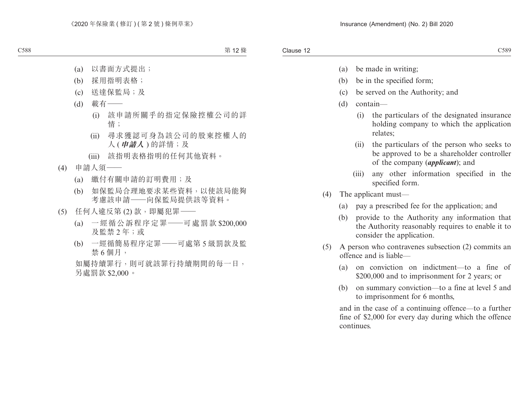- (a) be made in writing;
- (b) be in the specified form;
- (c) be served on the Authority; and
- (d) contain—
	- (i) the particulars of the designated insurance holding company to which the application relates;
	- (ii) the particulars of the person who seeks to be approved to be a shareholder controller of the company (*applicant*); and
	- (iii) any other information specified in the specified form.
- (4) The applicant must—
	- (a) pay a prescribed fee for the application; and
	- (b) provide to the Authority any information that the Authority reasonably requires to enable it to consider the application.
- (5) A person who contravenes subsection (2) commits an offence and is liable—
	- (a) on conviction on indictment—to a fine of \$200,000 and to imprisonment for 2 years; or
	- (b) on summary conviction—to a fine at level 5 and to imprisonment for 6 months,

and in the case of a continuing offence—to a further fine of \$2,000 for every day during which the offence continues.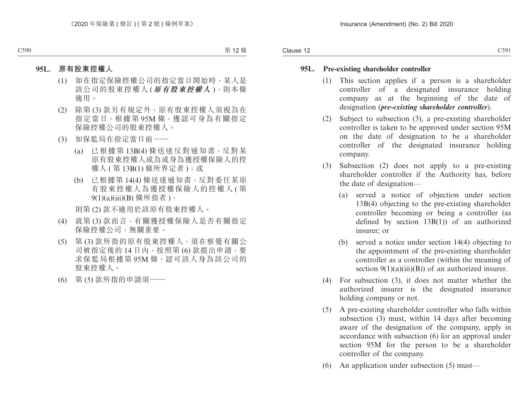## **95L. Pre-existing shareholder controller**

- (1) This section applies if a person is a shareholder controller of a designated insurance holding company as at the beginning of the date of designation (*pre-existing shareholder controller*).
- (2) Subject to subsection (3), a pre-existing shareholder controller is taken to be approved under section 95M on the date of designation to be a shareholder controller of the designated insurance holding company.
- (3) Subsection (2) does not apply to a pre-existing shareholder controller if the Authority has, before the date of designation—
	- (a) served a notice of objection under section 13B(4) objecting to the pre-existing shareholder controller becoming or being a controller (as defined by section 13B(1)) of an authorized insurer; or
	- (b) served a notice under section 14(4) objecting to the appointment of the pre-existing shareholder controller as a controller (within the meaning of section  $9(1)(a)(iii)(B)$  of an authorized insurer.
- (4) For subsection (3), it does not matter whether the authorized insurer is the designated insurance holding company or not.
- (5) A pre-existing shareholder controller who falls within subsection (3) must, within 14 days after becoming aware of the designation of the company, apply in accordance with subsection (6) for an approval under section 95M for the person to be a shareholder controller of the company.
- (6) An application under subsection (5) must—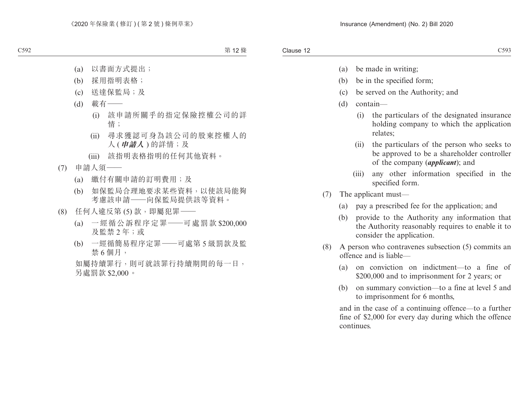- (a) be made in writing;
- (b) be in the specified form;
- (c) be served on the Authority; and
- (d) contain—
	- (i) the particulars of the designated insurance holding company to which the application relates;
	- (ii) the particulars of the person who seeks to be approved to be a shareholder controller of the company (*applicant*); and
	- (iii) any other information specified in the specified form.
- (7) The applicant must—
	- (a) pay a prescribed fee for the application; and
	- (b) provide to the Authority any information that the Authority reasonably requires to enable it to consider the application.
- (8) A person who contravenes subsection (5) commits an offence and is liable—
	- (a) on conviction on indictment—to a fine of \$200,000 and to imprisonment for 2 years; or
	- (b) on summary conviction—to a fine at level 5 and to imprisonment for 6 months,

and in the case of a continuing offence—to a further fine of \$2,000 for every day during which the offence continues.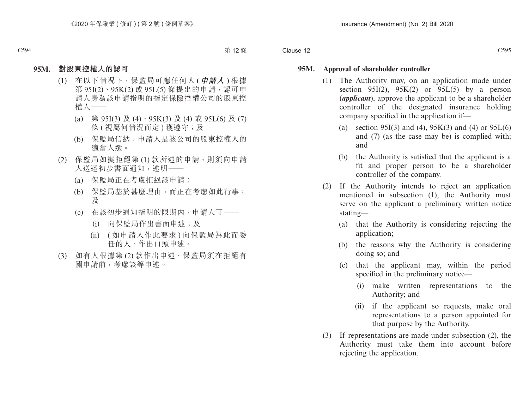#### **95M. Approval of shareholder controller**

- (1) The Authority may, on an application made under section 95I(2),  $95K(2)$  or 95L(5) by a person (*applicant*), approve the applicant to be a shareholder controller of the designated insurance holding company specified in the application if—
	- (a) section 95I(3) and (4),  $95K(3)$  and (4) or  $95L(6)$ and (7) (as the case may be) is complied with; and
	- (b) the Authority is satisfied that the applicant is a fit and proper person to be a shareholder controller of the company.
- (2) If the Authority intends to reject an application mentioned in subsection (1), the Authority must serve on the applicant a preliminary written notice stating—
	- (a) that the Authority is considering rejecting the application;
	- (b) the reasons why the Authority is considering doing so; and
	- (c) that the applicant may, within the period specified in the preliminary notice—
		- (i) make written representations to the Authority; and
		- (ii) if the applicant so requests, make oral representations to a person appointed for that purpose by the Authority.
- (3) If representations are made under subsection (2), the Authority must take them into account before rejecting the application.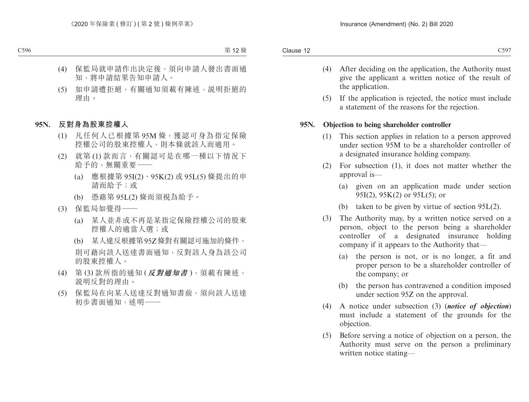- (4) After deciding on the application, the Authority must give the applicant a written notice of the result of the application.
- (5) If the application is rejected, the notice must include a statement of the reasons for the rejection.

#### **95N. Objection to being shareholder controller**

- (1) This section applies in relation to a person approved under section 95M to be a shareholder controller of a designated insurance holding company.
- (2) For subsection (1), it does not matter whether the approval is—
	- (a) given on an application made under section 95I(2), 95K(2) or 95L(5); or
	- (b) taken to be given by virtue of section 95L(2).
- (3) The Authority may, by a written notice served on a person, object to the person being a shareholder controller of a designated insurance holding company if it appears to the Authority that—
	- (a) the person is not, or is no longer, a fit and proper person to be a shareholder controller of the company; or
	- (b) the person has contravened a condition imposed under section 95Z on the approval.
- (4) A notice under subsection (3) (*notice of objection*) must include a statement of the grounds for the objection.
- (5) Before serving a notice of objection on a person, the Authority must serve on the person a preliminary written notice stating—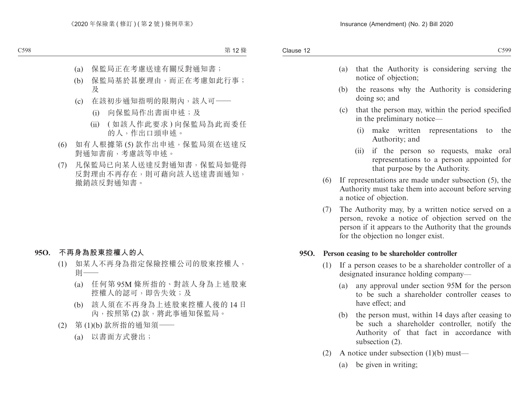- (a) that the Authority is considering serving the notice of objection;
- (b) the reasons why the Authority is considering doing so; and
- (c) that the person may, within the period specified in the preliminary notice—
	- (i) make written representations to the Authority; and
	- (ii) if the person so requests, make oral representations to a person appointed for that purpose by the Authority.
- (6) If representations are made under subsection (5), the Authority must take them into account before serving a notice of objection.
- (7) The Authority may, by a written notice served on a person, revoke a notice of objection served on the person if it appears to the Authority that the grounds for the objection no longer exist.

### **95O. Person ceasing to be shareholder controller**

- (1) If a person ceases to be a shareholder controller of a designated insurance holding company—
	- (a) any approval under section 95M for the person to be such a shareholder controller ceases to have effect; and
	- (b) the person must, within 14 days after ceasing to be such a shareholder controller, notify the Authority of that fact in accordance with subsection (2).
- (2) A notice under subsection  $(1)(b)$  must—
	- (a) be given in writing;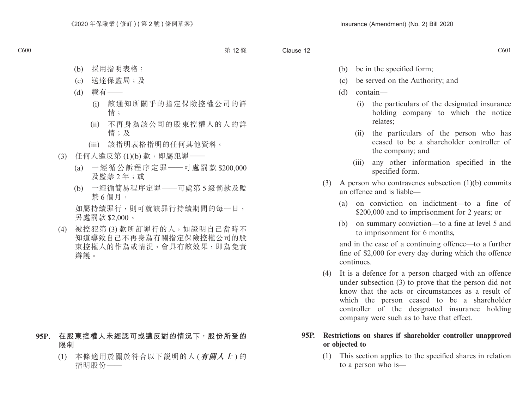- (b) be in the specified form;
- (c) be served on the Authority; and
- (d) contain—
	- (i) the particulars of the designated insurance holding company to which the notice relates;
	- (ii) the particulars of the person who has ceased to be a shareholder controller of the company; and
	- (iii) any other information specified in the specified form.
- (3) A person who contravenes subsection (1)(b) commits an offence and is liable—
	- (a) on conviction on indictment—to a fine of \$200,000 and to imprisonment for 2 years; or
	- (b) on summary conviction—to a fine at level 5 and to imprisonment for 6 months,

and in the case of a continuing offence—to a further fine of \$2,000 for every day during which the offence continues.

(4) It is a defence for a person charged with an offence under subsection (3) to prove that the person did not know that the acts or circumstances as a result of which the person ceased to be a shareholder controller of the designated insurance holding company were such as to have that effect.

### **95P. Restrictions on shares if shareholder controller unapproved or objected to**

(1) This section applies to the specified shares in relation to a person who is—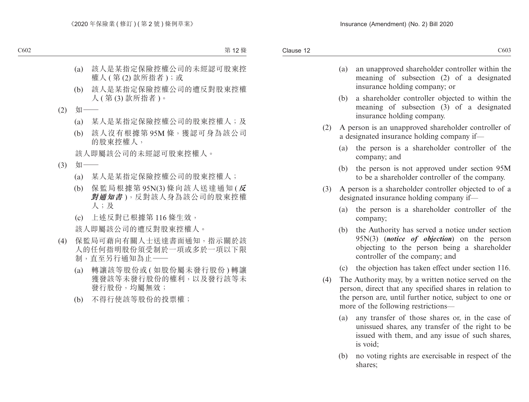- (a) an unapproved shareholder controller within the meaning of subsection (2) of a designated insurance holding company; or
- (b) a shareholder controller objected to within the meaning of subsection (3) of a designated insurance holding company.
- (2) A person is an unapproved shareholder controller of a designated insurance holding company if—
	- (a) the person is a shareholder controller of the company; and
	- (b) the person is not approved under section 95M to be a shareholder controller of the company.
- (3) A person is a shareholder controller objected to of a designated insurance holding company if—
	- (a) the person is a shareholder controller of the company;
	- (b) the Authority has served a notice under section 95N(3) (*notice of objection*) on the person objecting to the person being a shareholder controller of the company; and
	- (c) the objection has taken effect under section 116.
- (4) The Authority may, by a written notice served on the person, direct that any specified shares in relation to the person are, until further notice, subject to one or more of the following restrictions—
	- (a) any transfer of those shares or, in the case of unissued shares, any transfer of the right to be issued with them, and any issue of such shares, is void;
	- (b) no voting rights are exercisable in respect of the shares;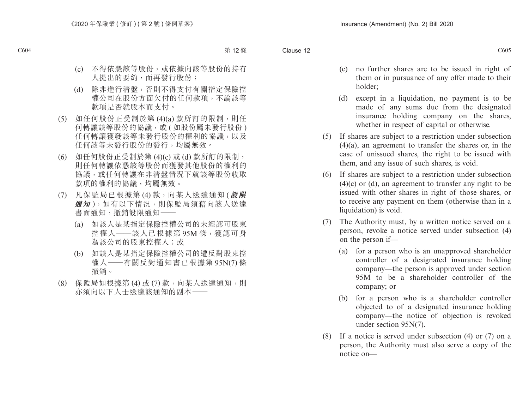- (c) no further shares are to be issued in right of them or in pursuance of any offer made to their holder;
- (d) except in a liquidation, no payment is to be made of any sums due from the designated insurance holding company on the shares, whether in respect of capital or otherwise.
- (5) If shares are subject to a restriction under subsection (4)(a), an agreement to transfer the shares or, in the case of unissued shares, the right to be issued with them, and any issue of such shares, is void.
- (6) If shares are subject to a restriction under subsection  $(4)(c)$  or  $(d)$ , an agreement to transfer any right to be issued with other shares in right of those shares, or to receive any payment on them (otherwise than in a liquidation) is void.
- (7) The Authority must, by a written notice served on a person, revoke a notice served under subsection (4) on the person if—
	- (a) for a person who is an unapproved shareholder controller of a designated insurance holding company—the person is approved under section 95M to be a shareholder controller of the company; or
	- (b) for a person who is a shareholder controller objected to of a designated insurance holding company—the notice of objection is revoked under section 95N(7).
- (8) If a notice is served under subsection (4) or (7) on a person, the Authority must also serve a copy of the notice on—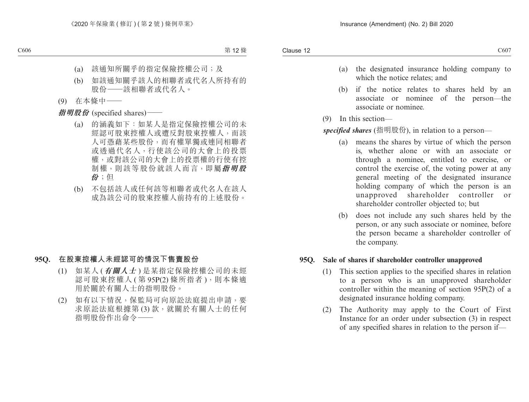- (a) the designated insurance holding company to which the notice relates; and
- (b) if the notice relates to shares held by an associate or nominee of the person—the associate or nominee.
- (9) In this section—

*specified shares* (指明股份), in relation to a person—

- (a) means the shares by virtue of which the person is, whether alone or with an associate or through a nominee, entitled to exercise, or control the exercise of, the voting power at any general meeting of the designated insurance holding company of which the person is an unapproved shareholder controller or shareholder controller objected to; but
- (b) does not include any such shares held by the person, or any such associate or nominee, before the person became a shareholder controller of the company.

### **95Q. Sale of shares if shareholder controller unapproved**

- (1) This section applies to the specified shares in relation to a person who is an unapproved shareholder controller within the meaning of section 95P(2) of a designated insurance holding company.
- (2) The Authority may apply to the Court of First Instance for an order under subsection (3) in respect of any specified shares in relation to the person if—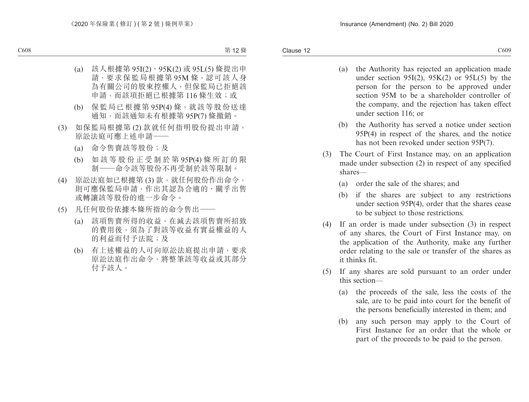- (a) the Authority has rejected an application made under section 95I(2),  $95K(2)$  or 95L(5) by the person for the person to be approved under section 95M to be a shareholder controller of the company, and the rejection has taken effect under section 116; or
- (b) the Authority has served a notice under section 95P(4) in respect of the shares, and the notice has not been revoked under section 95P(7).
- (3) The Court of First Instance may, on an application made under subsection (2) in respect of any specified shares—
	- (a) order the sale of the shares; and
	- (b) if the shares are subject to any restrictions under section 95P(4), order that the shares cease to be subject to those restrictions.
- (4) If an order is made under subsection (3) in respect of any shares, the Court of First Instance may, on the application of the Authority, make any further order relating to the sale or transfer of the shares as it thinks fit.
- (5) If any shares are sold pursuant to an order under this section—
	- (a) the proceeds of the sale, less the costs of the sale, are to be paid into court for the benefit of the persons beneficially interested in them; and
	- (b) any such person may apply to the Court of First Instance for an order that the whole or part of the proceeds to be paid to the person.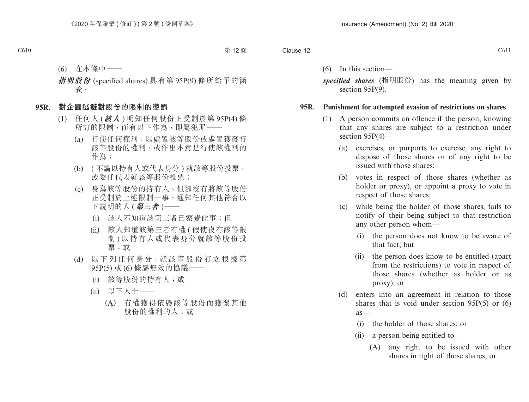(6) In this section—

*specified shares* (指明股份) has the meaning given by section 95P(9).

#### **95R. Punishment for attempted evasion of restrictions on shares**

- (1) A person commits an offence if the person, knowing that any shares are subject to a restriction under section 95P(4)—
	- (a) exercises, or purports to exercise, any right to dispose of those shares or of any right to be issued with those shares;
	- (b) votes in respect of those shares (whether as holder or proxy), or appoint a proxy to vote in respect of those shares;
	- (c) while being the holder of those shares, fails to notify of their being subject to that restriction any other person whom—
		- (i) the person does not know to be aware of that fact; but
		- (ii) the person does know to be entitled (apart from the restrictions) to vote in respect of those shares (whether as holder or as proxy); or
	- (d) enters into an agreement in relation to those shares that is void under section 95P(5) or (6) as—
		- (i) the holder of those shares; or
		- (ii) a person being entitled to—
			- (A) any right to be issued with other shares in right of those shares; or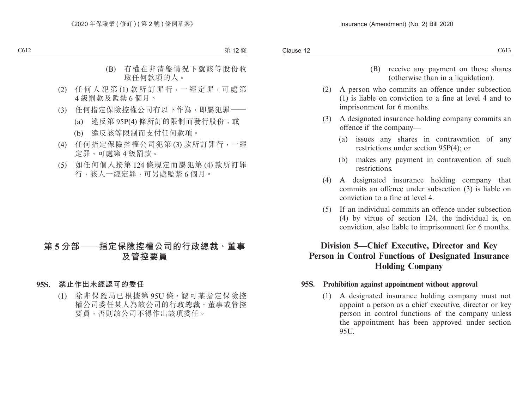- (B) receive any payment on those shares (otherwise than in a liquidation).
- (2) A person who commits an offence under subsection (1) is liable on conviction to a fine at level 4 and to imprisonment for 6 months.
- (3) A designated insurance holding company commits an offence if the company—
	- (a) issues any shares in contravention of any restrictions under section 95P(4); or
	- (b) makes any payment in contravention of such restrictions.
- (4) A designated insurance holding company that commits an offence under subsection (3) is liable on conviction to a fine at level 4.
- (5) If an individual commits an offence under subsection (4) by virtue of section 124, the individual is, on conviction, also liable to imprisonment for 6 months.

# **Division 5—Chief Executive, Director and Key Person in Control Functions of Designated Insurance Holding Company**

### **95S. Prohibition against appointment without approval**

(1) A designated insurance holding company must not appoint a person as a chief executive, director or key person in control functions of the company unless the appointment has been approved under section 95U.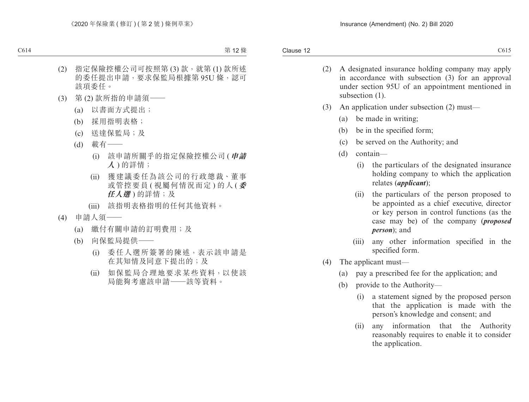- (2) A designated insurance holding company may apply in accordance with subsection (3) for an approval under section 95U of an appointment mentioned in subsection  $(1)$ .
- (3) An application under subsection (2) must—
	- (a) be made in writing;
	- (b) be in the specified form;
	- (c) be served on the Authority; and
	- (d) contain—
		- (i) the particulars of the designated insurance holding company to which the application relates (*applicant*);
		- (ii) the particulars of the person proposed to be appointed as a chief executive, director or key person in control functions (as the case may be) of the company (*proposed person*); and
		- (iii) any other information specified in the specified form.
- (4) The applicant must—
	- (a) pay a prescribed fee for the application; and
	- (b) provide to the Authority—
		- (i) a statement signed by the proposed person that the application is made with the person's knowledge and consent; and
		- (ii) any information that the Authority reasonably requires to enable it to consider the application.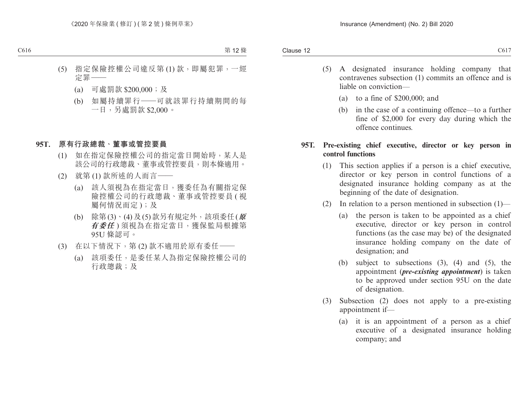- (5) A designated insurance holding company that contravenes subsection (1) commits an offence and is liable on conviction—
	- (a) to a fine of \$200,000; and
	- (b) in the case of a continuing offence—to a further fine of \$2,000 for every day during which the offence continues.

## **95T. Pre-existing chief executive, director or key person in control functions**

- (1) This section applies if a person is a chief executive, director or key person in control functions of a designated insurance holding company as at the beginning of the date of designation.
- (2) In relation to a person mentioned in subsection (1)—
	- (a) the person is taken to be appointed as a chief executive, director or key person in control functions (as the case may be) of the designated insurance holding company on the date of designation; and
	- (b) subject to subsections (3), (4) and (5), the appointment (*pre-existing appointment*) is taken to be approved under section 95U on the date of designation.
- (3) Subsection (2) does not apply to a pre-existing appointment if—
	- (a) it is an appointment of a person as a chief executive of a designated insurance holding company; and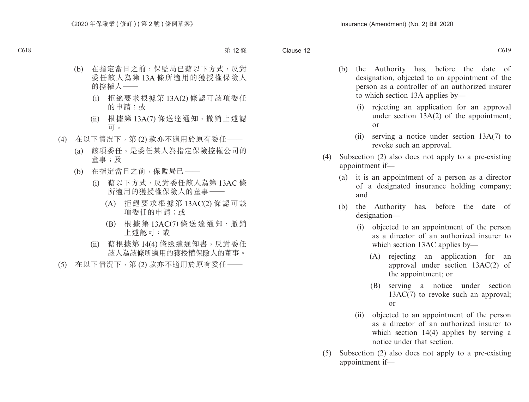- (b) the Authority has, before the date of designation, objected to an appointment of the person as a controller of an authorized insurer to which section 13A applies by—
	- (i) rejecting an application for an approval under section 13A(2) of the appointment; or
	- (ii) serving a notice under section 13A(7) to revoke such an approval.
- (4) Subsection (2) also does not apply to a pre-existing appointment if—
	- (a) it is an appointment of a person as a director of a designated insurance holding company; and
	- (b) the Authority has, before the date of designation—
		- (i) objected to an appointment of the person as a director of an authorized insurer to which section 13AC applies by—
			- (A) rejecting an application for an approval under section 13AC(2) of the appointment; or
			- (B) serving a notice under section 13AC(7) to revoke such an approval; or
		- (ii) objected to an appointment of the person as a director of an authorized insurer to which section 14(4) applies by serving a notice under that section.
- (5) Subsection (2) also does not apply to a pre-existing appointment if—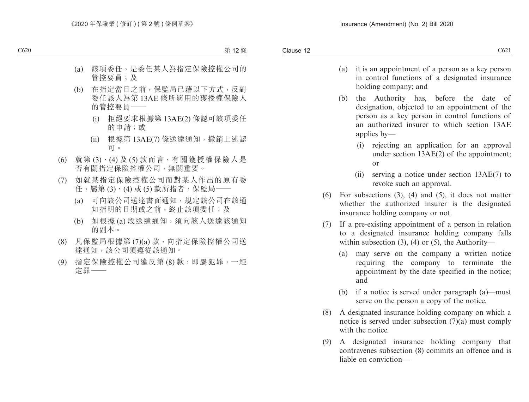- (a) it is an appointment of a person as a key person in control functions of a designated insurance holding company; and
- (b) the Authority has, before the date of designation, objected to an appointment of the person as a key person in control functions of an authorized insurer to which section 13AE applies by—
	- (i) rejecting an application for an approval under section 13AE(2) of the appointment; or
	- (ii) serving a notice under section 13AE(7) to revoke such an approval.
- (6) For subsections (3), (4) and (5), it does not matter whether the authorized insurer is the designated insurance holding company or not.
- (7) If a pre-existing appointment of a person in relation to a designated insurance holding company falls within subsection  $(3)$ ,  $(4)$  or  $(5)$ , the Authority—
	- (a) may serve on the company a written notice requiring the company to terminate the appointment by the date specified in the notice; and
	- (b) if a notice is served under paragraph (a)—must serve on the person a copy of the notice.
- (8) A designated insurance holding company on which a notice is served under subsection  $(7)(a)$  must comply with the notice.
- (9) A designated insurance holding company that contravenes subsection (8) commits an offence and is liable on conviction—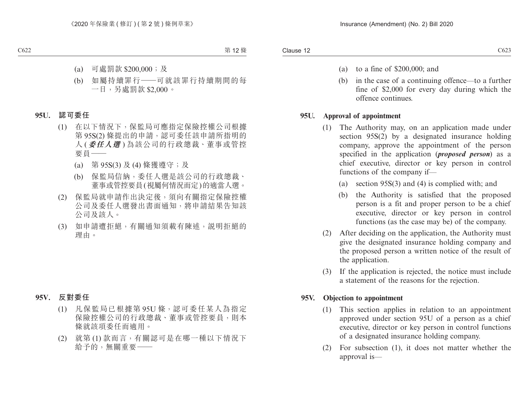- (a) to a fine of \$200,000; and
- (b) in the case of a continuing offence—to a further fine of \$2,000 for every day during which the offence continues.

# **95U. Approval of appointment**

- (1) The Authority may, on an application made under section 95S(2) by a designated insurance holding company, approve the appointment of the person specified in the application (*proposed person*) as a chief executive, director or key person in control functions of the company if—
	- (a) section 95S(3) and (4) is complied with; and
	- (b) the Authority is satisfied that the proposed person is a fit and proper person to be a chief executive, director or key person in control functions (as the case may be) of the company.
- (2) After deciding on the application, the Authority must give the designated insurance holding company and the proposed person a written notice of the result of the application.
- (3) If the application is rejected, the notice must include a statement of the reasons for the rejection.

# **95V. Objection to appointment**

- (1) This section applies in relation to an appointment approved under section 95U of a person as a chief executive, director or key person in control functions of a designated insurance holding company.
- (2) For subsection (1), it does not matter whether the approval is—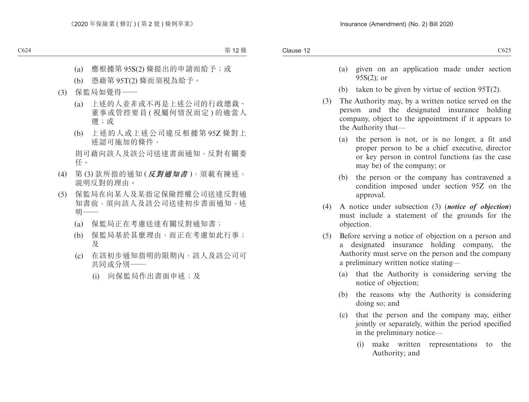- (a) given on an application made under section 95S(2); or
- (b) taken to be given by virtue of section 95T(2).
- (3) The Authority may, by a written notice served on the person and the designated insurance holding company, object to the appointment if it appears to the Authority that—
	- (a) the person is not, or is no longer, a fit and proper person to be a chief executive, director or key person in control functions (as the case may be) of the company; or
	- (b) the person or the company has contravened a condition imposed under section 95Z on the approval.
- (4) A notice under subsection (3) (*notice of objection*) must include a statement of the grounds for the objection.
- (5) Before serving a notice of objection on a person and a designated insurance holding company, the Authority must serve on the person and the company a preliminary written notice stating—
	- (a) that the Authority is considering serving the notice of objection;
	- (b) the reasons why the Authority is considering doing so; and
	- (c) that the person and the company may, either jointly or separately, within the period specified in the preliminary notice—
		- (i) make written representations to the Authority; and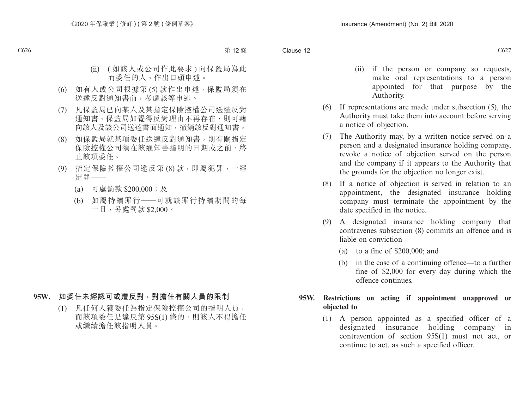- (ii) if the person or company so requests, make oral representations to a person appointed for that purpose by the Authority.
- (6) If representations are made under subsection (5), the Authority must take them into account before serving a notice of objection.
- (7) The Authority may, by a written notice served on a person and a designated insurance holding company, revoke a notice of objection served on the person and the company if it appears to the Authority that the grounds for the objection no longer exist.
- (8) If a notice of objection is served in relation to an appointment, the designated insurance holding company must terminate the appointment by the date specified in the notice.
- (9) A designated insurance holding company that contravenes subsection (8) commits an offence and is liable on conviction—
	- (a) to a fine of \$200,000; and
	- (b) in the case of a continuing offence—to a further fine of \$2,000 for every day during which the offence continues.

# **95W. Restrictions on acting if appointment unapproved or objected to**

(1) A person appointed as a specified officer of a designated insurance holding company in contravention of section 95S(1) must not act, or continue to act, as such a specified officer.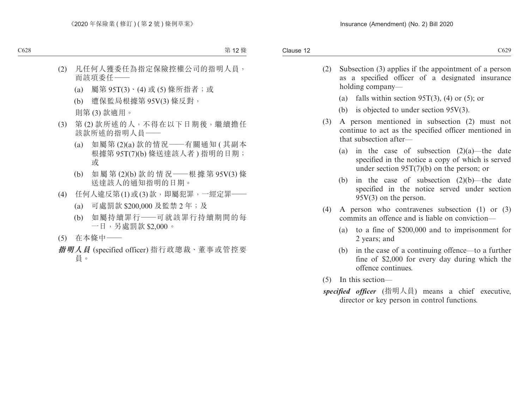- (2) Subsection (3) applies if the appointment of a person as a specified officer of a designated insurance holding company—
	- (a) falls within section 95T(3), (4) or (5); or
	- (b) is objected to under section 95V(3).
- (3) A person mentioned in subsection (2) must not continue to act as the specified officer mentioned in that subsection after—
	- (a) in the case of subsection  $(2)(a)$ —the date specified in the notice a copy of which is served under section 95T(7)(b) on the person; or
	- (b) in the case of subsection (2)(b)—the date specified in the notice served under section 95V(3) on the person.
- (4) A person who contravenes subsection (1) or (3) commits an offence and is liable on conviction—
	- (a) to a fine of \$200,000 and to imprisonment for 2 years; and
	- (b) in the case of a continuing offence—to a further fine of \$2,000 for every day during which the offence continues.
- (5) In this section—
- *specified officer* (指明人員) means a chief executive, director or key person in control functions.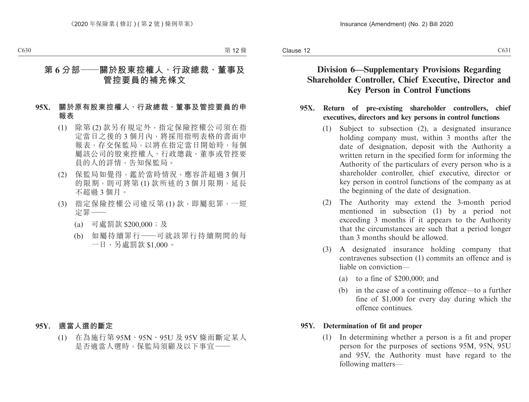# **Division 6—Supplementary Provisions Regarding Shareholder Controller, Chief Executive, Director and Key Person in Control Functions**

#### **95X. Return of pre-existing shareholder controllers, chief executives, directors and key persons in control functions**

- (1) Subject to subsection (2), a designated insurance holding company must, within 3 months after the date of designation, deposit with the Authority a written return in the specified form for informing the Authority of the particulars of every person who is a shareholder controller, chief executive, director or key person in control functions of the company as at the beginning of the date of designation.
- (2) The Authority may extend the 3-month period mentioned in subsection (1) by a period not exceeding 3 months if it appears to the Authority that the circumstances are such that a period longer than 3 months should be allowed.
- (3) A designated insurance holding company that contravenes subsection (1) commits an offence and is liable on conviction—
	- (a) to a fine of \$200,000; and
	- (b) in the case of a continuing offence—to a further fine of \$1,000 for every day during which the offence continues.

### **95Y. Determination of fit and proper**

(1) In determining whether a person is a fit and proper person for the purposes of sections 95M, 95N, 95U and 95V, the Authority must have regard to the following matters—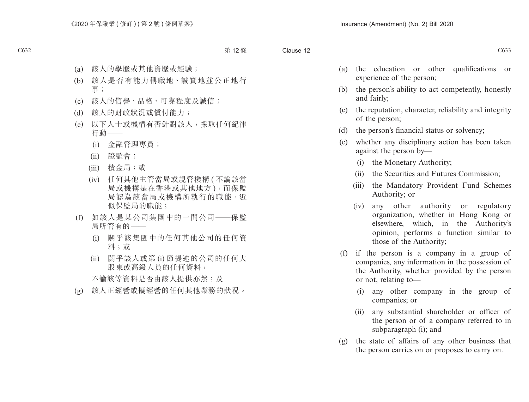- (a) the education or other qualifications or experience of the person;
- (b) the person's ability to act competently, honestly and fairly;
- (c) the reputation, character, reliability and integrity of the person;
- (d) the person's financial status or solvency;
- (e) whether any disciplinary action has been taken against the person by—
	- (i) the Monetary Authority;
	- (ii) the Securities and Futures Commission;
	- (iii) the Mandatory Provident Fund Schemes Authority; or
	- (iv) any other authority or regulatory organization, whether in Hong Kong or elsewhere, which, in the Authority's opinion, performs a function similar to those of the Authority;
- (f) if the person is a company in a group of companies, any information in the possession of the Authority, whether provided by the person or not, relating to—
	- (i) any other company in the group of companies; or
	- (ii) any substantial shareholder or officer of the person or of a company referred to in subparagraph (i); and
- (g) the state of affairs of any other business that the person carries on or proposes to carry on.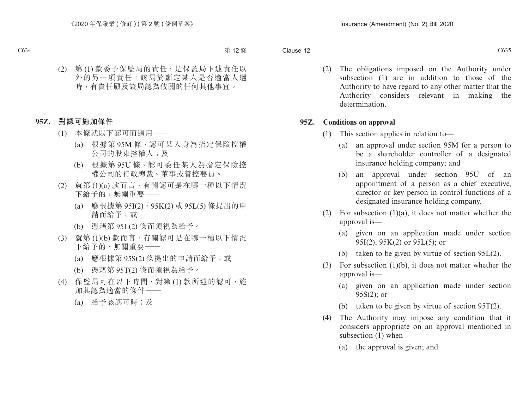(2) The obligations imposed on the Authority under subsection (1) are in addition to those of the Authority to have regard to any other matter that the Authority considers relevant in making the determination.

### **95Z. Conditions on approval**

- (1) This section applies in relation to—
	- (a) an approval under section 95M for a person to be a shareholder controller of a designated insurance holding company; and
	- (b) an approval under section 95U of an appointment of a person as a chief executive, director or key person in control functions of a designated insurance holding company.
- (2) For subsection  $(1)(a)$ , it does not matter whether the approval is—
	- (a) given on an application made under section 95I(2), 95K(2) or 95L(5); or
	- (b) taken to be given by virtue of section 95L(2).
- (3) For subsection (1)(b), it does not matter whether the approval is—
	- (a) given on an application made under section 95S(2); or
	- (b) taken to be given by virtue of section 95T(2).
- (4) The Authority may impose any condition that it considers appropriate on an approval mentioned in subsection (1) when—
	- (a) the approval is given; and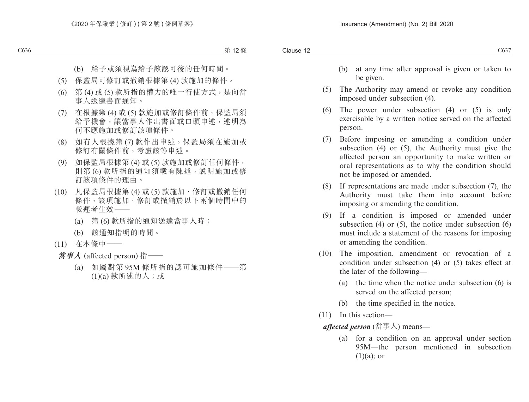- (b) at any time after approval is given or taken to be given.
- (5) The Authority may amend or revoke any condition imposed under subsection (4).
- (6) The power under subsection (4) or (5) is only exercisable by a written notice served on the affected person.
- (7) Before imposing or amending a condition under subsection (4) or (5), the Authority must give the affected person an opportunity to make written or oral representations as to why the condition should not be imposed or amended.
- (8) If representations are made under subsection (7), the Authority must take them into account before imposing or amending the condition.
- (9) If a condition is imposed or amended under subsection  $(4)$  or  $(5)$ , the notice under subsection  $(6)$ must include a statement of the reasons for imposing or amending the condition.
- (10) The imposition, amendment or revocation of a condition under subsection (4) or (5) takes effect at the later of the following—
	- (a) the time when the notice under subsection (6) is served on the affected person;
	- (b) the time specified in the notice.
- (11) In this section—

*affected person* (當事人) means—

(a) for a condition on an approval under section 95M—the person mentioned in subsection  $(1)(a)$ ; or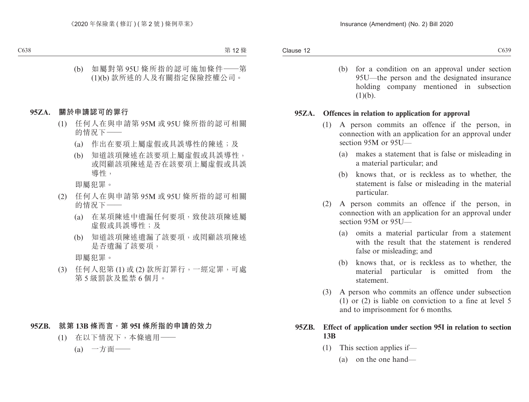(b) for a condition on an approval under section 95U—the person and the designated insurance holding company mentioned in subsection  $(1)(b)$ .

### **95ZA. Offences in relation to application for approval**

- (1) A person commits an offence if the person, in connection with an application for an approval under section 95M or 95U—
	- (a) makes a statement that is false or misleading in a material particular; and
	- (b) knows that, or is reckless as to whether, the statement is false or misleading in the material particular.
- (2) A person commits an offence if the person, in connection with an application for an approval under section 95M or 95U—
	- (a) omits a material particular from a statement with the result that the statement is rendered false or misleading; and
	- (b) knows that, or is reckless as to whether, the material particular is omitted from the statement.
- (3) A person who commits an offence under subsection (1) or (2) is liable on conviction to a fine at level 5 and to imprisonment for 6 months.

## **95ZB. Effect of application under section 95I in relation to section 13B**

- (1) This section applies if—
	- (a) on the one hand—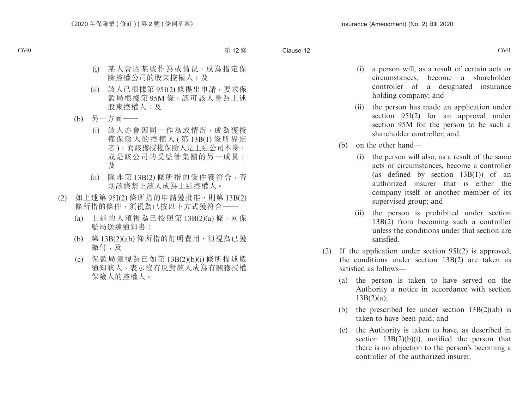- (i) a person will, as a result of certain acts or circumstances, become a shareholder controller of a designated insurance holding company; and
- (ii) the person has made an application under section 95I(2) for an approval under section 95M for the person to be such a shareholder controller; and
- (b) on the other hand—
	- (i) the person will also, as a result of the same acts or circumstances, become a controller (as defined by section 13B(1)) of an authorized insurer that is either the company itself or another member of its supervised group; and
	- (ii) the person is prohibited under section 13B(2) from becoming such a controller unless the conditions under that section are satisfied.
- (2) If the application under section 95I(2) is approved, the conditions under section 13B(2) are taken as satisfied as follows—
	- (a) the person is taken to have served on the Authority a notice in accordance with section 13B(2)(a);
	- (b) the prescribed fee under section  $13B(2)(ab)$  is taken to have been paid; and
	- (c) the Authority is taken to have, as described in section 13B(2)(b)(i), notified the person that there is no objection to the person's becoming a controller of the authorized insurer.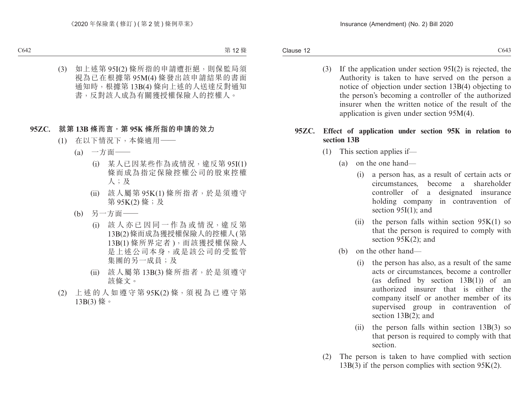(3) If the application under section 95I(2) is rejected, the Authority is taken to have served on the person a notice of objection under section 13B(4) objecting to the person's becoming a controller of the authorized insurer when the written notice of the result of the application is given under section 95M(4).

# **95ZC. Effect of application under section 95K in relation to section 13B**

- (1) This section applies if—
	- (a) on the one hand—
		- (i) a person has, as a result of certain acts or circumstances, become a shareholder controller of a designated insurance holding company in contravention of section 95I(1); and
		- (ii) the person falls within section  $95K(1)$  so that the person is required to comply with section 95K(2); and
	- (b) on the other hand—
		- (i) the person has also, as a result of the same acts or circumstances, become a controller (as defined by section 13B(1)) of an authorized insurer that is either the company itself or another member of its supervised group in contravention of section 13B(2); and
		- (ii) the person falls within section 13B(3) so that person is required to comply with that section.
- (2) The person is taken to have complied with section  $13B(3)$  if the person complies with section 95K(2).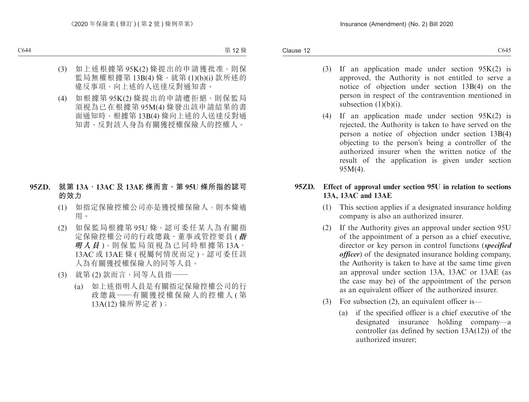- (3) If an application made under section 95K(2) is approved, the Authority is not entitled to serve a notice of objection under section 13B(4) on the person in respect of the contravention mentioned in subsection (1)(b)(i).
- (4) If an application made under section  $95K(2)$  is rejected, the Authority is taken to have served on the person a notice of objection under section 13B(4) objecting to the person's being a controller of the authorized insurer when the written notice of the result of the application is given under section 95M(4).

## **95ZD. Effect of approval under section 95U in relation to sections 13A, 13AC and 13AE**

- (1) This section applies if a designated insurance holding company is also an authorized insurer.
- (2) If the Authority gives an approval under section 95U of the appointment of a person as a chief executive, director or key person in control functions (*specified officer*) of the designated insurance holding company, the Authority is taken to have at the same time given an approval under section 13A, 13AC or 13AE (as the case may be) of the appointment of the person as an equivalent officer of the authorized insurer.
- (3) For subsection (2), an equivalent officer is—
	- (a) if the specified officer is a chief executive of the designated insurance holding company—a controller (as defined by section 13A(12)) of the authorized insurer;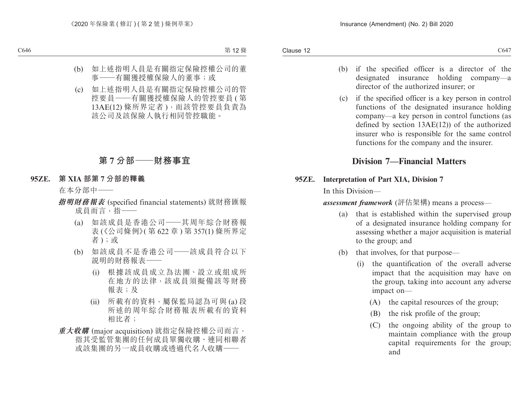- (b) if the specified officer is a director of the designated insurance holding company—a director of the authorized insurer; or
- (c) if the specified officer is a key person in control functions of the designated insurance holding company—a key person in control functions (as defined by section 13AE(12)) of the authorized insurer who is responsible for the same control functions for the company and the insurer.

# **Division 7—Financial Matters**

### **95ZE. Interpretation of Part XIA, Division 7**

In this Division—

*assessment framework* (評估架構) means a process—

- (a) that is established within the supervised group of a designated insurance holding company for assessing whether a major acquisition is material to the group; and
- (b) that involves, for that purpose—
	- (i) the quantification of the overall adverse impact that the acquisition may have on the group, taking into account any adverse impact on—
		- (A) the capital resources of the group;
		- (B) the risk profile of the group;
		- (C) the ongoing ability of the group to maintain compliance with the group capital requirements for the group; and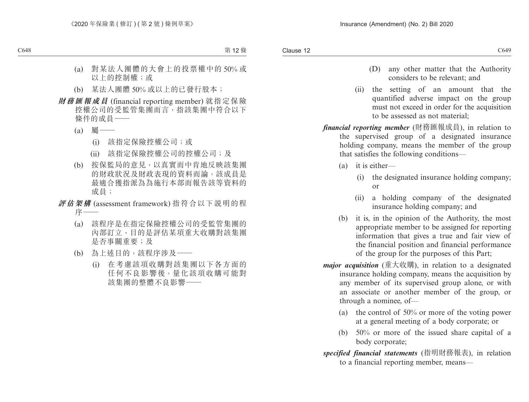- (D) any other matter that the Authority considers to be relevant; and
- (ii) the setting of an amount that the quantified adverse impact on the group must not exceed in order for the acquisition to be assessed as not material;
- *financial reporting member* (財務匯報成員), in relation to the supervised group of a designated insurance holding company, means the member of the group that satisfies the following conditions—
	- (a) it is either—
		- (i) the designated insurance holding company; or
		- (ii) a holding company of the designated insurance holding company; and
	- (b) it is, in the opinion of the Authority, the most appropriate member to be assigned for reporting information that gives a true and fair view of the financial position and financial performance of the group for the purposes of this Part;
- *major acquisition* (重大收購), in relation to a designated insurance holding company, means the acquisition by any member of its supervised group alone, or with an associate or another member of the group, or through a nominee, of—
	- (a) the control of 50% or more of the voting power at a general meeting of a body corporate; or
	- (b) 50% or more of the issued share capital of a body corporate;
- *specified financial statements* (指明財務報表), in relation to a financial reporting member, means—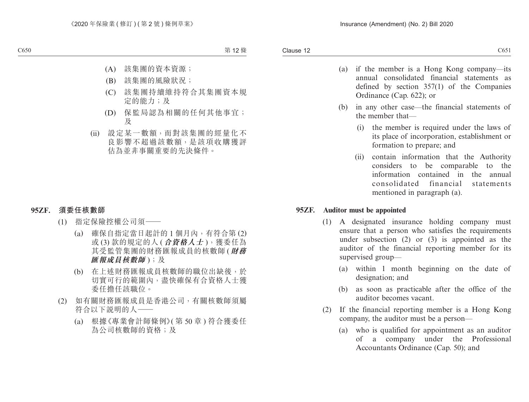- (a) if the member is a Hong Kong company—its annual consolidated financial statements as defined by section 357(1) of the Companies Ordinance (Cap. 622); or
- (b) in any other case—the financial statements of the member that—
	- (i) the member is required under the laws of its place of incorporation, establishment or formation to prepare; and
	- (ii) contain information that the Authority considers to be comparable to the information contained in the annual consolidated financial statements mentioned in paragraph (a).

### **95ZF. Auditor must be appointed**

- (1) A designated insurance holding company must ensure that a person who satisfies the requirements under subsection (2) or (3) is appointed as the auditor of the financial reporting member for its supervised group—
	- (a) within 1 month beginning on the date of designation; and
	- (b) as soon as practicable after the office of the auditor becomes vacant.
- (2) If the financial reporting member is a Hong Kong company, the auditor must be a person—
	- (a) who is qualified for appointment as an auditor of a company under the Professional Accountants Ordinance (Cap. 50); and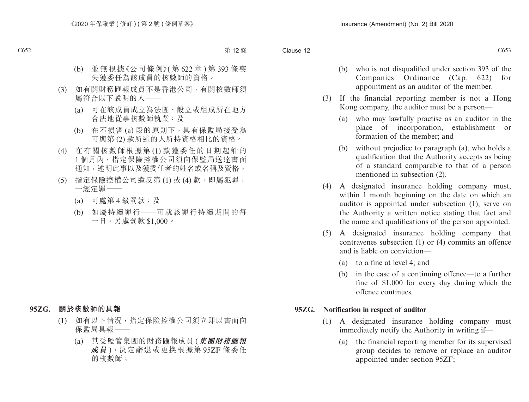- (b) who is not disqualified under section 393 of the Companies Ordinance (Cap. 622) for appointment as an auditor of the member.
- (3) If the financial reporting member is not a Hong Kong company, the auditor must be a person—
	- (a) who may lawfully practise as an auditor in the place of incorporation, establishment or formation of the member; and
	- (b) without prejudice to paragraph (a), who holds a qualification that the Authority accepts as being of a standard comparable to that of a person mentioned in subsection (2).
- (4) A designated insurance holding company must, within 1 month beginning on the date on which an auditor is appointed under subsection (1), serve on the Authority a written notice stating that fact and the name and qualifications of the person appointed.
- (5) A designated insurance holding company that contravenes subsection (1) or (4) commits an offence and is liable on conviction—
	- (a) to a fine at level 4; and
	- (b) in the case of a continuing offence—to a further fine of \$1,000 for every day during which the offence continues.

### **95ZG. Notification in respect of auditor**

- (1) A designated insurance holding company must immediately notify the Authority in writing if—
	- (a) the financial reporting member for its supervised group decides to remove or replace an auditor appointed under section 95ZF;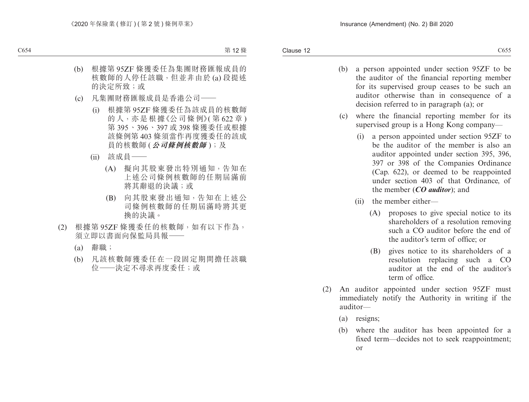- (b) a person appointed under section 95ZF to be the auditor of the financial reporting member for its supervised group ceases to be such an auditor otherwise than in consequence of a decision referred to in paragraph (a); or
- (c) where the financial reporting member for its supervised group is a Hong Kong company—
	- (i) a person appointed under section 95ZF to be the auditor of the member is also an auditor appointed under section 395, 396, 397 or 398 of the Companies Ordinance (Cap. 622), or deemed to be reappointed under section 403 of that Ordinance, of the member (*CO auditor*); and
	- (ii) the member either—
		- (A) proposes to give special notice to its shareholders of a resolution removing such a CO auditor before the end of the auditor's term of office; or
		- (B) gives notice to its shareholders of a resolution replacing such a CO auditor at the end of the auditor's term of office.
- (2) An auditor appointed under section 95ZF must immediately notify the Authority in writing if the auditor—
	- (a) resigns;
	- (b) where the auditor has been appointed for a fixed term—decides not to seek reappointment; or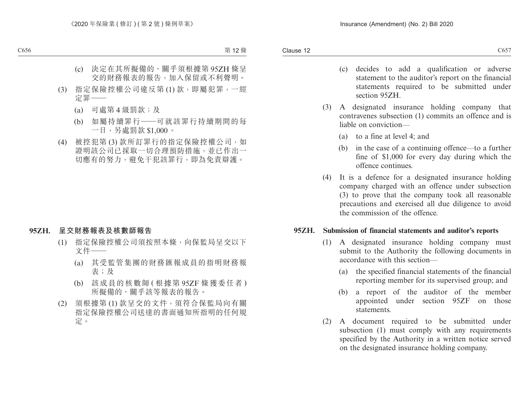- (c) decides to add a qualification or adverse statement to the auditor's report on the financial statements required to be submitted under section 95ZH.
- (3) A designated insurance holding company that contravenes subsection (1) commits an offence and is liable on conviction—
	- (a) to a fine at level 4; and
	- (b) in the case of a continuing offence—to a further fine of \$1,000 for every day during which the offence continues.
- (4) It is a defence for a designated insurance holding company charged with an offence under subsection (3) to prove that the company took all reasonable precautions and exercised all due diligence to avoid the commission of the offence.

### **95ZH. Submission of financial statements and auditor's reports**

- (1) A designated insurance holding company must submit to the Authority the following documents in accordance with this section—
	- (a) the specified financial statements of the financial reporting member for its supervised group; and
	- (b) a report of the auditor of the member appointed under section 95ZF on those statements.
- (2) A document required to be submitted under subsection (1) must comply with any requirements specified by the Authority in a written notice served on the designated insurance holding company.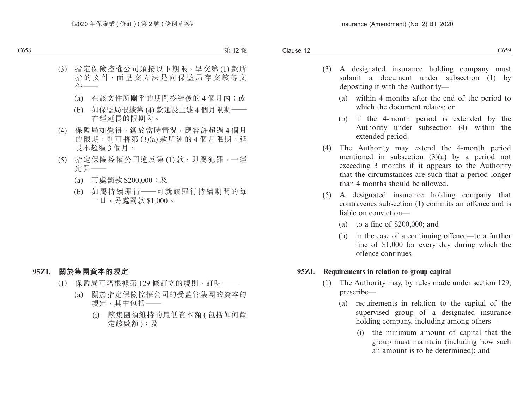- (3) A designated insurance holding company must submit a document under subsection (1) by depositing it with the Authority—
	- (a) within 4 months after the end of the period to which the document relates; or
	- (b) if the 4-month period is extended by the Authority under subsection (4)—within the extended period.
- (4) The Authority may extend the 4-month period mentioned in subsection (3)(a) by a period not exceeding 3 months if it appears to the Authority that the circumstances are such that a period longer than 4 months should be allowed.
- (5) A designated insurance holding company that contravenes subsection (1) commits an offence and is liable on conviction—
	- (a) to a fine of \$200,000; and
	- (b) in the case of a continuing offence—to a further fine of \$1,000 for every day during which the offence continues.

### **95ZI. Requirements in relation to group capital**

- (1) The Authority may, by rules made under section 129, prescribe—
	- (a) requirements in relation to the capital of the supervised group of a designated insurance holding company, including among others—
		- (i) the minimum amount of capital that the group must maintain (including how such an amount is to be determined); and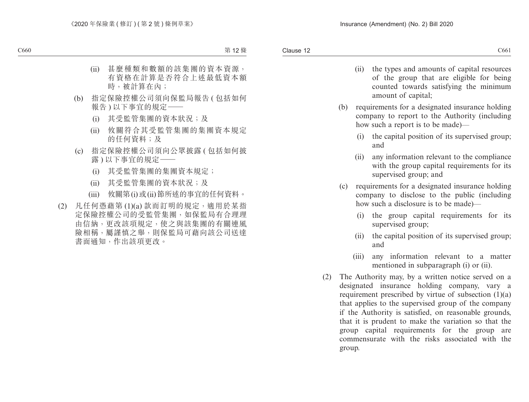- (ii) the types and amounts of capital resources of the group that are eligible for being counted towards satisfying the minimum
- amount of capital; (b) requirements for a designated insurance holding company to report to the Authority (including how such a report is to be made)—
	- (i) the capital position of its supervised group; and
	- (ii) any information relevant to the compliance with the group capital requirements for its supervised group; and
- (c) requirements for a designated insurance holding company to disclose to the public (including how such a disclosure is to be made)—
	- (i) the group capital requirements for its supervised group;
	- (ii) the capital position of its supervised group; and
	- (iii) any information relevant to a matter mentioned in subparagraph (i) or (ii).
- (2) The Authority may, by a written notice served on a designated insurance holding company, vary a requirement prescribed by virtue of subsection (1)(a) that applies to the supervised group of the company if the Authority is satisfied, on reasonable grounds, that it is prudent to make the variation so that the group capital requirements for the group are commensurate with the risks associated with the group.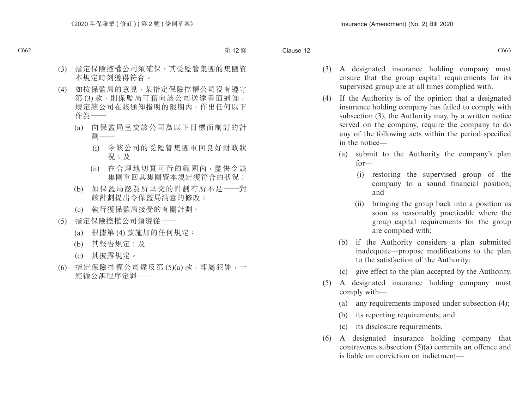- (3) A designated insurance holding company must ensure that the group capital requirements for its supervised group are at all times complied with.
- (4) If the Authority is of the opinion that a designated insurance holding company has failed to comply with subsection (3), the Authority may, by a written notice served on the company, require the company to do any of the following acts within the period specified in the notice—
	- (a) submit to the Authority the company's plan for—
		- (i) restoring the supervised group of the company to a sound financial position; and
		- (ii) bringing the group back into a position as soon as reasonably practicable where the group capital requirements for the group are complied with;
	- (b) if the Authority considers a plan submitted inadequate—propose modifications to the plan to the satisfaction of the Authority;
	- (c) give effect to the plan accepted by the Authority.
- (5) A designated insurance holding company must comply with—
	- (a) any requirements imposed under subsection (4);
	- (b) its reporting requirements; and
	- (c) its disclosure requirements.
- (6) A designated insurance holding company that contravenes subsection (5)(a) commits an offence and is liable on conviction on indictment—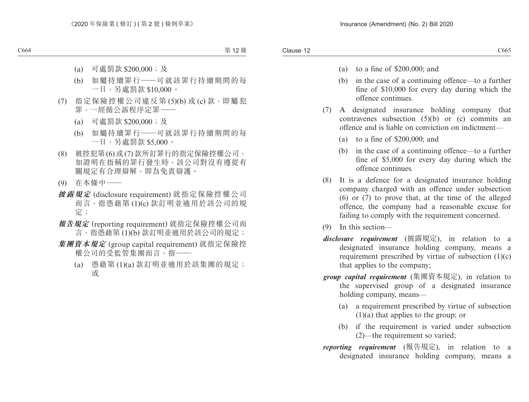- (a) to a fine of \$200,000; and
- (b) in the case of a continuing offence—to a further fine of \$10,000 for every day during which the offence continues.
- (7) A designated insurance holding company that contravenes subsection (5)(b) or (c) commits an offence and is liable on conviction on indictment—
	- (a) to a fine of \$200,000; and
	- (b) in the case of a continuing offence—to a further fine of \$5,000 for every day during which the offence continues.
- (8) It is a defence for a designated insurance holding company charged with an offence under subsection (6) or (7) to prove that, at the time of the alleged offence, the company had a reasonable excuse for failing to comply with the requirement concerned.
- (9) In this section—
- *disclosure requirement* (披露規定), in relation to a designated insurance holding company, means a requirement prescribed by virtue of subsection (1)(c) that applies to the company;
- *group capital requirement* (集團資本規定), in relation to the supervised group of a designated insurance holding company, means—
	- (a) a requirement prescribed by virtue of subsection (1)(a) that applies to the group; or
	- (b) if the requirement is varied under subsection (2)—the requirement so varied;
- *reporting requirement* (報告規定), in relation to a designated insurance holding company, means a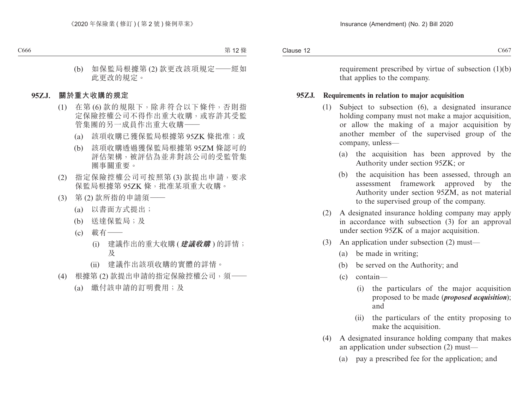requirement prescribed by virtue of subsection (1)(b) that applies to the company.

### **95ZJ. Requirements in relation to major acquisition**

- (1) Subject to subsection (6), a designated insurance holding company must not make a major acquisition, or allow the making of a major acquisition by another member of the supervised group of the company, unless—
	- (a) the acquisition has been approved by the Authority under section 95ZK; or
	- (b) the acquisition has been assessed, through an assessment framework approved by the Authority under section 95ZM, as not material to the supervised group of the company.
- (2) A designated insurance holding company may apply in accordance with subsection (3) for an approval under section 95ZK of a major acquisition.
- (3) An application under subsection (2) must—
	- (a) be made in writing;
	- (b) be served on the Authority; and
	- (c) contain—
		- (i) the particulars of the major acquisition proposed to be made (*proposed acquisition*); and
		- (ii) the particulars of the entity proposing to make the acquisition.
- (4) A designated insurance holding company that makes an application under subsection (2) must—
	- (a) pay a prescribed fee for the application; and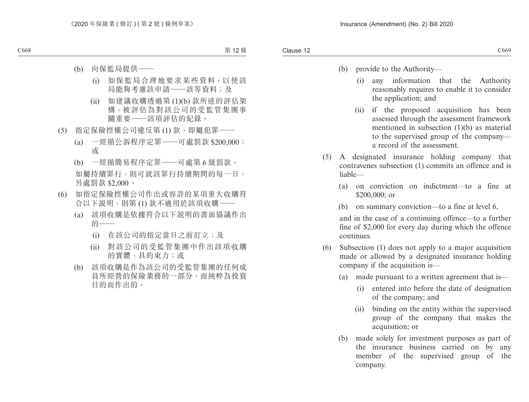- (b) provide to the Authority—
	- (i) any information that the Authority reasonably requires to enable it to consider the application; and
	- (ii) if the proposed acquisition has been assessed through the assessment framework mentioned in subsection (1)(b) as material to the supervised group of the company a record of the assessment.
- (5) A designated insurance holding company that contravenes subsection (1) commits an offence and is liable—
	- (a) on conviction on indictment—to a fine at \$200,000; or
	- (b) on summary conviction—to a fine at level 6,

and in the case of a continuing offence—to a further fine of \$2,000 for every day during which the offence continues.

- (6) Subsection (1) does not apply to a major acquisition made or allowed by a designated insurance holding company if the acquisition is—
	- (a) made pursuant to a written agreement that is—
		- (i) entered into before the date of designation of the company; and
		- (ii) binding on the entity within the supervised group of the company that makes the acquisition; or
	- (b) made solely for investment purposes as part of the insurance business carried on by any member of the supervised group of the company.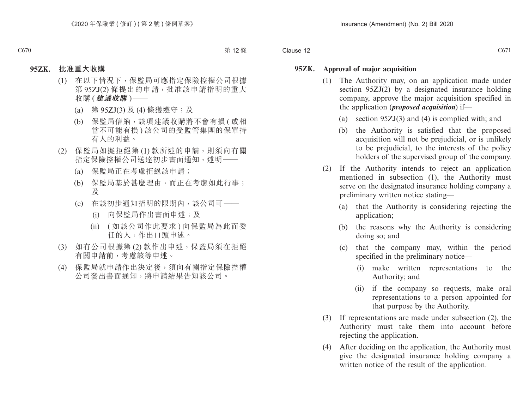#### **95ZK. Approval of major acquisition**

- (1) The Authority may, on an application made under section 95ZJ(2) by a designated insurance holding company, approve the major acquisition specified in the application (*proposed acquisition*) if—
	- (a) section 95ZJ(3) and (4) is complied with; and
	- (b) the Authority is satisfied that the proposed acquisition will not be prejudicial, or is unlikely to be prejudicial, to the interests of the policy holders of the supervised group of the company.
- (2) If the Authority intends to reject an application mentioned in subsection (1), the Authority must serve on the designated insurance holding company a preliminary written notice stating—
	- (a) that the Authority is considering rejecting the application;
	- (b) the reasons why the Authority is considering doing so; and
	- (c) that the company may, within the period specified in the preliminary notice—
		- (i) make written representations to the Authority; and
		- (ii) if the company so requests, make oral representations to a person appointed for that purpose by the Authority.
- (3) If representations are made under subsection (2), the Authority must take them into account before rejecting the application.
- (4) After deciding on the application, the Authority must give the designated insurance holding company a written notice of the result of the application.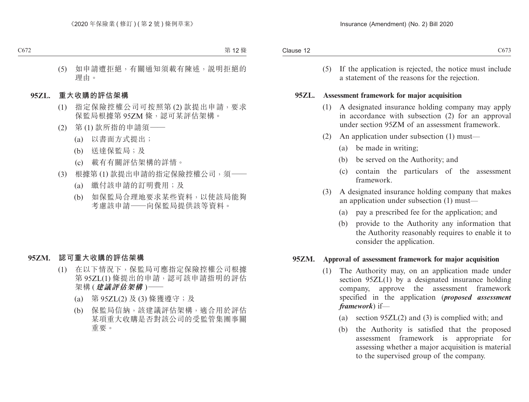(5) If the application is rejected, the notice must include a statement of the reasons for the rejection.

#### **95ZL. Assessment framework for major acquisition**

- (1) A designated insurance holding company may apply in accordance with subsection (2) for an approval under section 95ZM of an assessment framework.
- (2) An application under subsection (1) must—
	- (a) be made in writing;
	- (b) be served on the Authority; and
	- (c) contain the particulars of the assessment framework.
- (3) A designated insurance holding company that makes an application under subsection (1) must—
	- (a) pay a prescribed fee for the application; and
	- (b) provide to the Authority any information that the Authority reasonably requires to enable it to consider the application.

### **95ZM. Approval of assessment framework for major acquisition**

- (1) The Authority may, on an application made under section 95ZL(1) by a designated insurance holding company, approve the assessment framework specified in the application (*proposed assessment framework*) if—
	- (a) section 95ZL(2) and (3) is complied with; and
	- (b) the Authority is satisfied that the proposed assessment framework is appropriate for assessing whether a major acquisition is material to the supervised group of the company.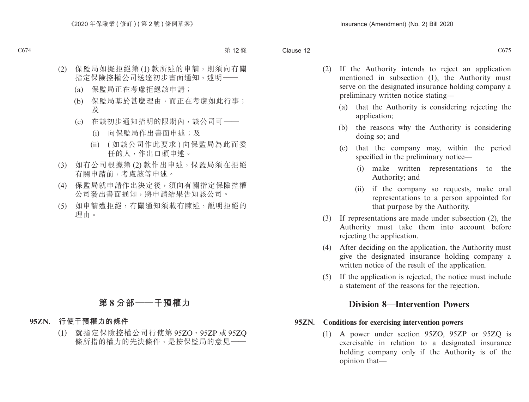- (2) If the Authority intends to reject an application mentioned in subsection (1), the Authority must serve on the designated insurance holding company a preliminary written notice stating—
	- (a) that the Authority is considering rejecting the application;
	- (b) the reasons why the Authority is considering doing so; and
	- (c) that the company may, within the period specified in the preliminary notice—
		- (i) make written representations to the Authority; and
		- (ii) if the company so requests, make oral representations to a person appointed for that purpose by the Authority.
- (3) If representations are made under subsection (2), the Authority must take them into account before rejecting the application.
- (4) After deciding on the application, the Authority must give the designated insurance holding company a written notice of the result of the application.
- (5) If the application is rejected, the notice must include a statement of the reasons for the rejection.

## **Division 8—Intervention Powers**

### **95ZN. Conditions for exercising intervention powers**

(1) A power under section 95ZO, 95ZP or 95ZQ is exercisable in relation to a designated insurance holding company only if the Authority is of the opinion that—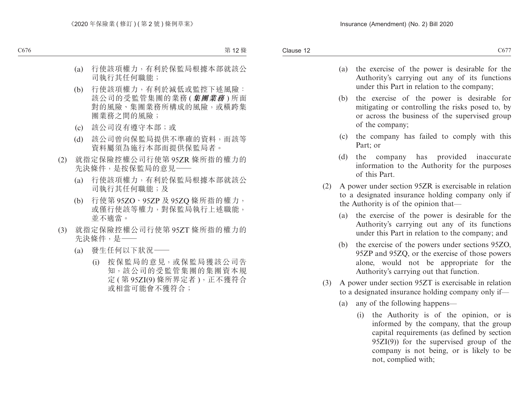- (a) the exercise of the power is desirable for the Authority's carrying out any of its functions under this Part in relation to the company;
- (b) the exercise of the power is desirable for mitigating or controlling the risks posed to, by or across the business of the supervised group of the company;
- (c) the company has failed to comply with this Part; or
- (d) the company has provided inaccurate information to the Authority for the purposes of this Part.
- (2) A power under section 95ZR is exercisable in relation to a designated insurance holding company only if the Authority is of the opinion that—
	- (a) the exercise of the power is desirable for the Authority's carrying out any of its functions under this Part in relation to the company; and
	- (b) the exercise of the powers under sections 95ZO, 95ZP and 95ZQ, or the exercise of those powers alone, would not be appropriate for the Authority's carrying out that function.
- (3) A power under section 95ZT is exercisable in relation to a designated insurance holding company only if—
	- (a) any of the following happens—
		- (i) the Authority is of the opinion, or is informed by the company, that the group capital requirements (as defined by section 95ZI(9)) for the supervised group of the company is not being, or is likely to be not, complied with;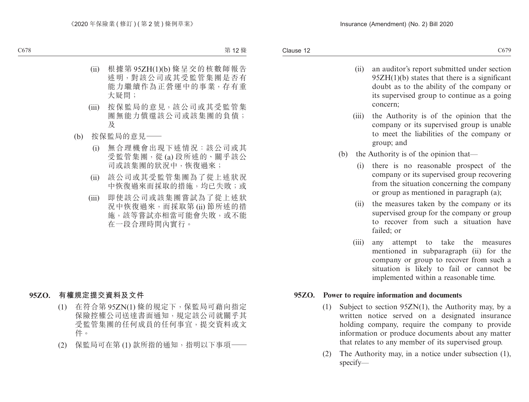concern;

- (ii) an auditor's report submitted under section 95ZH(1)(b) states that there is a significant doubt as to the ability of the company or
- (iii) the Authority is of the opinion that the company or its supervised group is unable to meet the liabilities of the company or group; and

its supervised group to continue as a going

- (b) the Authority is of the opinion that—
	- (i) there is no reasonable prospect of the company or its supervised group recovering from the situation concerning the company or group as mentioned in paragraph (a);
	- (ii) the measures taken by the company or its supervised group for the company or group to recover from such a situation have failed; or
	- (iii) any attempt to take the measures mentioned in subparagraph (ii) for the company or group to recover from such a situation is likely to fail or cannot be implemented within a reasonable time.

### **95ZO. Power to require information and documents**

- (1) Subject to section 95ZN(1), the Authority may, by a written notice served on a designated insurance holding company, require the company to provide information or produce documents about any matter that relates to any member of its supervised group.
- (2) The Authority may, in a notice under subsection (1), specify—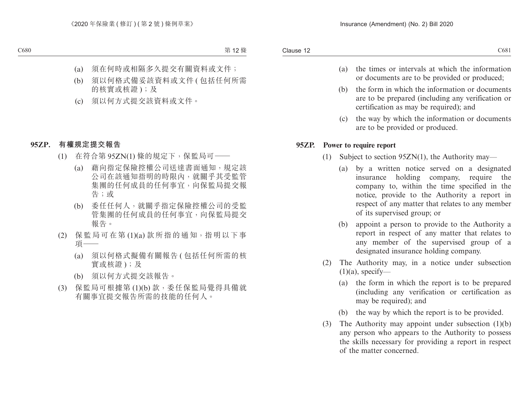- (a) the times or intervals at which the information or documents are to be provided or produced;
- (b) the form in which the information or documents are to be prepared (including any verification or certification as may be required); and
- (c) the way by which the information or documents are to be provided or produced.

### **95ZP. Power to require report**

- (1) Subject to section 95ZN(1), the Authority may—
	- (a) by a written notice served on a designated insurance holding company, require the company to, within the time specified in the notice, provide to the Authority a report in respect of any matter that relates to any member of its supervised group; or
	- (b) appoint a person to provide to the Authority a report in respect of any matter that relates to any member of the supervised group of a designated insurance holding company.
- (2) The Authority may, in a notice under subsection  $(1)(a)$ , specify—
	- (a) the form in which the report is to be prepared (including any verification or certification as may be required); and
	- (b) the way by which the report is to be provided.
- (3) The Authority may appoint under subsection (1)(b) any person who appears to the Authority to possess the skills necessary for providing a report in respect of the matter concerned.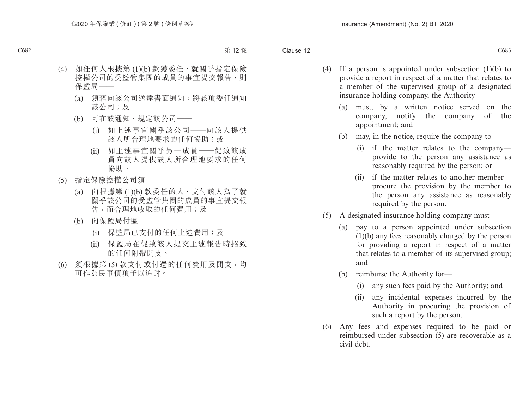- (4) If a person is appointed under subsection (1)(b) to provide a report in respect of a matter that relates to a member of the supervised group of a designated insurance holding company, the Authority—
	- (a) must, by a written notice served on the company, notify the company of the appointment; and
	- (b) may, in the notice, require the company to—
		- (i) if the matter relates to the company provide to the person any assistance as reasonably required by the person; or
		- (ii) if the matter relates to another member procure the provision by the member to the person any assistance as reasonably required by the person.
- (5) A designated insurance holding company must—
	- (a) pay to a person appointed under subsection (1)(b) any fees reasonably charged by the person for providing a report in respect of a matter that relates to a member of its supervised group; and
	- (b) reimburse the Authority for—
		- (i) any such fees paid by the Authority; and
		- (ii) any incidental expenses incurred by the Authority in procuring the provision of such a report by the person.
- (6) Any fees and expenses required to be paid or reimbursed under subsection (5) are recoverable as a civil debt.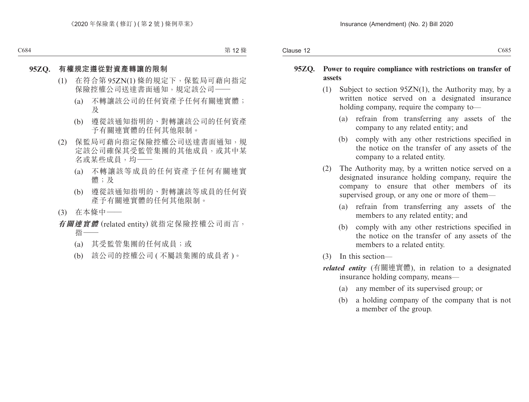### **95ZQ. Power to require compliance with restrictions on transfer of assets**

- (1) Subject to section 95ZN(1), the Authority may, by a written notice served on a designated insurance holding company, require the company to—
	- (a) refrain from transferring any assets of the company to any related entity; and
	- (b) comply with any other restrictions specified in the notice on the transfer of any assets of the company to a related entity.
- (2) The Authority may, by a written notice served on a designated insurance holding company, require the company to ensure that other members of its supervised group, or any one or more of them—
	- (a) refrain from transferring any assets of the members to any related entity; and
	- (b) comply with any other restrictions specified in the notice on the transfer of any assets of the members to a related entity.
- (3) In this section—
- *related entity* (有關連實體), in relation to a designated insurance holding company, means—
	- (a) any member of its supervised group; or
	- (b) a holding company of the company that is not a member of the group.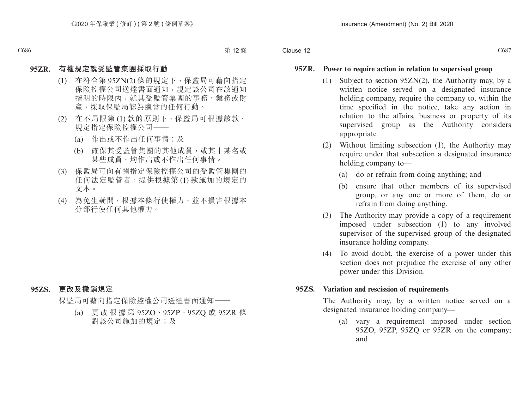### **95ZR. Power to require action in relation to supervised group**

- (1) Subject to section 95ZN(2), the Authority may, by a written notice served on a designated insurance holding company, require the company to, within the time specified in the notice, take any action in relation to the affairs, business or property of its supervised group as the Authority considers appropriate.
- (2) Without limiting subsection (1), the Authority may require under that subsection a designated insurance holding company to—
	- (a) do or refrain from doing anything; and
	- (b) ensure that other members of its supervised group, or any one or more of them, do or refrain from doing anything.
- (3) The Authority may provide a copy of a requirement imposed under subsection (1) to any involved supervisor of the supervised group of the designated insurance holding company.
- (4) To avoid doubt, the exercise of a power under this section does not prejudice the exercise of any other power under this Division.

### **95ZS. Variation and rescission of requirements**

The Authority may, by a written notice served on a designated insurance holding company—

(a) vary a requirement imposed under section 95ZO, 95ZP, 95ZQ or 95ZR on the company; and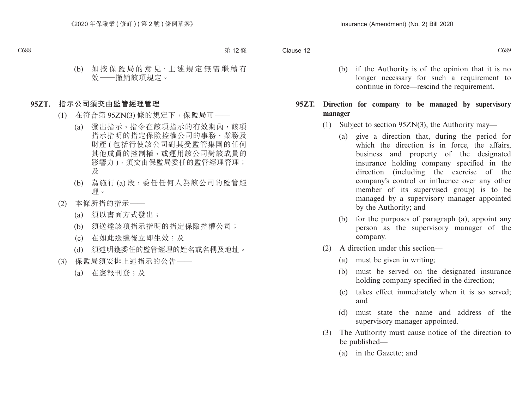(b) if the Authority is of the opinion that it is no longer necessary for such a requirement to continue in force—rescind the requirement.

### **95ZT. Direction for company to be managed by supervisory manager**

- (1) Subject to section 95ZN(3), the Authority may—
	- (a) give a direction that, during the period for which the direction is in force, the affairs, business and property of the designated insurance holding company specified in the direction (including the exercise of the company's control or influence over any other member of its supervised group) is to be managed by a supervisory manager appointed by the Authority; and
	- (b) for the purposes of paragraph (a), appoint any person as the supervisory manager of the company.
- (2) A direction under this section—
	- (a) must be given in writing;
	- (b) must be served on the designated insurance holding company specified in the direction;
	- (c) takes effect immediately when it is so served; and
	- (d) must state the name and address of the supervisory manager appointed.
- (3) The Authority must cause notice of the direction to be published—
	- (a) in the Gazette; and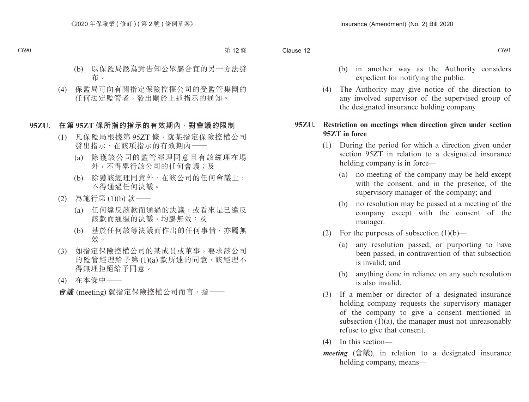- (b) in another way as the Authority considers expedient for notifying the public.
- (4) The Authority may give notice of the direction to any involved supervisor of the supervised group of the designated insurance holding company.

### **95ZU. Restriction on meetings when direction given under section 95ZT in force**

- (1) During the period for which a direction given under section 95ZT in relation to a designated insurance holding company is in force—
	- (a) no meeting of the company may be held except with the consent, and in the presence, of the supervisory manager of the company; and
	- (b) no resolution may be passed at a meeting of the company except with the consent of the manager.
- (2) For the purposes of subsection  $(1)(b)$ 
	- (a) any resolution passed, or purporting to have been passed, in contravention of that subsection is invalid; and
	- (b) anything done in reliance on any such resolution is also invalid.
- (3) If a member or director of a designated insurance holding company requests the supervisory manager of the company to give a consent mentioned in subsection  $(1)(a)$ , the manager must not unreasonably refuse to give that consent.
- (4) In this section—
- *meeting* (會議), in relation to a designated insurance holding company, means—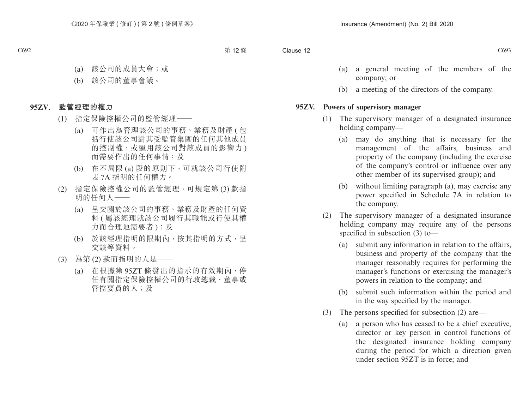- (a) a general meeting of the members of the company; or
- (b) a meeting of the directors of the company.

#### **95ZV. Powers of supervisory manager**

- (1) The supervisory manager of a designated insurance holding company—
	- (a) may do anything that is necessary for the management of the affairs, business and property of the company (including the exercise of the company's control or influence over any other member of its supervised group); and
	- (b) without limiting paragraph (a), may exercise any power specified in Schedule 7A in relation to the company.
- (2) The supervisory manager of a designated insurance holding company may require any of the persons specified in subsection (3) to—
	- (a) submit any information in relation to the affairs, business and property of the company that the manager reasonably requires for performing the manager's functions or exercising the manager's powers in relation to the company; and
	- (b) submit such information within the period and in the way specified by the manager.
- (3) The persons specified for subsection (2) are—
	- (a) a person who has ceased to be a chief executive, director or key person in control functions of the designated insurance holding company during the period for which a direction given under section 95ZT is in force; and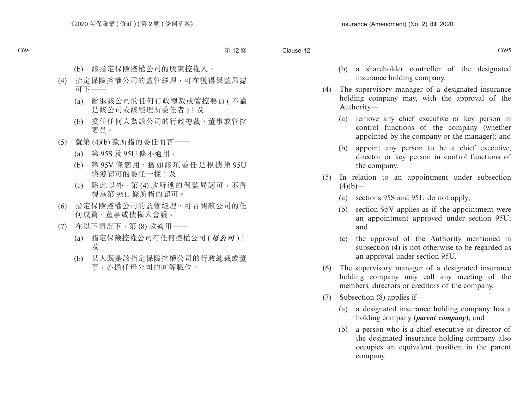- (b) a shareholder controller of the designated insurance holding company.
- (4) The supervisory manager of a designated insurance holding company may, with the approval of the Authority—
	- (a) remove any chief executive or key person in control functions of the company (whether appointed by the company or the manager); and
	- (b) appoint any person to be a chief executive, director or key person in control functions of the company.
- (5) In relation to an appointment under subsection  $(4)(b)$ —
	- (a) sections 95S and 95U do not apply;
	- (b) section 95V applies as if the appointment were an appointment approved under section 95U; and
	- (c) the approval of the Authority mentioned in subsection (4) is not otherwise to be regarded as an approval under section 95U.
- (6) The supervisory manager of a designated insurance holding company may call any meeting of the members, directors or creditors of the company.
- (7) Subsection (8) applies if—
	- (a) a designated insurance holding company has a holding company (*parent company*); and
	- (b) a person who is a chief executive or director of the designated insurance holding company also occupies an equivalent position in the parent company.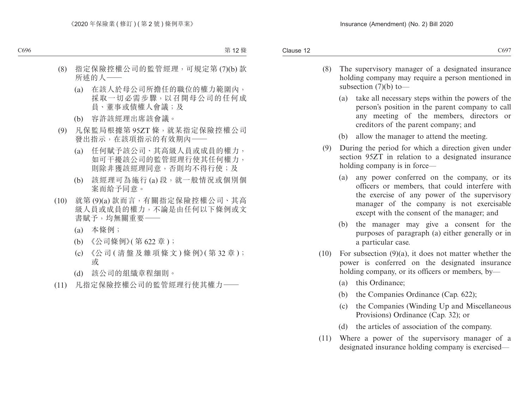- (8) The supervisory manager of a designated insurance holding company may require a person mentioned in subsection  $(7)(b)$  to —
	- (a) take all necessary steps within the powers of the person's position in the parent company to call any meeting of the members, directors or creditors of the parent company; and
	- (b) allow the manager to attend the meeting.
- (9) During the period for which a direction given under section 95ZT in relation to a designated insurance holding company is in force—
	- (a) any power conferred on the company, or its officers or members, that could interfere with the exercise of any power of the supervisory manager of the company is not exercisable except with the consent of the manager; and
	- (b) the manager may give a consent for the purposes of paragraph (a) either generally or in a particular case.
- $(10)$  For subsection  $(9)(a)$ , it does not matter whether the power is conferred on the designated insurance holding company, or its officers or members, by—
	- (a) this Ordinance;
	- (b) the Companies Ordinance (Cap. 622);
	- (c) the Companies (Winding Up and Miscellaneous Provisions) Ordinance (Cap. 32); or
	- (d) the articles of association of the company.
- (11) Where a power of the supervisory manager of a designated insurance holding company is exercised—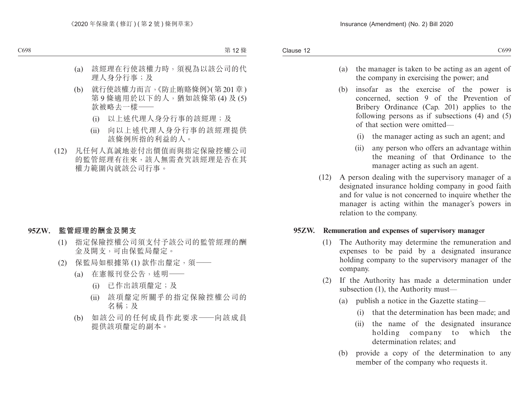- (a) the manager is taken to be acting as an agent of the company in exercising the power; and
- (b) insofar as the exercise of the power is concerned, section 9 of the Prevention of Bribery Ordinance (Cap. 201) applies to the following persons as if subsections (4) and (5) of that section were omitted—
	- (i) the manager acting as such an agent; and
	- (ii) any person who offers an advantage within the meaning of that Ordinance to the manager acting as such an agent.
- (12) A person dealing with the supervisory manager of a designated insurance holding company in good faith and for value is not concerned to inquire whether the manager is acting within the manager's powers in relation to the company.

### **95ZW. Remuneration and expenses of supervisory manager**

- (1) The Authority may determine the remuneration and expenses to be paid by a designated insurance holding company to the supervisory manager of the company.
- (2) If the Authority has made a determination under subsection (1), the Authority must—
	- (a) publish a notice in the Gazette stating—
		- (i) that the determination has been made; and
		- (ii) the name of the designated insurance holding company to which the determination relates; and
	- (b) provide a copy of the determination to any member of the company who requests it.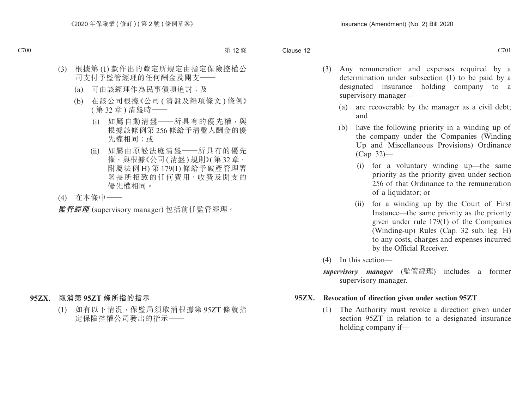- (3) Any remuneration and expenses required by a determination under subsection (1) to be paid by a designated insurance holding company to a supervisory manager—
	- (a) are recoverable by the manager as a civil debt; and
	- (b) have the following priority in a winding up of the company under the Companies (Winding Up and Miscellaneous Provisions) Ordinance (Cap. 32)—
		- (i) for a voluntary winding up—the same priority as the priority given under section 256 of that Ordinance to the remuneration of a liquidator; or
		- (ii) for a winding up by the Court of First Instance—the same priority as the priority given under rule 179(1) of the Companies (Winding-up) Rules (Cap. 32 sub. leg. H) to any costs, charges and expenses incurred by the Official Receiver.
- (4) In this section—
- *supervisory manager* (監管經理) includes a former supervisory manager.

### **95ZX. Revocation of direction given under section 95ZT**

(1) The Authority must revoke a direction given under section 95ZT in relation to a designated insurance holding company if—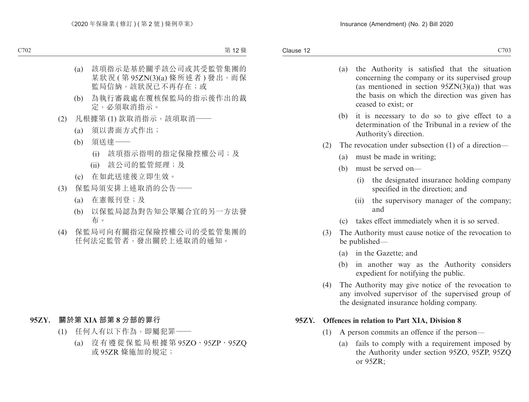- (a) the Authority is satisfied that the situation concerning the company or its supervised group (as mentioned in section  $95ZN(3)(a)$ ) that was the basis on which the direction was given has ceased to exist; or
- (b) it is necessary to do so to give effect to a determination of the Tribunal in a review of the Authority's direction.
- (2) The revocation under subsection (1) of a direction—
	- (a) must be made in writing;
	- (b) must be served on—
		- (i) the designated insurance holding company specified in the direction; and
		- (ii) the supervisory manager of the company; and
	- (c) takes effect immediately when it is so served.
- (3) The Authority must cause notice of the revocation to be published—
	- (a) in the Gazette; and
	- (b) in another way as the Authority considers expedient for notifying the public.
- (4) The Authority may give notice of the revocation to any involved supervisor of the supervised group of the designated insurance holding company.

### **95ZY. Offences in relation to Part XIA, Division 8**

- (1) A person commits an offence if the person—
	- (a) fails to comply with a requirement imposed by the Authority under section 95ZO, 95ZP, 95ZQ or 95ZR;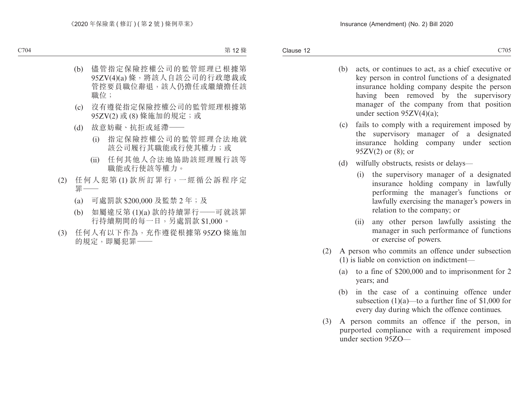- (b) acts, or continues to act, as a chief executive or key person in control functions of a designated insurance holding company despite the person having been removed by the supervisory manager of the company from that position under section 95ZV(4)(a);
- (c) fails to comply with a requirement imposed by the supervisory manager of a designated insurance holding company under section  $95ZV(2)$  or  $(8)$ ; or
- (d) wilfully obstructs, resists or delays—
	- (i) the supervisory manager of a designated insurance holding company in lawfully performing the manager's functions or lawfully exercising the manager's powers in relation to the company; or
	- (ii) any other person lawfully assisting the manager in such performance of functions or exercise of powers.
- (2) A person who commits an offence under subsection (1) is liable on conviction on indictment—
	- (a) to a fine of \$200,000 and to imprisonment for 2 years; and
	- (b) in the case of a continuing offence under subsection  $(1)(a)$ —to a further fine of \$1,000 for every day during which the offence continues.
- (3) A person commits an offence if the person, in purported compliance with a requirement imposed under section 95ZO—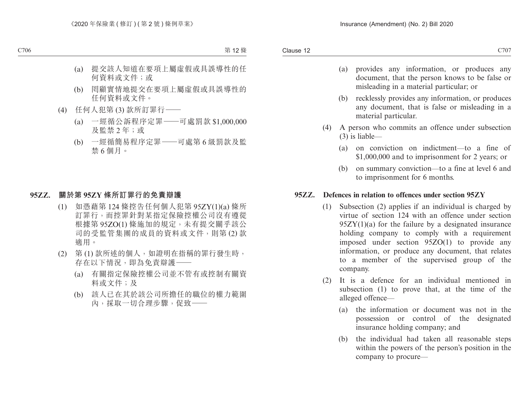- (a) provides any information, or produces any document, that the person knows to be false or misleading in a material particular; or
- (b) recklessly provides any information, or produces any document, that is false or misleading in a material particular.
- (4) A person who commits an offence under subsection (3) is liable—
	- (a) on conviction on indictment—to a fine of \$1,000,000 and to imprisonment for 2 years; or
	- (b) on summary conviction—to a fine at level 6 and to imprisonment for 6 months.

### **95ZZ. Defences in relation to offences under section 95ZY**

- (1) Subsection (2) applies if an individual is charged by virtue of section 124 with an offence under section  $95ZY(1)(a)$  for the failure by a designated insurance holding company to comply with a requirement imposed under section 95ZO(1) to provide any information, or produce any document, that relates to a member of the supervised group of the company.
- (2) It is a defence for an individual mentioned in subsection (1) to prove that, at the time of the alleged offence—
	- (a) the information or document was not in the possession or control of the designated insurance holding company; and
	- (b) the individual had taken all reasonable steps within the powers of the person's position in the company to procure—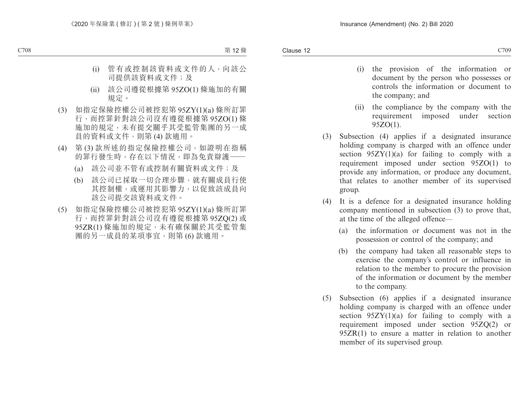- (i) the provision of the information or document by the person who possesses or controls the information or document to the company; and
- (ii) the compliance by the company with the requirement imposed under section 95ZO(1).
- (3) Subsection (4) applies if a designated insurance holding company is charged with an offence under section  $95Z\overline{Y}(1)(a)$  for failing to comply with a requirement imposed under section 95ZO(1) to provide any information, or produce any document, that relates to another member of its supervised group.
- (4) It is a defence for a designated insurance holding company mentioned in subsection (3) to prove that, at the time of the alleged offence—
	- (a) the information or document was not in the possession or control of the company; and
	- (b) the company had taken all reasonable steps to exercise the company's control or influence in relation to the member to procure the provision of the information or document by the member to the company.
- (5) Subsection (6) applies if a designated insurance holding company is charged with an offence under section  $95ZY(1)(a)$  for failing to comply with a requirement imposed under section 95ZQ(2) or 95ZR(1) to ensure a matter in relation to another member of its supervised group.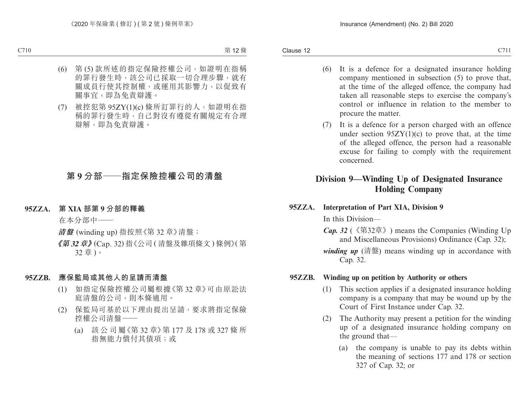- (6) It is a defence for a designated insurance holding company mentioned in subsection (5) to prove that, at the time of the alleged offence, the company had taken all reasonable steps to exercise the company's control or influence in relation to the member to procure the matter.
- (7) It is a defence for a person charged with an offence under section  $95ZY(1)(c)$  to prove that, at the time of the alleged offence, the person had a reasonable excuse for failing to comply with the requirement concerned.

# **Division 9—Winding Up of Designated Insurance Holding Company**

**95ZZA. Interpretation of Part XIA, Division 9**

In this Division—

- *Cap. 32* (《第32章》) means the Companies (Winding Up and Miscellaneous Provisions) Ordinance (Cap. 32);
- *winding up* (清盤) means winding up in accordance with Cap. 32.

### **95ZZB. Winding up on petition by Authority or others**

- (1) This section applies if a designated insurance holding company is a company that may be wound up by the Court of First Instance under Cap. 32.
- (2) The Authority may present a petition for the winding up of a designated insurance holding company on the ground that—
	- (a) the company is unable to pay its debts within the meaning of sections 177 and 178 or section 327 of Cap. 32; or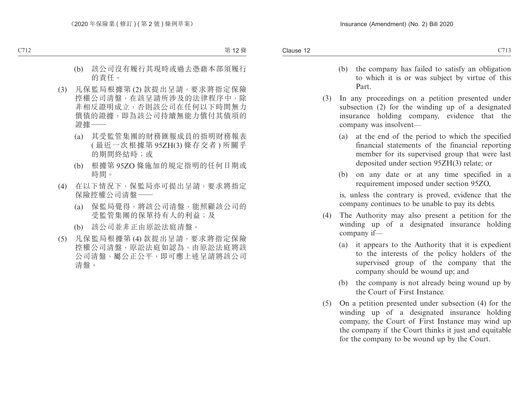- (b) the company has failed to satisfy an obligation to which it is or was subject by virtue of this Part.
- (3) In any proceedings on a petition presented under subsection (2) for the winding up of a designated insurance holding company, evidence that the company was insolvent—
	- (a) at the end of the period to which the specified financial statements of the financial reporting member for its supervised group that were last deposited under section 95ZH(3) relate; or
	- (b) on any date or at any time specified in a requirement imposed under section 95ZO,

is, unless the contrary is proved, evidence that the company continues to be unable to pay its debts.

- (4) The Authority may also present a petition for the winding up of a designated insurance holding company if—
	- (a) it appears to the Authority that it is expedient to the interests of the policy holders of the supervised group of the company that the company should be wound up; and
	- (b) the company is not already being wound up by the Court of First Instance.
- (5) On a petition presented under subsection (4) for the winding up of a designated insurance holding company, the Court of First Instance may wind up the company if the Court thinks it just and equitable for the company to be wound up by the Court.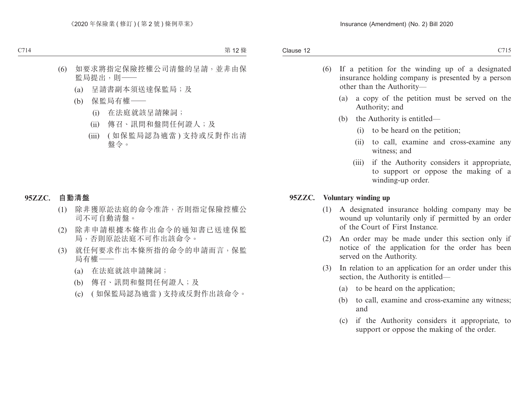- (6) If a petition for the winding up of a designated insurance holding company is presented by a person other than the Authority—
	- (a) a copy of the petition must be served on the Authority; and
	- (b) the Authority is entitled—
		- (i) to be heard on the petition;
		- (ii) to call, examine and cross-examine any witness; and
		- (iii) if the Authority considers it appropriate, to support or oppose the making of a winding-up order.

#### **95ZZC. Voluntary winding up**

- (1) A designated insurance holding company may be wound up voluntarily only if permitted by an order of the Court of First Instance.
- (2) An order may be made under this section only if notice of the application for the order has been served on the Authority.
- (3) In relation to an application for an order under this section, the Authority is entitled—
	- (a) to be heard on the application;
	- (b) to call, examine and cross-examine any witness; and
	- (c) if the Authority considers it appropriate, to support or oppose the making of the order.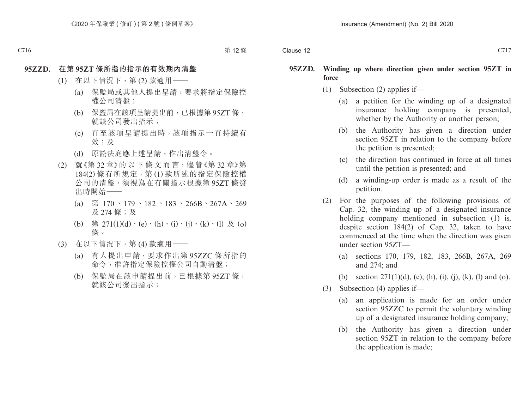#### **95ZZD. Winding up where direction given under section 95ZT in force**

- (1) Subsection (2) applies if—
	- (a) a petition for the winding up of a designated insurance holding company is presented, whether by the Authority or another person:
	- (b) the Authority has given a direction under section 95ZT in relation to the company before the petition is presented;
	- (c) the direction has continued in force at all times until the petition is presented; and
	- (d) a winding-up order is made as a result of the petition.
- (2) For the purposes of the following provisions of Cap. 32, the winding up of a designated insurance holding company mentioned in subsection (1) is, despite section 184(2) of Cap. 32, taken to have commenced at the time when the direction was given under section 95ZT—
	- (a) sections 170, 179, 182, 183, 266B, 267A, 269 and 274; and
	- (b) section  $271(1)(d)$ , (e), (h), (i), (j), (k), (l) and (o).
- (3) Subsection (4) applies if—
	- (a) an application is made for an order under section 95ZZC to permit the voluntary winding up of a designated insurance holding company;
	- (b) the Authority has given a direction under section 95ZT in relation to the company before the application is made;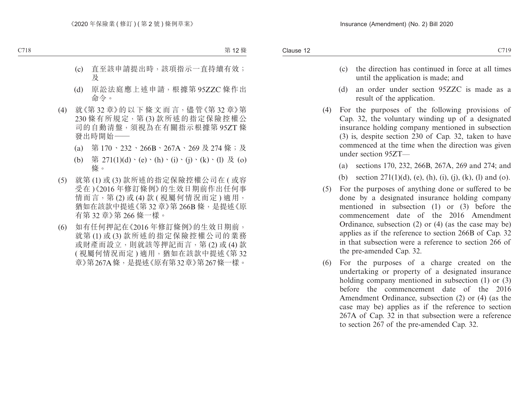- (c) the direction has continued in force at all times until the application is made; and
- (d) an order under section 95ZZC is made as a result of the application.
- (4) For the purposes of the following provisions of Cap. 32, the voluntary winding up of a designated insurance holding company mentioned in subsection (3) is, despite section 230 of Cap. 32, taken to have commenced at the time when the direction was given under section 95ZT—
	- (a) sections 170, 232, 266B, 267A, 269 and 274; and
	- (b) section  $271(1)(d)$ , (e), (h), (i), (j), (k), (l) and (o).
- (5) For the purposes of anything done or suffered to be done by a designated insurance holding company mentioned in subsection (1) or (3) before the commencement date of the 2016 Amendment Ordinance, subsection (2) or (4) (as the case may be) applies as if the reference to section 266B of Cap. 32 in that subsection were a reference to section 266 of the pre-amended Cap. 32.
- (6) For the purposes of a charge created on the undertaking or property of a designated insurance holding company mentioned in subsection (1) or (3) before the commencement date of the 2016 Amendment Ordinance, subsection (2) or (4) (as the case may be) applies as if the reference to section 267A of Cap. 32 in that subsection were a reference to section 267 of the pre-amended Cap. 32.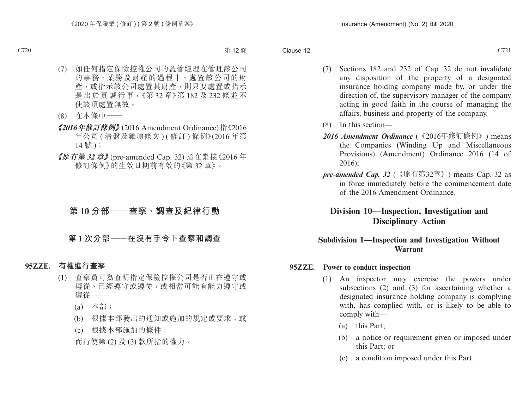- (7) Sections 182 and 232 of Cap. 32 do not invalidate any disposition of the property of a designated insurance holding company made by, or under the direction of, the supervisory manager of the company acting in good faith in the course of managing the affairs, business and property of the company.
- (8) In this section—
- *2016 Amendment Ordinance* (《2016年修訂條例》) means the Companies (Winding Up and Miscellaneous Provisions) (Amendment) Ordinance 2016 (14 of 2016);
- *pre-amended Cap. 32* (《原有第32章》) means Cap. 32 as in force immediately before the commencement date of the 2016 Amendment Ordinance.

# **Division 10—Inspection, Investigation and Disciplinary Action**

## **Subdivision 1—Inspection and Investigation Without Warrant**

### **95ZZE. Power to conduct inspection**

- (1) An inspector may exercise the powers under subsections (2) and (3) for ascertaining whether a designated insurance holding company is complying with, has complied with, or is likely to be able to comply with—
	- (a) this Part;
	- (b) a notice or requirement given or imposed under this Part; or
	- (c) a condition imposed under this Part.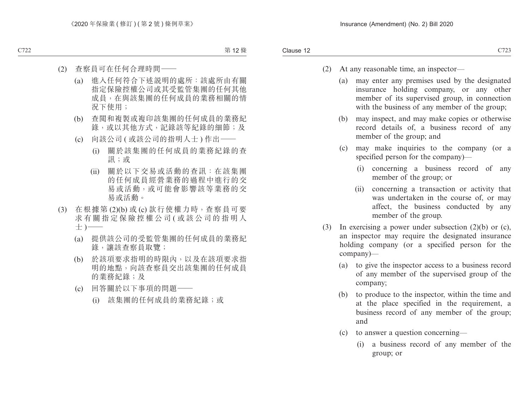- (2) At any reasonable time, an inspector—
	- (a) may enter any premises used by the designated insurance holding company, or any other member of its supervised group, in connection with the business of any member of the group;
	- (b) may inspect, and may make copies or otherwise record details of, a business record of any member of the group; and
	- (c) may make inquiries to the company (or a specified person for the company)—
		- (i) concerning a business record of any member of the group; or
		- (ii) concerning a transaction or activity that was undertaken in the course of, or may affect, the business conducted by any member of the group.
- (3) In exercising a power under subsection (2)(b) or (c), an inspector may require the designated insurance holding company (or a specified person for the company)—
	- (a) to give the inspector access to a business record of any member of the supervised group of the company;
	- (b) to produce to the inspector, within the time and at the place specified in the requirement, a business record of any member of the group; and
	- (c) to answer a question concerning—
		- (i) a business record of any member of the group; or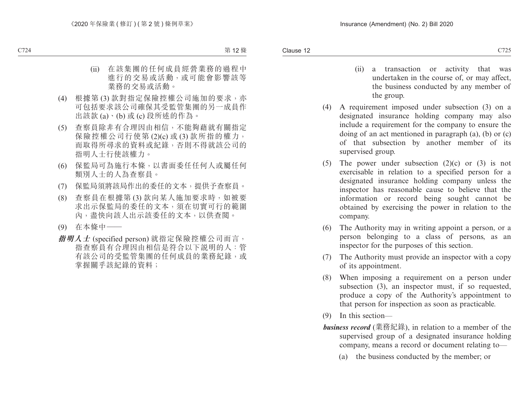- (ii) a transaction or activity that was undertaken in the course of, or may affect, the business conducted by any member of the group.
- (4) A requirement imposed under subsection (3) on a designated insurance holding company may also include a requirement for the company to ensure the doing of an act mentioned in paragraph (a), (b) or (c) of that subsection by another member of its supervised group.
- (5) The power under subsection  $(2)(c)$  or  $(3)$  is not exercisable in relation to a specified person for a designated insurance holding company unless the inspector has reasonable cause to believe that the information or record being sought cannot be obtained by exercising the power in relation to the company.
- (6) The Authority may in writing appoint a person, or a person belonging to a class of persons, as an inspector for the purposes of this section.
- (7) The Authority must provide an inspector with a copy of its appointment.
- (8) When imposing a requirement on a person under subsection (3), an inspector must, if so requested, produce a copy of the Authority's appointment to that person for inspection as soon as practicable.
- (9) In this section—
- *business record* (業務紀錄), in relation to a member of the supervised group of a designated insurance holding company, means a record or document relating to—
	- (a) the business conducted by the member; or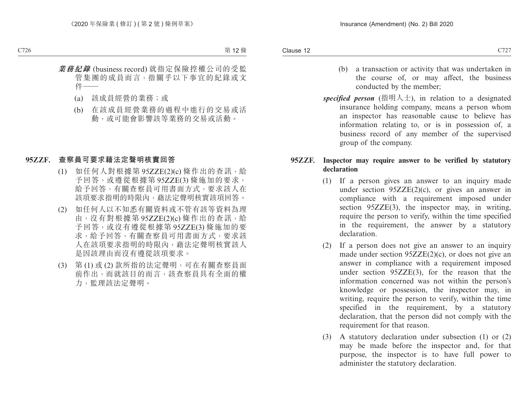- (b) a transaction or activity that was undertaken in the course of, or may affect, the business conducted by the member;
- *specified person* (指明人士), in relation to a designated insurance holding company, means a person whom an inspector has reasonable cause to believe has information relating to, or is in possession of, a business record of any member of the supervised group of the company.

## **95ZZF. Inspector may require answer to be verified by statutory declaration**

- (1) If a person gives an answer to an inquiry made under section  $95ZZE(2)(c)$ , or gives an answer in compliance with a requirement imposed under section 95ZZE(3), the inspector may, in writing, require the person to verify, within the time specified in the requirement, the answer by a statutory declaration.
- (2) If a person does not give an answer to an inquiry made under section 95ZZE(2)(c), or does not give an answer in compliance with a requirement imposed under section 95ZZE(3), for the reason that the information concerned was not within the person's knowledge or possession, the inspector may, in writing, require the person to verify, within the time specified in the requirement, by a statutory declaration, that the person did not comply with the requirement for that reason.
- (3) A statutory declaration under subsection (1) or (2) may be made before the inspector and, for that purpose, the inspector is to have full power to administer the statutory declaration.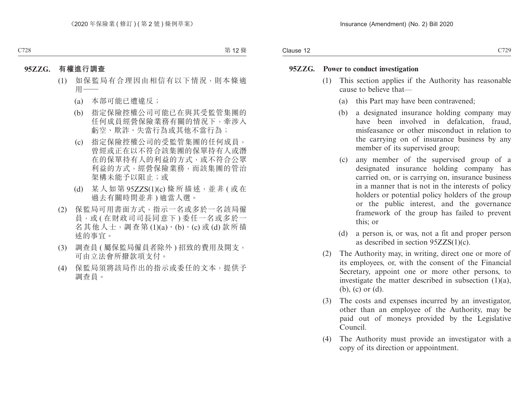#### **95ZZG. Power to conduct investigation**

- (1) This section applies if the Authority has reasonable cause to believe that—
	- (a) this Part may have been contravened;
	- (b) a designated insurance holding company may have been involved in defalcation, fraud, misfeasance or other misconduct in relation to the carrying on of insurance business by any member of its supervised group;
	- (c) any member of the supervised group of a designated insurance holding company has carried on, or is carrying on, insurance business in a manner that is not in the interests of policy holders or potential policy holders of the group or the public interest, and the governance framework of the group has failed to prevent this; or
	- (d) a person is, or was, not a fit and proper person as described in section 95ZZS(1)(c).
- (2) The Authority may, in writing, direct one or more of its employees, or, with the consent of the Financial Secretary, appoint one or more other persons, to investigate the matter described in subsection  $(1)(a)$ , (b), (c) or (d).
- (3) The costs and expenses incurred by an investigator, other than an employee of the Authority, may be paid out of moneys provided by the Legislative Council.
- (4) The Authority must provide an investigator with a copy of its direction or appointment.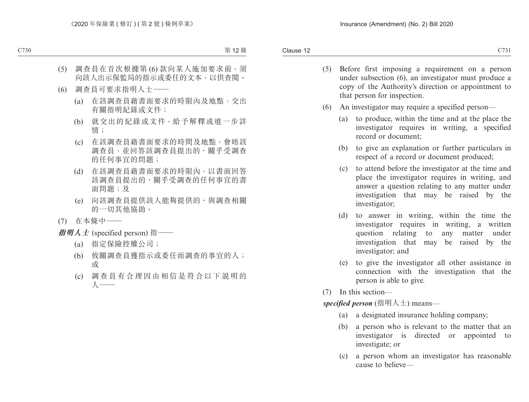- (5) Before first imposing a requirement on a person
	- under subsection (6), an investigator must produce a copy of the Authority's direction or appointment to that person for inspection.
- (6) An investigator may require a specified person—
	- (a) to produce, within the time and at the place the investigator requires in writing, a specified record or document;
	- (b) to give an explanation or further particulars in respect of a record or document produced;
	- (c) to attend before the investigator at the time and place the investigator requires in writing, and answer a question relating to any matter under investigation that may be raised by the investigator;
	- (d) to answer in writing, within the time the investigator requires in writing, a written question relating to any matter under investigation that may be raised by the investigator; and
	- (e) to give the investigator all other assistance in connection with the investigation that the person is able to give.
- (7) In this section—

*specified person* (指明人士) means—

- (a) a designated insurance holding company;
- (b) a person who is relevant to the matter that an investigator is directed or appointed to investigate; or
- (c) a person whom an investigator has reasonable cause to believe—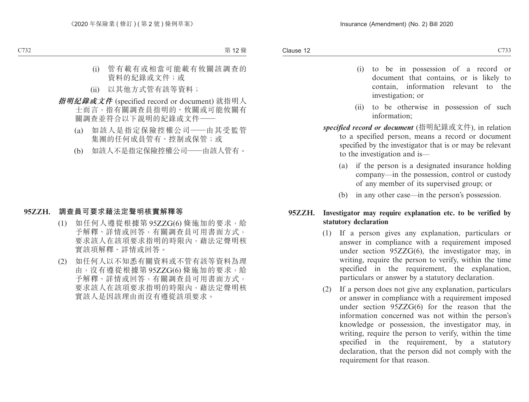- (i) to be in possession of a record or document that contains, or is likely to contain, information relevant to the investigation; or
- (ii) to be otherwise in possession of such information;
- *specified record or document* (指明紀錄或文件), in relation to a specified person, means a record or document specified by the investigator that is or may be relevant to the investigation and is—
	- (a) if the person is a designated insurance holding company—in the possession, control or custody of any member of its supervised group; or
	- (b) in any other case—in the person's possession.

# **95ZZH. Investigator may require explanation etc. to be verified by statutory declaration**

- (1) If a person gives any explanation, particulars or answer in compliance with a requirement imposed under section 95ZZG(6), the investigator may, in writing, require the person to verify, within the time specified in the requirement, the explanation, particulars or answer by a statutory declaration.
- (2) If a person does not give any explanation, particulars or answer in compliance with a requirement imposed under section 95ZZG(6) for the reason that the information concerned was not within the person's knowledge or possession, the investigator may, in writing, require the person to verify, within the time specified in the requirement, by a statutory declaration, that the person did not comply with the requirement for that reason.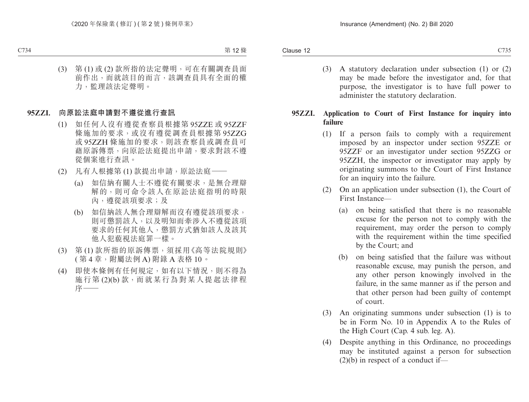(3) A statutory declaration under subsection (1) or (2) may be made before the investigator and, for that purpose, the investigator is to have full power to administer the statutory declaration.

# **95ZZI. Application to Court of First Instance for inquiry into failure**

- (1) If a person fails to comply with a requirement imposed by an inspector under section 95ZZE or 95ZZF or an investigator under section 95ZZG or 95ZZH, the inspector or investigator may apply by originating summons to the Court of First Instance for an inquiry into the failure.
- (2) On an application under subsection (1), the Court of First Instance—
	- (a) on being satisfied that there is no reasonable excuse for the person not to comply with the requirement, may order the person to comply with the requirement within the time specified by the Court; and
	- (b) on being satisfied that the failure was without reasonable excuse, may punish the person, and any other person knowingly involved in the failure, in the same manner as if the person and that other person had been guilty of contempt of court.
- (3) An originating summons under subsection (1) is to be in Form No. 10 in Appendix A to the Rules of the High Court (Cap. 4 sub. leg. A).
- (4) Despite anything in this Ordinance, no proceedings may be instituted against a person for subsection  $(2)(b)$  in respect of a conduct if—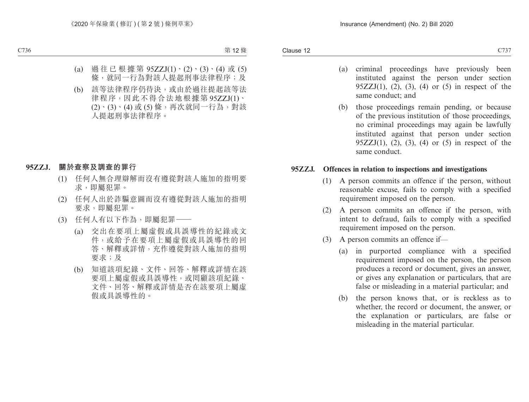Clause 12 Clause 12  $C737$ 

- (a) criminal proceedings have previously been instituted against the person under section 95 $ZZJ(1)$ , (2), (3), (4) or (5) in respect of the same conduct; and
- (b) those proceedings remain pending, or because of the previous institution of those proceedings, no criminal proceedings may again be lawfully instituted against that person under section 95 $ZZJ(1)$ , (2), (3), (4) or (5) in respect of the same conduct.

#### **95ZZJ. Offences in relation to inspections and investigations**

- (1) A person commits an offence if the person, without reasonable excuse, fails to comply with a specified requirement imposed on the person.
- (2) A person commits an offence if the person, with intent to defraud, fails to comply with a specified requirement imposed on the person.
- (3) A person commits an offence if—
	- (a) in purported compliance with a specified requirement imposed on the person, the person produces a record or document, gives an answer, or gives any explanation or particulars, that are false or misleading in a material particular; and
	- (b) the person knows that, or is reckless as to whether, the record or document, the answer, or the explanation or particulars, are false or misleading in the material particular.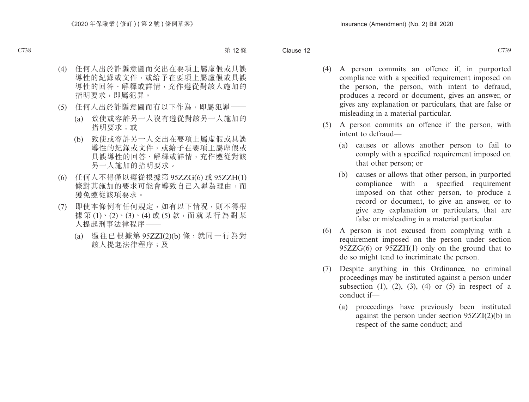- (4) A person commits an offence if, in purported compliance with a specified requirement imposed on the person, the person, with intent to defraud, produces a record or document, gives an answer, or gives any explanation or particulars, that are false or misleading in a material particular.
- (5) A person commits an offence if the person, with intent to defraud—
	- (a) causes or allows another person to fail to comply with a specified requirement imposed on that other person; or
	- (b) causes or allows that other person, in purported compliance with a specified requirement imposed on that other person, to produce a record or document, to give an answer, or to give any explanation or particulars, that are false or misleading in a material particular.
- (6) A person is not excused from complying with a requirement imposed on the person under section 95ZZG(6) or 95ZZH(1) only on the ground that to do so might tend to incriminate the person.
- (7) Despite anything in this Ordinance, no criminal proceedings may be instituted against a person under subsection  $(1)$ ,  $(2)$ ,  $(3)$ ,  $(4)$  or  $(5)$  in respect of a conduct if—
	- (a) proceedings have previously been instituted against the person under section 95ZZI(2)(b) in respect of the same conduct; and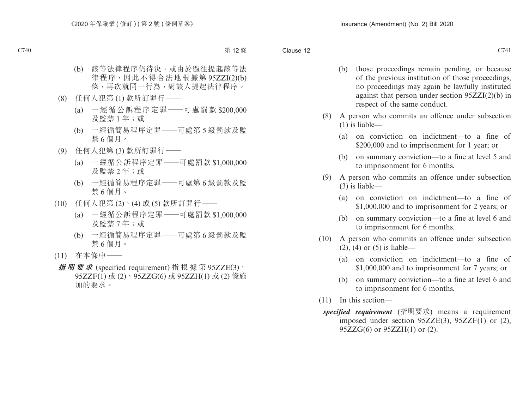- (b) those proceedings remain pending, or because of the previous institution of those proceedings, no proceedings may again be lawfully instituted against that person under section 95ZZI(2)(b) in respect of the same conduct.
- (8) A person who commits an offence under subsection (1) is liable—
	- (a) on conviction on indictment—to a fine of \$200,000 and to imprisonment for 1 year; or
	- (b) on summary conviction—to a fine at level 5 and to imprisonment for 6 months.
- (9) A person who commits an offence under subsection (3) is liable—
	- (a) on conviction on indictment—to a fine of \$1,000,000 and to imprisonment for 2 years; or
	- (b) on summary conviction—to a fine at level 6 and to imprisonment for 6 months.
- (10) A person who commits an offence under subsection (2), (4) or (5) is liable—
	- (a) on conviction on indictment—to a fine of \$1,000,000 and to imprisonment for 7 years; or
	- (b) on summary conviction—to a fine at level 6 and to imprisonment for 6 months.
- (11) In this section
	- *specified requirement* (指明要求) means a requirement imposed under section 95ZZE(3), 95ZZF(1) or (2), 95ZZG(6) or 95ZZH(1) or (2).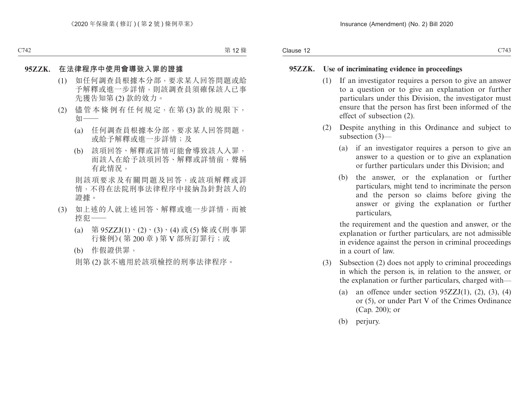- (1) If an investigator requires a person to give an answer to a question or to give an explanation or further particulars under this Division, the investigator must ensure that the person has first been informed of the effect of subsection (2).
- (2) Despite anything in this Ordinance and subject to subsection (3)—
	- (a) if an investigator requires a person to give an answer to a question or to give an explanation or further particulars under this Division; and
	- (b) the answer, or the explanation or further particulars, might tend to incriminate the person and the person so claims before giving the answer or giving the explanation or further particulars,

the requirement and the question and answer, or the explanation or further particulars, are not admissible in evidence against the person in criminal proceedings in a court of law.

- (3) Subsection (2) does not apply to criminal proceedings in which the person is, in relation to the answer, or the explanation or further particulars, charged with—
	- (a) an offence under section  $95ZZJ(1)$ ,  $(2)$ ,  $(3)$ ,  $(4)$ or (5), or under Part V of the Crimes Ordinance (Cap. 200); or
	- (b) perjury.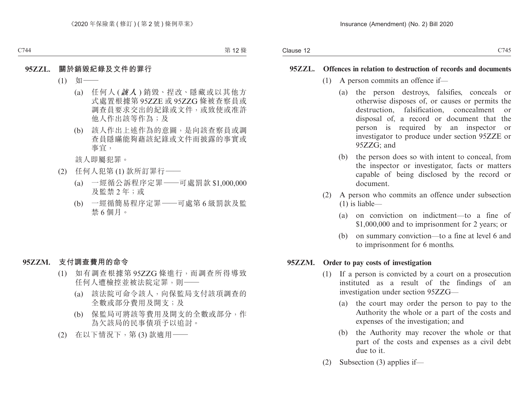#### **95ZZL. Offences in relation to destruction of records and documents**

- (1) A person commits an offence if—
	- (a) the person destroys, falsifies, conceals or otherwise disposes of, or causes or permits the destruction, falsification, concealment or disposal of, a record or document that the person is required by an inspector or investigator to produce under section 95ZZE or 95ZZG; and
	- (b) the person does so with intent to conceal, from the inspector or investigator, facts or matters capable of being disclosed by the record or document.
- (2) A person who commits an offence under subsection (1) is liable—
	- (a) on conviction on indictment—to a fine of \$1,000,000 and to imprisonment for 2 years; or
	- (b) on summary conviction—to a fine at level 6 and to imprisonment for 6 months.

## **95ZZM. Order to pay costs of investigation**

- (1) If a person is convicted by a court on a prosecution instituted as a result of the findings of an investigation under section 95ZZG—
	- (a) the court may order the person to pay to the Authority the whole or a part of the costs and expenses of the investigation; and
	- (b) the Authority may recover the whole or that part of the costs and expenses as a civil debt due to it.
- (2) Subsection (3) applies if—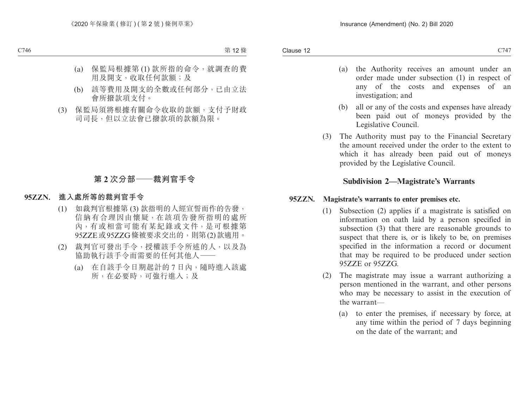investigation; and

- (a) the Authority receives an amount under an order made under subsection (1) in respect of any of the costs and expenses of an
- (b) all or any of the costs and expenses have already been paid out of moneys provided by the Legislative Council.
- (3) The Authority must pay to the Financial Secretary the amount received under the order to the extent to which it has already been paid out of moneys provided by the Legislative Council.

# **Subdivision 2—Magistrate's Warrants**

# **95ZZN. Magistrate's warrants to enter premises etc.**

- (1) Subsection (2) applies if a magistrate is satisfied on information on oath laid by a person specified in subsection (3) that there are reasonable grounds to suspect that there is, or is likely to be, on premises specified in the information a record or document that may be required to be produced under section 95ZZE or 95ZZG.
- (2) The magistrate may issue a warrant authorizing a person mentioned in the warrant, and other persons who may be necessary to assist in the execution of the warrant—
	- (a) to enter the premises, if necessary by force, at any time within the period of 7 days beginning on the date of the warrant; and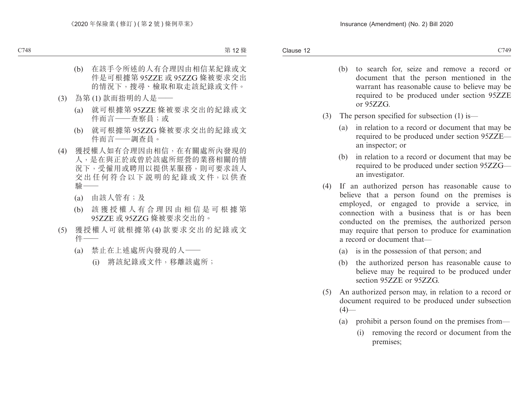- (b) to search for, seize and remove a record or document that the person mentioned in the warrant has reasonable cause to believe may be required to be produced under section 95ZZE or 95ZZG.
- (3) The person specified for subsection (1) is—
	- (a) in relation to a record or document that may be required to be produced under section 95ZZE an inspector; or
	- (b) in relation to a record or document that may be required to be produced under section 95ZZG an investigator.
- (4) If an authorized person has reasonable cause to believe that a person found on the premises is employed, or engaged to provide a service, in connection with a business that is or has been conducted on the premises, the authorized person may require that person to produce for examination a record or document that—
	- (a) is in the possession of that person; and
	- (b) the authorized person has reasonable cause to believe may be required to be produced under section 95ZZE or 95ZZG.
- (5) An authorized person may, in relation to a record or document required to be produced under subsection  $(4)$ —
	- (a) prohibit a person found on the premises from—
		- (i) removing the record or document from the premises;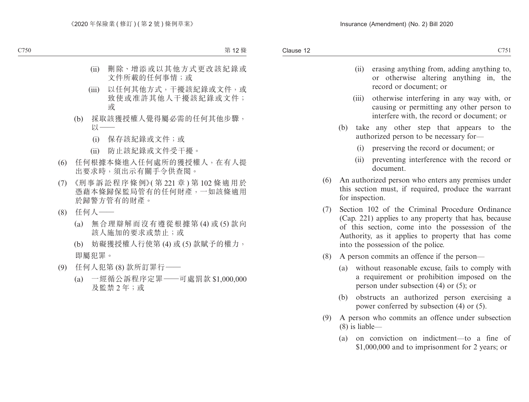- (ii) erasing anything from, adding anything to, or otherwise altering anything in, the record or document; or
- (iii) otherwise interfering in any way with, or causing or permitting any other person to interfere with, the record or document; or
- (b) take any other step that appears to the authorized person to be necessary for—
	- (i) preserving the record or document; or
	- (ii) preventing interference with the record or document.
- (6) An authorized person who enters any premises under this section must, if required, produce the warrant for inspection.
- (7) Section 102 of the Criminal Procedure Ordinance (Cap. 221) applies to any property that has, because of this section, come into the possession of the Authority, as it applies to property that has come into the possession of the police.
- (8) A person commits an offence if the person—
	- (a) without reasonable excuse, fails to comply with a requirement or prohibition imposed on the person under subsection (4) or (5); or
	- (b) obstructs an authorized person exercising a power conferred by subsection (4) or (5).
- (9) A person who commits an offence under subsection (8) is liable—
	- (a) on conviction on indictment—to a fine of \$1,000,000 and to imprisonment for 2 years; or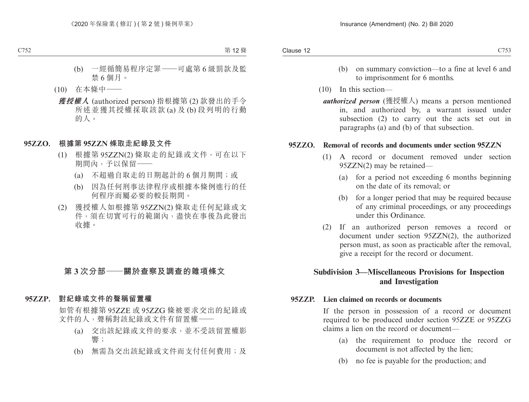- (b) on summary conviction—to a fine at level 6 and to imprisonment for 6 months.
- (10) In this section
	- *authorized person* (獲授權人) means a person mentioned in, and authorized by, a warrant issued under subsection (2) to carry out the acts set out in paragraphs (a) and (b) of that subsection.

#### **95ZZO. Removal of records and documents under section 95ZZN**

- (1) A record or document removed under section 95ZZN(2) may be retained—
	- (a) for a period not exceeding 6 months beginning on the date of its removal; or
	- (b) for a longer period that may be required because of any criminal proceedings, or any proceedings under this Ordinance.
- (2) If an authorized person removes a record or document under section 95ZZN(2), the authorized person must, as soon as practicable after the removal, give a receipt for the record or document.

# **Subdivision 3—Miscellaneous Provisions for Inspection and Investigation**

#### **95ZZP. Lien claimed on records or documents**

If the person in possession of a record or document required to be produced under section 95ZZE or 95ZZG claims a lien on the record or document—

- (a) the requirement to produce the record or document is not affected by the lien;
- (b) no fee is payable for the production; and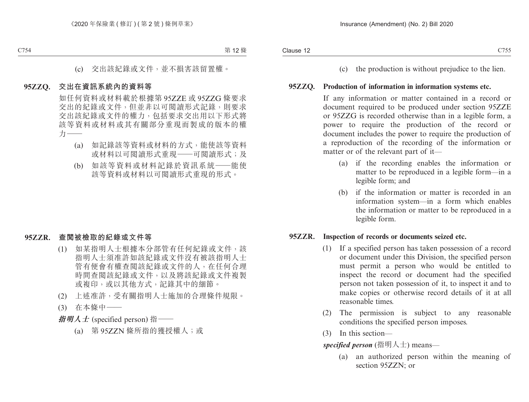(c) the production is without prejudice to the lien.

#### **95ZZQ. Production of information in information systems etc.**

If any information or matter contained in a record or document required to be produced under section 95ZZE or 95ZZG is recorded otherwise than in a legible form, a power to require the production of the record or document includes the power to require the production of a reproduction of the recording of the information or matter or of the relevant part of it—

- (a) if the recording enables the information or matter to be reproduced in a legible form—in a legible form; and
- (b) if the information or matter is recorded in an information system—in a form which enables the information or matter to be reproduced in a legible form.

#### **95ZZR. Inspection of records or documents seized etc.**

- (1) If a specified person has taken possession of a record or document under this Division, the specified person must permit a person who would be entitled to inspect the record or document had the specified person not taken possession of it, to inspect it and to make copies or otherwise record details of it at all reasonable times.
- (2) The permission is subject to any reasonable conditions the specified person imposes.
- (3) In this section—

*specified person* (指明人士) means—

(a) an authorized person within the meaning of section 95ZZN; or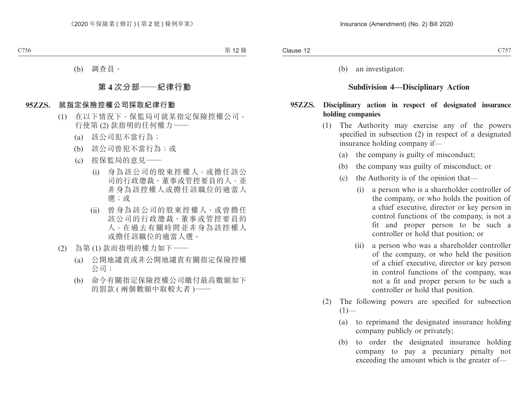(b) an investigator.

# **Subdivision 4—Disciplinary Action**

#### **95ZZS. Disciplinary action in respect of designated insurance holding companies**

- (1) The Authority may exercise any of the powers specified in subsection (2) in respect of a designated insurance holding company if—
	- (a) the company is guilty of misconduct;
	- (b) the company was guilty of misconduct; or
	- (c) the Authority is of the opinion that—
		- (i) a person who is a shareholder controller of the company, or who holds the position of a chief executive, director or key person in control functions of the company, is not a fit and proper person to be such a controller or hold that position; or
		- (ii) a person who was a shareholder controller of the company, or who held the position of a chief executive, director or key person in control functions of the company, was not a fit and proper person to be such a controller or hold that position.
- (2) The following powers are specified for subsection  $(1)$ —
	- (a) to reprimand the designated insurance holding company publicly or privately;
	- (b) to order the designated insurance holding company to pay a pecuniary penalty not exceeding the amount which is the greater of—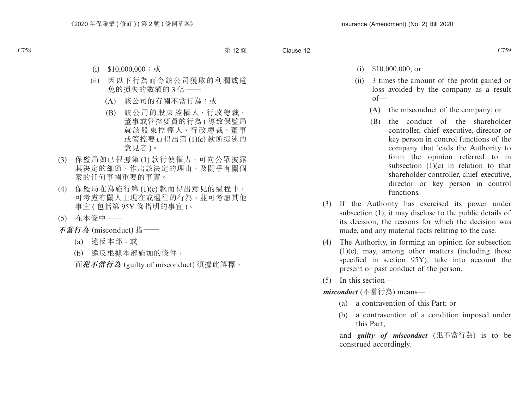- (i) \$10,000,000; or
- (ii) 3 times the amount of the profit gained or loss avoided by the company as a result of—
	- (A) the misconduct of the company; or
	- (B) the conduct of the shareholder controller, chief executive, director or key person in control functions of the company that leads the Authority to form the opinion referred to in subsection  $(1)(c)$  in relation to that shareholder controller, chief executive, director or key person in control functions.
- (3) If the Authority has exercised its power under subsection (1), it may disclose to the public details of its decision, the reasons for which the decision was made, and any material facts relating to the case.
- (4) The Authority, in forming an opinion for subsection (1)(c), may, among other matters (including those specified in section 95Y), take into account the present or past conduct of the person.
- (5) In this section—

*misconduct* (不當行為) means—

- (a) a contravention of this Part; or
- (b) a contravention of a condition imposed under this Part,

and *guilty of misconduct* (犯不當行為) is to be construed accordingly.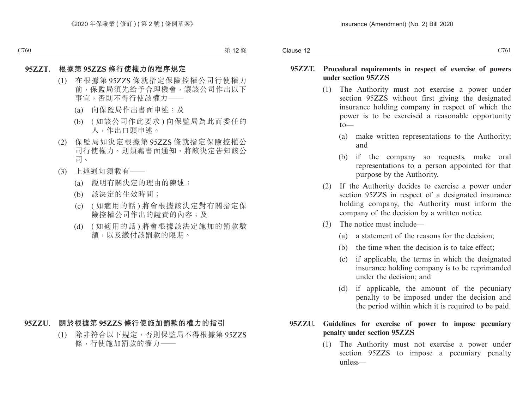#### **95ZZT. Procedural requirements in respect of exercise of powers under section 95ZZS**

- (1) The Authority must not exercise a power under section 95ZZS without first giving the designated insurance holding company in respect of which the power is to be exercised a reasonable opportunity  $t \sim$ 
	- (a) make written representations to the Authority; and
	- (b) if the company so requests, make oral representations to a person appointed for that purpose by the Authority.
- (2) If the Authority decides to exercise a power under section 95ZZS in respect of a designated insurance holding company, the Authority must inform the company of the decision by a written notice.
- (3) The notice must include—
	- (a) a statement of the reasons for the decision;
	- (b) the time when the decision is to take effect;
	- (c) if applicable, the terms in which the designated insurance holding company is to be reprimanded under the decision; and
	- (d) if applicable, the amount of the pecuniary penalty to be imposed under the decision and the period within which it is required to be paid.

# **95ZZU. Guidelines for exercise of power to impose pecuniary penalty under section 95ZZS**

(1) The Authority must not exercise a power under section 95ZZS to impose a pecuniary penalty unless—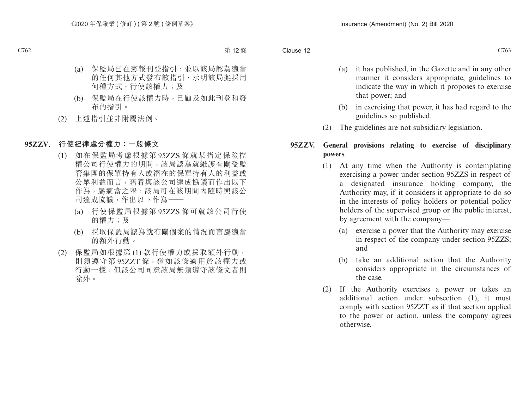- (a) it has published, in the Gazette and in any other manner it considers appropriate, guidelines to indicate the way in which it proposes to exercise that power; and
- (b) in exercising that power, it has had regard to the guidelines so published.
- (2) The guidelines are not subsidiary legislation.

# **95ZZV. General provisions relating to exercise of disciplinary powers**

- (1) At any time when the Authority is contemplating exercising a power under section 95ZZS in respect of a designated insurance holding company, the Authority may, if it considers it appropriate to do so in the interests of policy holders or potential policy holders of the supervised group or the public interest, by agreement with the company—
	- (a) exercise a power that the Authority may exercise in respect of the company under section 95ZZS; and
	- (b) take an additional action that the Authority considers appropriate in the circumstances of the case.
- (2) If the Authority exercises a power or takes an additional action under subsection (1), it must comply with section 95ZZT as if that section applied to the power or action, unless the company agrees otherwise.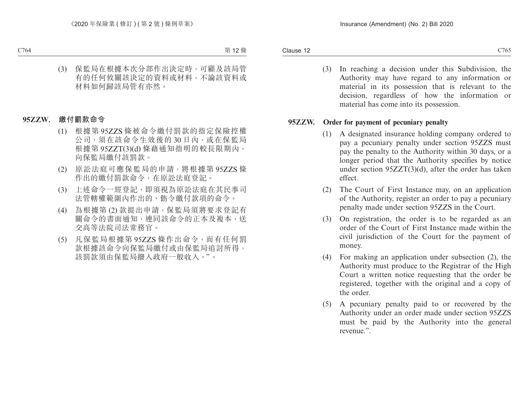(3) In reaching a decision under this Subdivision, the Authority may have regard to any information or material in its possession that is relevant to the decision, regardless of how the information or material has come into its possession.

### **95ZZW. Order for payment of pecuniary penalty**

- (1) A designated insurance holding company ordered to pay a pecuniary penalty under section 95ZZS must pay the penalty to the Authority within 30 days, or a longer period that the Authority specifies by notice under section 95ZZT(3)(d), after the order has taken effect.
- (2) The Court of First Instance may, on an application of the Authority, register an order to pay a pecuniary penalty made under section 95ZZS in the Court.
- (3) On registration, the order is to be regarded as an order of the Court of First Instance made within the civil jurisdiction of the Court for the payment of money.
- (4) For making an application under subsection (2), the Authority must produce to the Registrar of the High Court a written notice requesting that the order be registered, together with the original and a copy of the order.
- (5) A pecuniary penalty paid to or recovered by the Authority under an order made under section 95ZZS must be paid by the Authority into the general revenue."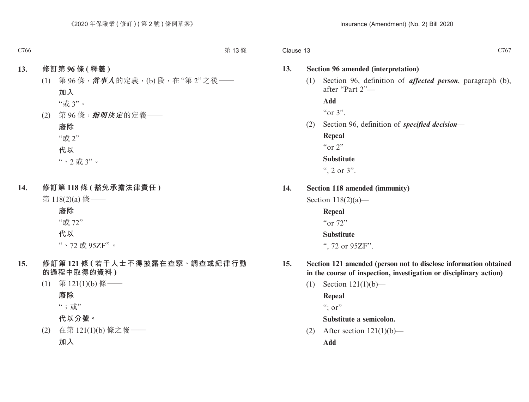#### **13. Section 96 amended (interpretation)**

(1) Section 96, definition of *affected person*, paragraph (b), after "Part 2"—

**Add**  $\alpha$   $\alpha$  3".

(2) Section 96, definition of *specified decision*—

**Repeal** "or 2" **Substitute**

", 2 or  $3$ ".

**14. Section 118 amended (immunity)**

Section  $118(2)(a)$ —

**Repeal** "or 72"

# **Substitute**

", 72 or 95ZF".

- **15. Section 121 amended (person not to disclose information obtained in the course of inspection, investigation or disciplinary action)**
	- (1) Section 121(1)(b)—

**Repeal**  $\lq\lq$ ; or"

**Substitute a semicolon.**

(2) After section  $121(1)(b)$ —

**Add**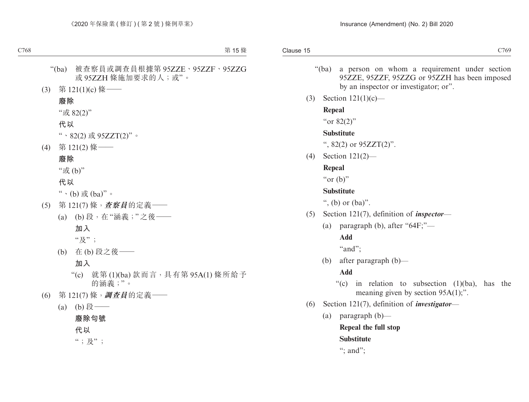- "(ba) a person on whom a requirement under section 95ZZE, 95ZZF, 95ZZG or 95ZZH has been imposed by an inspector or investigator; or".
- (3) Section 121(1)(c)—

### **Repeal**

"or 82(2)"

## **Substitute**

",  $82(2)$  or  $95ZZT(2)$ ".

(4) Section 121(2)—

# **Repeal**

" $or$  (b)"

## **Substitute**

", (b) or  $(ba)$ ".

- (5) Section 121(7), definition of *inspector*
	- (a) paragraph (b), after " $64F$ ;"—

## **Add**

"and";

(b) after paragraph (b)—

# **Add**

- "(c) in relation to subsection  $(1)(ba)$ , has the meaning given by section 95A(1);".
- (6) Section 121(7), definition of *investigator*
	- (a) paragraph (b)—

## **Repeal the full stop**

# **Substitute**

": and":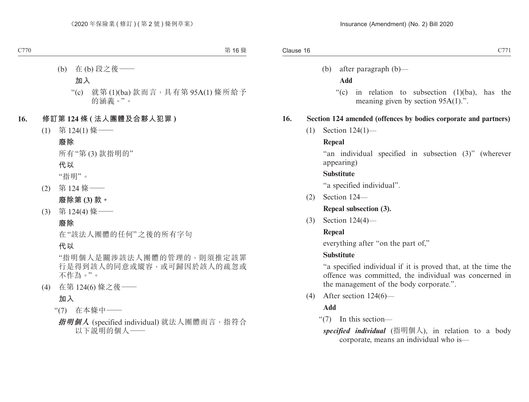(b) after paragraph (b)—

#### **Add**

"(c) in relation to subsection (1)(ba), has the meaning given by section 95A(1).".

# **16. Section 124 amended (offences by bodies corporate and partners)**

(1) Section 124(1)—

# **Repeal**

"an individual specified in subsection (3)" (wherever appearing)

## **Substitute**

"a specified individual".

(2) Section 124—

**Repeal subsection (3).**

(3) Section 124(4)—

# **Repeal**

everything after "on the part of,"

# **Substitute**

"a specified individual if it is proved that, at the time the offence was committed, the individual was concerned in the management of the body corporate.".

(4) After section 124(6)—

# **Add**

"(7) In this section—

*specified individual* (指明個人), in relation to a body corporate, means an individual who is—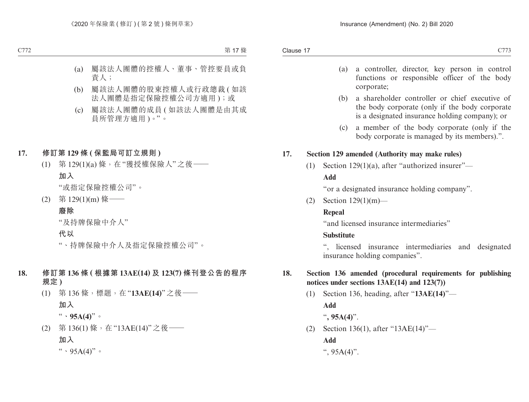- (a) a controller, director, key person in control functions or responsible officer of the body corporate;
- (b) a shareholder controller or chief executive of the body corporate (only if the body corporate is a designated insurance holding company); or
- (c) a member of the body corporate (only if the body corporate is managed by its members).".

# **17. Section 129 amended (Authority may make rules)**

(1) Section 129(1)(a), after "authorized insurer"—

## **Add**

"or a designated insurance holding company".

(2) Section 129(1)(m)—

# **Repeal**

"and licensed insurance intermediaries"

# **Substitute**

", licensed insurance intermediaries and designated insurance holding companies".

# **18. Section 136 amended (procedural requirements for publishing notices under sections 13AE(14) and 123(7))**

- (1) Section 136, heading, after "**13AE(14)**"— **Add**
	- "**, 95A(4)**".
- (2) Section 136(1), after "13AE(14)"—

**Add**

",  $95A(4)$ ".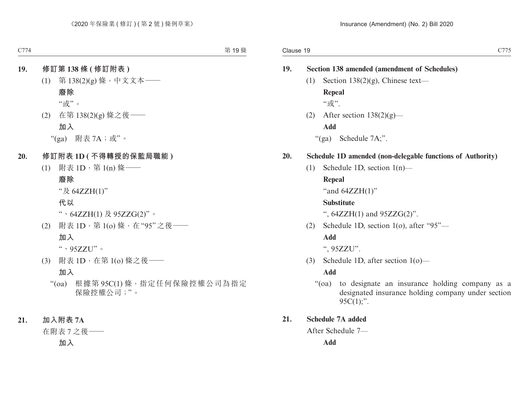| 19. |                                                            | <b>Section 138 amended (amendment of Schedules)</b>                                                                                        |  |  |  |
|-----|------------------------------------------------------------|--------------------------------------------------------------------------------------------------------------------------------------------|--|--|--|
|     | (1)                                                        | Section 138 $(2)(g)$ , Chinese text—                                                                                                       |  |  |  |
|     |                                                            | <b>Repeal</b>                                                                                                                              |  |  |  |
|     |                                                            | "或".                                                                                                                                       |  |  |  |
|     | (2)                                                        | After section $138(2)(g)$ —                                                                                                                |  |  |  |
|     |                                                            | <b>Add</b>                                                                                                                                 |  |  |  |
|     |                                                            | " $(ga)$ Schedule 7A;".                                                                                                                    |  |  |  |
| 20. | Schedule 1D amended (non-delegable functions of Authority) |                                                                                                                                            |  |  |  |
|     | (1)                                                        | Schedule 1D, section $1(n)$ —                                                                                                              |  |  |  |
|     |                                                            | Repeal                                                                                                                                     |  |  |  |
|     |                                                            | "and $64ZZH(1)$ "                                                                                                                          |  |  |  |
|     |                                                            | <b>Substitute</b>                                                                                                                          |  |  |  |
|     |                                                            | ", $64ZZH(1)$ and $95ZZG(2)$ ".                                                                                                            |  |  |  |
|     | (2)                                                        | Schedule 1D, section 1(o), after "95"-                                                                                                     |  |  |  |
|     |                                                            | <b>Add</b>                                                                                                                                 |  |  |  |
|     |                                                            | ", 95ZZU".                                                                                                                                 |  |  |  |
|     | (3)                                                        | Schedule 1D, after section $1(o)$ —                                                                                                        |  |  |  |
|     | <b>Add</b>                                                 |                                                                                                                                            |  |  |  |
|     |                                                            | to designate an insurance holding company as a<br>$\cdot \cdot$ (oa)<br>designated insurance holding company under section<br>$95C(1)$ ;". |  |  |  |
| 21. | <b>Schedule 7A added</b>                                   |                                                                                                                                            |  |  |  |
|     |                                                            | After Schedule 7-                                                                                                                          |  |  |  |
|     | <b>Add</b>                                                 |                                                                                                                                            |  |  |  |
|     |                                                            |                                                                                                                                            |  |  |  |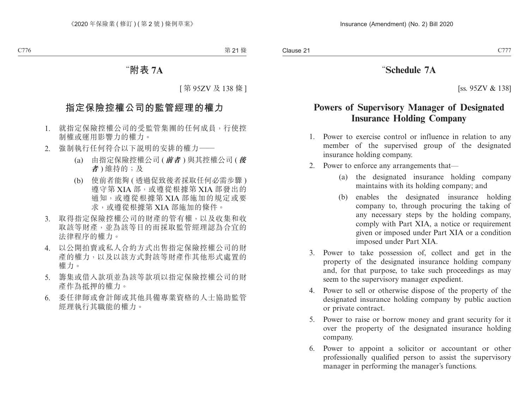# "**Schedule 7A**

[ss. 95ZV & 138]

# **Powers of Supervisory Manager of Designated Insurance Holding Company**

- 1. Power to exercise control or influence in relation to any member of the supervised group of the designated insurance holding company.
- 2. Power to enforce any arrangements that—
	- (a) the designated insurance holding company maintains with its holding company; and
	- (b) enables the designated insurance holding company to, through procuring the taking of any necessary steps by the holding company, comply with Part XIA, a notice or requirement given or imposed under Part XIA or a condition imposed under Part XIA.
- 3. Power to take possession of, collect and get in the property of the designated insurance holding company and, for that purpose, to take such proceedings as may seem to the supervisory manager expedient.
- 4. Power to sell or otherwise dispose of the property of the designated insurance holding company by public auction or private contract.
- 5. Power to raise or borrow money and grant security for it over the property of the designated insurance holding company.
- 6. Power to appoint a solicitor or accountant or other professionally qualified person to assist the supervisory manager in performing the manager's functions.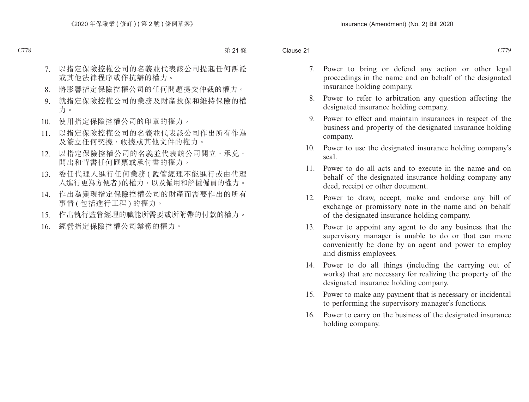- 7. Power to bring or defend any action or other legal proceedings in the name and on behalf of the designated insurance holding company.
- 8. Power to refer to arbitration any question affecting the designated insurance holding company.
- 9. Power to effect and maintain insurances in respect of the business and property of the designated insurance holding company.
- 10. Power to use the designated insurance holding company's seal.
- 11. Power to do all acts and to execute in the name and on behalf of the designated insurance holding company any deed, receipt or other document.
- 12. Power to draw, accept, make and endorse any bill of exchange or promissory note in the name and on behalf of the designated insurance holding company.
- 13. Power to appoint any agent to do any business that the supervisory manager is unable to do or that can more conveniently be done by an agent and power to employ and dismiss employees.
- 14. Power to do all things (including the carrying out of works) that are necessary for realizing the property of the designated insurance holding company.
- 15. Power to make any payment that is necessary or incidental to performing the supervisory manager's functions.
- 16. Power to carry on the business of the designated insurance holding company.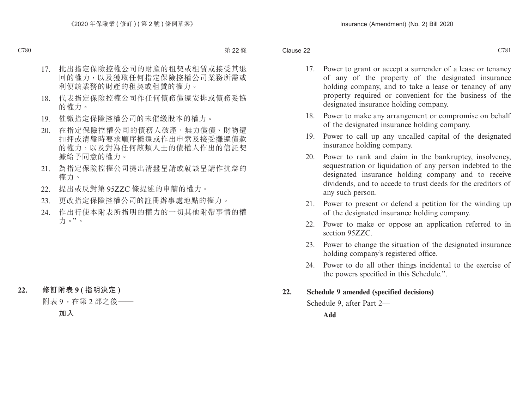- 17. Power to grant or accept a surrender of a lease or tenancy of any of the property of the designated insurance holding company, and to take a lease or tenancy of any property required or convenient for the business of the designated insurance holding company.
- 18. Power to make any arrangement or compromise on behalf of the designated insurance holding company.
- 19. Power to call up any uncalled capital of the designated insurance holding company.
- 20. Power to rank and claim in the bankruptcy, insolvency, sequestration or liquidation of any person indebted to the designated insurance holding company and to receive dividends, and to accede to trust deeds for the creditors of any such person.
- 21. Power to present or defend a petition for the winding up of the designated insurance holding company.
- 22. Power to make or oppose an application referred to in section 95ZZC.
- 23. Power to change the situation of the designated insurance holding company's registered office.
- 24. Power to do all other things incidental to the exercise of the powers specified in this Schedule.".

## **22. Schedule 9 amended (specified decisions)**

Schedule 9, after Part 2—

**Add**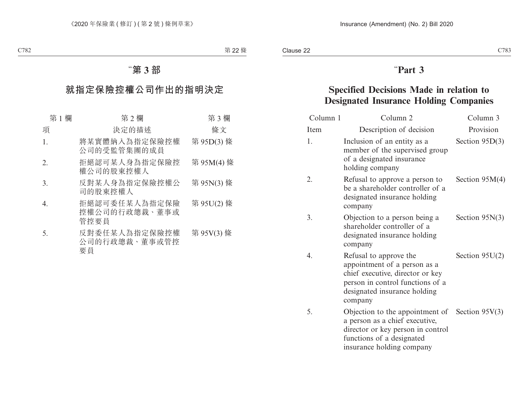# "**Part 3**

# **Specified Decisions Made in relation to Designated Insurance Holding Companies**

| Column 1 | Column <sub>2</sub>                                                                                                                                                               | Column 3         |
|----------|-----------------------------------------------------------------------------------------------------------------------------------------------------------------------------------|------------------|
| Item     | Description of decision                                                                                                                                                           | Provision        |
| 1.       | Inclusion of an entity as a<br>member of the supervised group<br>of a designated insurance<br>holding company                                                                     | Section $95D(3)$ |
| 2.       | Refusal to approve a person to<br>be a shareholder controller of a<br>designated insurance holding<br>company                                                                     | Section $95M(4)$ |
| 3.       | Objection to a person being a<br>shareholder controller of a<br>designated insurance holding<br>company                                                                           | Section $95N(3)$ |
| 4.       | Refusal to approve the<br>appointment of a person as a<br>chief executive, director or key<br>person in control functions of a<br>designated insurance holding<br>company         | Section $95U(2)$ |
| 5.       | Objection to the appointment of Section $95V(3)$<br>a person as a chief executive,<br>director or key person in control<br>functions of a designated<br>insurance holding company |                  |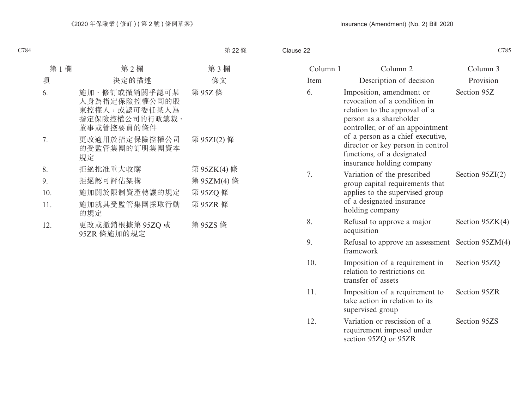Clause 22

|          |                                                                                                                                                                                                                                                                                               |                   | C785 |
|----------|-----------------------------------------------------------------------------------------------------------------------------------------------------------------------------------------------------------------------------------------------------------------------------------------------|-------------------|------|
| Column 1 | Column <sub>2</sub>                                                                                                                                                                                                                                                                           | Column 3          |      |
| Item     | Description of decision                                                                                                                                                                                                                                                                       | Provision         |      |
|          | Imposition, amendment or<br>revocation of a condition in<br>relation to the approval of a<br>person as a shareholder<br>controller, or of an appointment<br>of a person as a chief executive,<br>director or key person in control<br>functions, of a designated<br>insurance holding company | Section 95Z       |      |
|          | Variation of the prescribed<br>group capital requirements that<br>applies to the supervised group<br>of a designated insurance<br>holding company                                                                                                                                             | Section $95ZI(2)$ |      |
|          | Refusal to approve a major<br>acquisition                                                                                                                                                                                                                                                     | Section $95ZK(4)$ |      |
|          | Refusal to approve an assessment<br>framework                                                                                                                                                                                                                                                 | Section $95ZM(4)$ |      |
|          | Imposition of a requirement in<br>relation to restrictions on<br>transfer of assets                                                                                                                                                                                                           | Section 95ZQ      |      |
|          | Imposition of a requirement to<br>take action in relation to its<br>supervised group                                                                                                                                                                                                          | Section 95ZR      |      |
|          | Variation or rescission of a<br>requirement imposed under<br>section 95ZQ or 95ZR                                                                                                                                                                                                             | Section 95ZS      |      |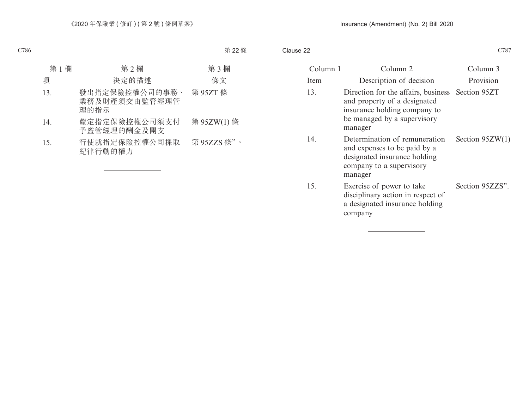Clause 22 C786 C787

| Column 1 | Column 2                                                                                                                                                   | Column 3          |
|----------|------------------------------------------------------------------------------------------------------------------------------------------------------------|-------------------|
| Item     | Description of decision                                                                                                                                    | Provision         |
| 13.      | Direction for the affairs, business Section 95ZT<br>and property of a designated<br>insurance holding company to<br>be managed by a supervisory<br>manager |                   |
| 14.      | Determination of remuneration<br>and expenses to be paid by a<br>designated insurance holding<br>company to a supervisory<br>manager                       | Section $95ZW(1)$ |
| 15.      | Exercise of power to take<br>disciplinary action in respect of<br>a designated insurance holding<br>company                                                | Section 95ZZS".   |
|          |                                                                                                                                                            |                   |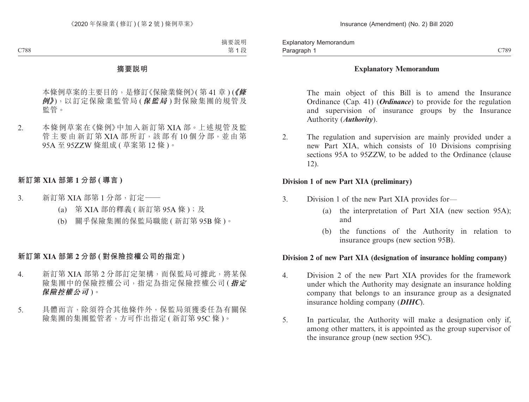## **Explanatory Memorandum**

The main object of this Bill is to amend the Insurance Ordinance (Cap. 41) (*Ordinance*) to provide for the regulation and supervision of insurance groups by the Insurance Authority (*Authority*).

2. The regulation and supervision are mainly provided under a new Part XIA, which consists of 10 Divisions comprising sections 95A to 95ZZW, to be added to the Ordinance (clause 12).

# **Division 1 of new Part XIA (preliminary)**

- 3. Division 1 of the new Part XIA provides for—
	- (a) the interpretation of Part XIA (new section 95A); and
	- (b) the functions of the Authority in relation to insurance groups (new section 95B).

## **Division 2 of new Part XIA (designation of insurance holding company)**

- 4. Division 2 of the new Part XIA provides for the framework under which the Authority may designate an insurance holding company that belongs to an insurance group as a designated insurance holding company (*DIHC*).
- 5. In particular, the Authority will make a designation only if, among other matters, it is appointed as the group supervisor of the insurance group (new section 95C).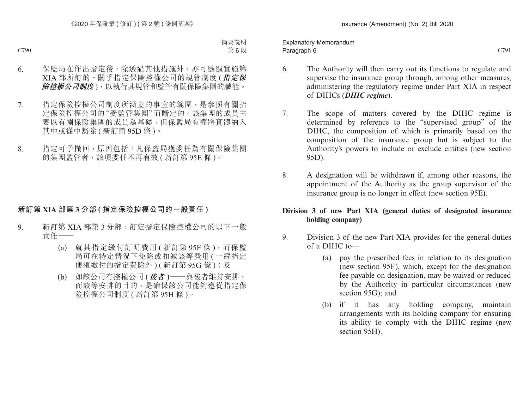Paragraph 6 and 200 C791 Explanatory Memorandum Paragraph 6

- 
- 6. The Authority will then carry out its functions to regulate and supervise the insurance group through, among other measures, administering the regulatory regime under Part XIA in respect of DIHCs (*DIHC regime*).
- 7. The scope of matters covered by the DIHC regime is determined by reference to the "supervised group" of the DIHC, the composition of which is primarily based on the composition of the insurance group but is subject to the Authority's powers to include or exclude entities (new section 95D).
- 8. A designation will be withdrawn if, among other reasons, the appointment of the Authority as the group supervisor of the insurance group is no longer in effect (new section 95E).

# **Division 3 of new Part XIA (general duties of designated insurance holding company)**

- 9. Division 3 of the new Part XIA provides for the general duties of a DIHC to—
	- (a) pay the prescribed fees in relation to its designation (new section 95F), which, except for the designation fee payable on designation, may be waived or reduced by the Authority in particular circumstances (new section 95G); and
	- (b) if it has any holding company, maintain arrangements with its holding company for ensuring its ability to comply with the DIHC regime (new section 95H).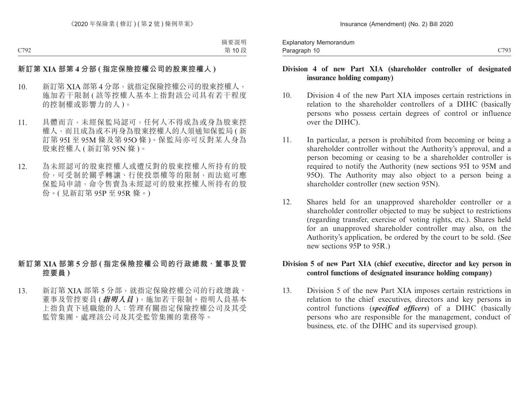# **Division 4 of new Part XIA (shareholder controller of designated insurance holding company)**

- 10. Division 4 of the new Part XIA imposes certain restrictions in relation to the shareholder controllers of a DIHC (basically persons who possess certain degrees of control or influence over the DIHC).
- 11. In particular, a person is prohibited from becoming or being a shareholder controller without the Authority's approval, and a person becoming or ceasing to be a shareholder controller is required to notify the Authority (new sections 95I to 95M and 95O). The Authority may also object to a person being a shareholder controller (new section 95N).
- 12. Shares held for an unapproved shareholder controller or a shareholder controller objected to may be subject to restrictions (regarding transfer, exercise of voting rights, etc.). Shares held for an unapproved shareholder controller may also, on the Authority's application, be ordered by the court to be sold. (See new sections 95P to 95R.)

## **Division 5 of new Part XIA (chief executive, director and key person in control functions of designated insurance holding company)**

13. Division 5 of the new Part XIA imposes certain restrictions in relation to the chief executives, directors and key persons in control functions (*specified officers*) of a DIHC (basically persons who are responsible for the management, conduct of business, etc. of the DIHC and its supervised group).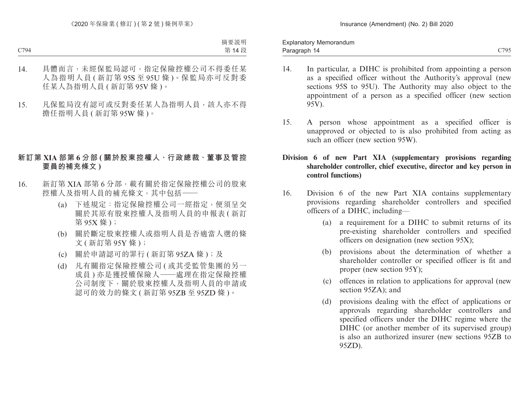- 14. In particular, a DIHC is prohibited from appointing a person as a specified officer without the Authority's approval (new sections 95S to 95U). The Authority may also object to the appointment of a person as a specified officer (new section 95V).
- 15. A person whose appointment as a specified officer is unapproved or objected to is also prohibited from acting as such an officer (new section 95W).
- **Division 6 of new Part XIA (supplementary provisions regarding shareholder controller, chief executive, director and key person in control functions)**
- 16. Division 6 of the new Part XIA contains supplementary provisions regarding shareholder controllers and specified officers of a DIHC, including—
	- (a) a requirement for a DIHC to submit returns of its pre-existing shareholder controllers and specified officers on designation (new section 95X);
	- (b) provisions about the determination of whether a shareholder controller or specified officer is fit and proper (new section 95Y);
	- (c) offences in relation to applications for approval (new section 95ZA); and
	- (d) provisions dealing with the effect of applications or approvals regarding shareholder controllers and specified officers under the DIHC regime where the DIHC (or another member of its supervised group) is also an authorized insurer (new sections 95ZB to 95ZD).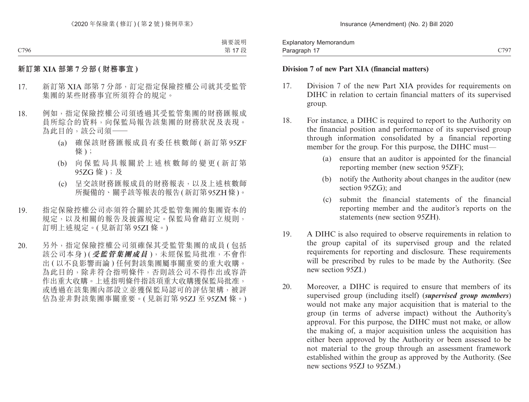Paragraph 17 and 2006 C797 C797 Explanatory Memorandum Paragraph 17

#### **Division 7 of new Part XIA (financial matters)**

- 17. Division 7 of the new Part XIA provides for requirements on DIHC in relation to certain financial matters of its supervised group.
- 18. For instance, a DIHC is required to report to the Authority on the financial position and performance of its supervised group through information consolidated by a financial reporting member for the group. For this purpose, the DIHC must—
	- (a) ensure that an auditor is appointed for the financial reporting member (new section 95ZF);
	- (b) notify the Authority about changes in the auditor (new section 95ZG); and
	- (c) submit the financial statements of the financial reporting member and the auditor's reports on the statements (new section 95ZH).
- 19. A DIHC is also required to observe requirements in relation to the group capital of its supervised group and the related requirements for reporting and disclosure. These requirements will be prescribed by rules to be made by the Authority. (See new section 95ZI.)
- 20. Moreover, a DIHC is required to ensure that members of its supervised group (including itself) (*supervised group members*) would not make any major acquisition that is material to the group (in terms of adverse impact) without the Authority's approval. For this purpose, the DIHC must not make, or allow the making of, a major acquisition unless the acquisition has either been approved by the Authority or been assessed to be not material to the group through an assessment framework established within the group as approved by the Authority. (See new sections 95ZJ to 95ZM.)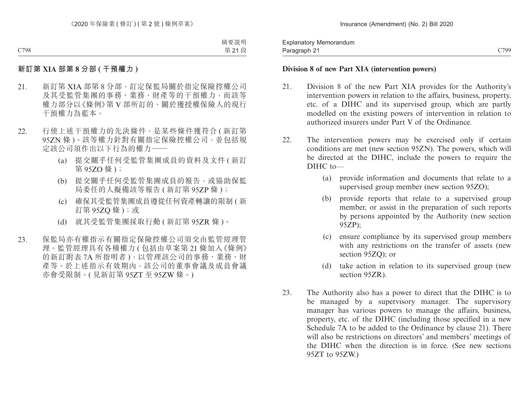Paragraph 21 and 2012 and 2013 and 2014 and 2014 and 2014 and 2019 and 2019 and 2019 and 2019 and 2019 and 201 Explanatory Memorandum Paragraph 21

# **Division 8 of new Part XIA (intervention powers)**

- 21. Division 8 of the new Part XIA provides for the Authority's intervention powers in relation to the affairs, business, property, etc. of a DIHC and its supervised group, which are partly modelled on the existing powers of intervention in relation to authorized insurers under Part V of the Ordinance.
- 22. The intervention powers may be exercised only if certain conditions are met (new section 95ZN). The powers, which will be directed at the DIHC, include the powers to require the DIHC to-
	- (a) provide information and documents that relate to a supervised group member (new section 95ZO);
	- (b) provide reports that relate to a supervised group member, or assist in the preparation of such reports by persons appointed by the Authority (new section 95ZP);
	- (c) ensure compliance by its supervised group members with any restrictions on the transfer of assets (new section 95ZQ); or
	- (d) take action in relation to its supervised group (new section 95ZR).
- 23. The Authority also has a power to direct that the DIHC is to be managed by a supervisory manager. The supervisory manager has various powers to manage the affairs, business, property, etc. of the DIHC (including those specified in a new Schedule 7A to be added to the Ordinance by clause 21). There will also be restrictions on directors' and members' meetings of the DIHC when the direction is in force. (See new sections 95ZT to 95ZW.)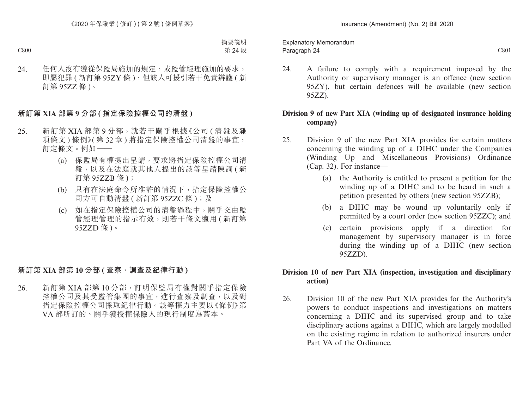24. A failure to comply with a requirement imposed by the Authority or supervisory manager is an offence (new section 95ZY), but certain defences will be available (new section 95ZZ).

# **Division 9 of new Part XIA (winding up of designated insurance holding company)**

- 25. Division 9 of the new Part XIA provides for certain matters concerning the winding up of a DIHC under the Companies (Winding Up and Miscellaneous Provisions) Ordinance (Cap. 32). For instance—
	- (a) the Authority is entitled to present a petition for the winding up of a DIHC and to be heard in such a petition presented by others (new section 95ZZB);
	- (b) a DIHC may be wound up voluntarily only if permitted by a court order (new section 95ZZC); and
	- (c) certain provisions apply if a direction for management by supervisory manager is in force during the winding up of a DIHC (new section 95ZZD).

### **Division 10 of new Part XIA (inspection, investigation and disciplinary action)**

26. Division 10 of the new Part XIA provides for the Authority's powers to conduct inspections and investigations on matters concerning a DIHC and its supervised group and to take disciplinary actions against a DIHC, which are largely modelled on the existing regime in relation to authorized insurers under Part VA of the Ordinance.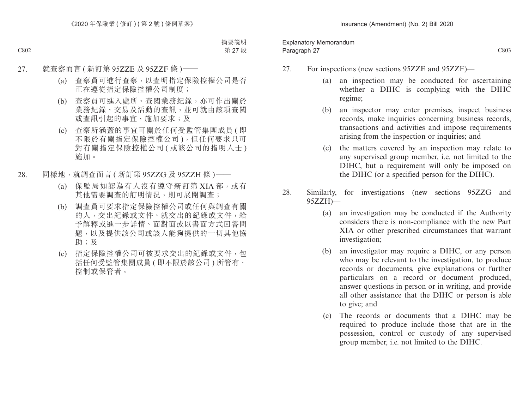- 27. For inspections (new sections 95ZZE and 95ZZF)—
	- (a) an inspection may be conducted for ascertaining whether a DIHC is complying with the DIHC regime;
	- (b) an inspector may enter premises, inspect business records, make inquiries concerning business records, transactions and activities and impose requirements arising from the inspection or inquiries; and
	- (c) the matters covered by an inspection may relate to any supervised group member, i.e. not limited to the DIHC, but a requirement will only be imposed on the DIHC (or a specified person for the DIHC).
- 28. Similarly, for investigations (new sections 95ZZG and 95ZZH)—
	- (a) an investigation may be conducted if the Authority considers there is non-compliance with the new Part XIA or other prescribed circumstances that warrant investigation;
	- (b) an investigator may require a DIHC, or any person who may be relevant to the investigation, to produce records or documents, give explanations or further particulars on a record or document produced, answer questions in person or in writing, and provide all other assistance that the DIHC or person is able to give; and
	- (c) The records or documents that a DIHC may be required to produce include those that are in the possession, control or custody of any supervised group member, i.e. not limited to the DIHC.